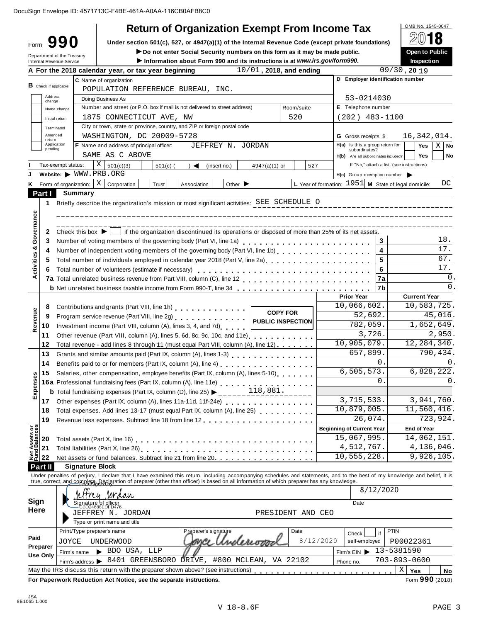|                                         |                               |                        |                                                                                                                                                                                                                                                                                                                           | <b>Return of Organization Exempt From Income Tax</b>                        |                            |                   |           |                                                               |               | OMB No. 1545-0047                          |               |
|-----------------------------------------|-------------------------------|------------------------|---------------------------------------------------------------------------------------------------------------------------------------------------------------------------------------------------------------------------------------------------------------------------------------------------------------------------|-----------------------------------------------------------------------------|----------------------------|-------------------|-----------|---------------------------------------------------------------|---------------|--------------------------------------------|---------------|
| Form                                    | 990                           |                        | Under section 501(c), 527, or 4947(a)(1) of the Internal Revenue Code (except private foundations)                                                                                                                                                                                                                        |                                                                             |                            |                   |           |                                                               |               |                                            |               |
|                                         | Department of the Treasury    |                        |                                                                                                                                                                                                                                                                                                                           | Do not enter Social Security numbers on this form as it may be made public. |                            |                   |           |                                                               |               | <b>Open to Public</b>                      |               |
|                                         | Internal Revenue Service      |                        |                                                                                                                                                                                                                                                                                                                           | Information about Form 990 and its instructions is at www.irs.gov/form990.  |                            |                   |           |                                                               |               | Inspection                                 |               |
|                                         |                               |                        | A For the 2018 calendar year, or tax year beginning                                                                                                                                                                                                                                                                       |                                                                             | $10/01$ , 2018, and ending |                   |           |                                                               |               | $09/30$ , 20 19                            |               |
|                                         | <b>B</b> Check if applicable: |                        | C Name of organization                                                                                                                                                                                                                                                                                                    |                                                                             |                            |                   |           | D Employer identification number                              |               |                                            |               |
|                                         |                               |                        | POPULATION REFERENCE BUREAU, INC.                                                                                                                                                                                                                                                                                         |                                                                             |                            |                   |           |                                                               |               |                                            |               |
|                                         | Address<br>change             |                        | Doing Business As                                                                                                                                                                                                                                                                                                         |                                                                             |                            |                   |           | 53-0214030                                                    |               |                                            |               |
|                                         | Name change                   |                        | Number and street (or P.O. box if mail is not delivered to street address)                                                                                                                                                                                                                                                |                                                                             |                            | Room/suite        |           | E Telephone number                                            |               |                                            |               |
|                                         | Initial return                |                        | 1875 CONNECTICUT AVE, NW                                                                                                                                                                                                                                                                                                  |                                                                             |                            | 520               |           | (202) 483-1100                                                |               |                                            |               |
|                                         | Terminated<br>Amended         |                        | City or town, state or province, country, and ZIP or foreign postal code                                                                                                                                                                                                                                                  |                                                                             |                            |                   |           |                                                               |               |                                            |               |
| return                                  | Application                   |                        | WASHINGTON, DC 20009-5728<br><b>F</b> Name and address of principal officer:                                                                                                                                                                                                                                              | JEFFREY N. JORDAN                                                           |                            |                   |           | <b>G</b> Gross receipts \$<br>H(a) Is this a group return for |               | 16, 342, 014.<br><b>Yes</b>                | $X \mid$ No   |
|                                         | pending                       |                        | SAME AS C ABOVE                                                                                                                                                                                                                                                                                                           |                                                                             |                            |                   |           | subordinates?                                                 |               | Yes                                        | No            |
|                                         | Tax-exempt status:            |                        | $X \mid$<br>501(c)(3)<br>$501(c)$ (                                                                                                                                                                                                                                                                                       | (insert no.)<br>$\rightarrow$                                               | $4947(a)(1)$ or            | 527               |           | H(b) Are all subordinates included?                           |               | If "No," attach a list. (see instructions) |               |
|                                         |                               |                        | Website: WWW.PRB.ORG                                                                                                                                                                                                                                                                                                      |                                                                             |                            |                   |           | $H(c)$ Group exemption number $\blacktriangleright$           |               |                                            |               |
| K.                                      |                               |                        | Form of organization: $\mid X \mid$ Corporation<br>Trust                                                                                                                                                                                                                                                                  | Other $\blacktriangleright$<br>Association                                  |                            |                   |           | L Year of formation: $1951$ M State of legal domicile:        |               |                                            | DC            |
| Part I                                  |                               | <b>Summary</b>         |                                                                                                                                                                                                                                                                                                                           |                                                                             |                            |                   |           |                                                               |               |                                            |               |
| 1                                       |                               |                        | Briefly describe the organization's mission or most significant activities: SEE SCHEDULE O                                                                                                                                                                                                                                |                                                                             |                            |                   |           |                                                               |               |                                            |               |
|                                         |                               |                        |                                                                                                                                                                                                                                                                                                                           |                                                                             |                            |                   |           |                                                               |               |                                            |               |
| Governance                              |                               |                        |                                                                                                                                                                                                                                                                                                                           |                                                                             |                            |                   |           |                                                               |               |                                            |               |
| $\mathbf{2}$                            |                               |                        | Check this box $\blacktriangleright$   if the organization discontinued its operations or disposed of more than 25% of its net assets.                                                                                                                                                                                    |                                                                             |                            |                   |           |                                                               |               |                                            |               |
| 3                                       |                               |                        | Number of voting members of the governing body (Part VI, line 1a)                                                                                                                                                                                                                                                         |                                                                             |                            |                   |           |                                                               | 3             |                                            | 18.           |
|                                         |                               |                        | Number of independent voting members of the governing body (Part VI, line 1b)                                                                                                                                                                                                                                             |                                                                             |                            |                   |           |                                                               | 4             |                                            | 17.           |
| 5                                       |                               |                        | Total number of individuals employed in calendar year 2018 (Part V, line 2a)<br>The 2a)                                                                                                                                                                                                                                   |                                                                             |                            |                   |           |                                                               | 5             |                                            | 67.           |
| 6.                                      |                               |                        |                                                                                                                                                                                                                                                                                                                           |                                                                             |                            |                   |           |                                                               | 6             |                                            | 17.           |
|                                         |                               |                        |                                                                                                                                                                                                                                                                                                                           |                                                                             |                            |                   |           |                                                               | 7a            |                                            | 0.            |
|                                         |                               |                        |                                                                                                                                                                                                                                                                                                                           |                                                                             |                            |                   |           |                                                               | 7b            |                                            | 0.            |
|                                         |                               |                        |                                                                                                                                                                                                                                                                                                                           |                                                                             |                            |                   |           | <b>Prior Year</b>                                             |               | <b>Current Year</b>                        |               |
| 8                                       |                               |                        | Contributions and grants (Part VIII, line 1h)                                                                                                                                                                                                                                                                             |                                                                             |                            | <b>COPY FOR</b>   |           | 10,066,602.                                                   |               | 10,583,725.                                |               |
| Revenue<br>9                            |                               |                        | Program service revenue (Part VIII, line 2g)   PUBLIC INSPECTION                                                                                                                                                                                                                                                          |                                                                             |                            |                   |           | 52,692.                                                       |               |                                            | 45,016.       |
| 10                                      |                               |                        | Investment income (Part VIII, column (A), lines 3, 4, and 7d)                                                                                                                                                                                                                                                             |                                                                             |                            |                   |           | $\overline{782}$ , 059.                                       |               |                                            | 1,652,649.    |
| 11                                      |                               |                        | Other revenue (Part VIII, column (A), lines 5, 6d, 8c, 9c, 10c, and 11e) [100]                                                                                                                                                                                                                                            |                                                                             |                            |                   |           | 3,726.<br>10,905,079.                                         |               |                                            | 2,950.        |
| $12 \,$                                 |                               |                        | Total revenue - add lines 8 through 11 (must equal Part VIII, column (A), line 12)                                                                                                                                                                                                                                        |                                                                             |                            |                   |           | 657,899.                                                      |               | 12, 284, 340.                              | 790,434.      |
| 13                                      |                               |                        |                                                                                                                                                                                                                                                                                                                           |                                                                             |                            |                   |           |                                                               | $\mathbf 0$ . |                                            | $\mathbf 0$ . |
| 14                                      |                               |                        |                                                                                                                                                                                                                                                                                                                           |                                                                             |                            |                   |           | 6, 505, 573.                                                  |               |                                            | 6,828,222.    |
| 15<br>Expenses                          |                               |                        | Salaries, other compensation, employee benefits (Part IX, column (A), lines 5-10)                                                                                                                                                                                                                                         |                                                                             |                            |                   |           |                                                               | $\Omega$      |                                            | 0.            |
|                                         |                               |                        | 16a Professional fundraising fees (Part IX, column (A), line 11e)<br>16a Professional fundraising fees (Part IX, column (A), line 11e)<br><b>b</b> Total fundraising expenses (Part IX, column (D), line 25) $\blacktriangleright$ _____ 118,881.                                                                         |                                                                             |                            |                   |           |                                                               |               |                                            |               |
|                                         |                               |                        |                                                                                                                                                                                                                                                                                                                           |                                                                             |                            |                   |           | 3,715,533.                                                    |               |                                            | 3,941,760.    |
| 18                                      |                               |                        |                                                                                                                                                                                                                                                                                                                           |                                                                             |                            |                   |           | 10,879,005.                                                   |               | 11,560,416.                                |               |
| 19                                      |                               |                        |                                                                                                                                                                                                                                                                                                                           |                                                                             |                            |                   |           | 26,074.                                                       |               |                                            | 723,924.      |
|                                         |                               |                        |                                                                                                                                                                                                                                                                                                                           |                                                                             |                            |                   |           | <b>Beginning of Current Year</b>                              |               | <b>End of Year</b>                         |               |
| <b>t Assets or</b><br>nd Balances<br>20 |                               |                        |                                                                                                                                                                                                                                                                                                                           |                                                                             |                            |                   |           | 15,067,995.                                                   |               | 14,062,151.                                |               |
| 21                                      |                               |                        |                                                                                                                                                                                                                                                                                                                           |                                                                             |                            |                   |           | 4,512,767.                                                    |               |                                            | 4,136,046.    |
| 홆<br>22                                 |                               |                        | Net assets or fund balances. Subtract line 21 from line 20 [11]                                                                                                                                                                                                                                                           |                                                                             |                            |                   |           | 10,555,228.                                                   |               |                                            | 9,926,105.    |
| Part II                                 |                               | <b>Signature Block</b> |                                                                                                                                                                                                                                                                                                                           |                                                                             |                            |                   |           |                                                               |               |                                            |               |
|                                         |                               |                        | Under penalties of perjury, I declare that I have examined this return, including accompanying schedules and statements, and to the best of my knowledge and belief, it is<br>true, correct, and complete, peologiation of preparer (other than officer) is based on all information of which preparer has any knowledge. |                                                                             |                            |                   |           |                                                               |               |                                            |               |
|                                         |                               |                        | freu Jordan                                                                                                                                                                                                                                                                                                               |                                                                             |                            |                   |           |                                                               | 8/12/2020     |                                            |               |
| Sign                                    |                               |                        | ignature of officer<br>-CBD24688EDFD476                                                                                                                                                                                                                                                                                   |                                                                             |                            |                   |           | Date                                                          |               |                                            |               |
| <b>Here</b>                             |                               |                        | JEFFREY N. JORDAN                                                                                                                                                                                                                                                                                                         |                                                                             |                            | PRESIDENT AND CEO |           |                                                               |               |                                            |               |
|                                         |                               |                        | Type or print name and title                                                                                                                                                                                                                                                                                              |                                                                             |                            |                   |           |                                                               |               |                                            |               |
|                                         |                               |                        | Print/Type preparer's name                                                                                                                                                                                                                                                                                                | Preparer's signature                                                        |                            | Date              |           | Check                                                         | PTIN<br>if    |                                            |               |
| Paid                                    | JOYCE                         |                        | <b>UNDERWOOD</b>                                                                                                                                                                                                                                                                                                          | Underiva                                                                    |                            |                   | 8/12/2020 | self-employed                                                 |               | P00022361                                  |               |
| Preparer                                | Firm's name                   |                        | $\blacktriangleright$ BDO USA, LLP                                                                                                                                                                                                                                                                                        |                                                                             |                            |                   |           | Firm's EIN                                                    |               | 13-5381590                                 |               |
| Use Only                                |                               |                        | Firm's address > 8401 GREENSBORO DRIVE, #800 MCLEAN, VA 22102                                                                                                                                                                                                                                                             |                                                                             |                            |                   |           | Phone no.                                                     |               | $703 - 893 - 0600$                         |               |
|                                         |                               |                        | May the IRS discuss this return with the preparer shown above? (see instructions)                                                                                                                                                                                                                                         |                                                                             |                            |                   |           |                                                               |               | Χ<br>Yes                                   | No            |
|                                         |                               |                        | For Paperwork Reduction Act Notice, see the separate instructions.                                                                                                                                                                                                                                                        |                                                                             |                            |                   |           |                                                               |               | Form 990 (2018)                            |               |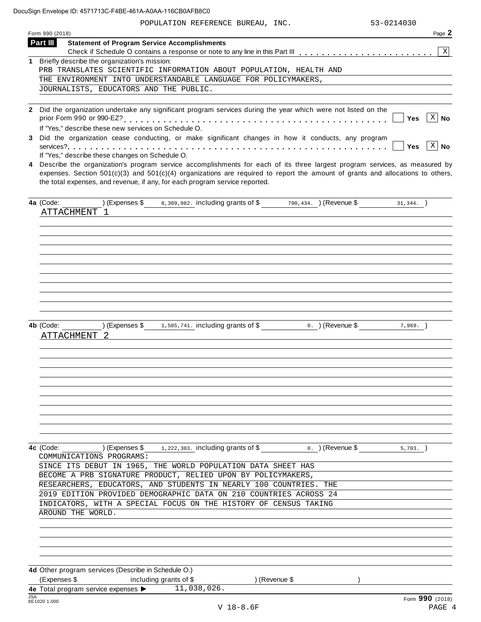POPULATION REFERENCE BUREAU, INC. 53-0214030

|            | Form 990 (2018)                                                                                                                                                                                                                                                                                                                                                                                    | Page 2                             |
|------------|----------------------------------------------------------------------------------------------------------------------------------------------------------------------------------------------------------------------------------------------------------------------------------------------------------------------------------------------------------------------------------------------------|------------------------------------|
| Part III   | <b>Statement of Program Service Accomplishments</b>                                                                                                                                                                                                                                                                                                                                                |                                    |
|            |                                                                                                                                                                                                                                                                                                                                                                                                    | $\mathbf{X}$                       |
|            | 1 Briefly describe the organization's mission:<br>PRB TRANSLATES SCIENTIFIC INFORMATION ABOUT POPULATION, HEALTH AND                                                                                                                                                                                                                                                                               |                                    |
|            | THE ENVIRONMENT INTO UNDERSTANDABLE LANGUAGE FOR POLICYMAKERS,                                                                                                                                                                                                                                                                                                                                     |                                    |
|            | JOURNALISTS, EDUCATORS AND THE PUBLIC.                                                                                                                                                                                                                                                                                                                                                             |                                    |
|            |                                                                                                                                                                                                                                                                                                                                                                                                    |                                    |
|            | 2 Did the organization undertake any significant program services during the year which were not listed on the<br>If "Yes," describe these new services on Schedule O.                                                                                                                                                                                                                             | $ X $ No<br>Yes                    |
| 3          | Did the organization cease conducting, or make significant changes in how it conducts, any program                                                                                                                                                                                                                                                                                                 | $\lceil x \rceil$ No<br><b>Yes</b> |
| 4          | If "Yes," describe these changes on Schedule O.<br>Describe the organization's program service accomplishments for each of its three largest program services, as measured by<br>expenses. Section $501(c)(3)$ and $501(c)(4)$ organizations are required to report the amount of grants and allocations to others,<br>the total expenses, and revenue, if any, for each program service reported. |                                    |
|            | $(\text{Expenses }$ 8, 309, 982. including grants of \$ 790, 434. $(\text{Revenue }$ 31, 344. $)\$<br>4a (Code:<br>ATTACHMENT 1                                                                                                                                                                                                                                                                    |                                    |
|            |                                                                                                                                                                                                                                                                                                                                                                                                    |                                    |
|            | ) (Expenses $\frac{1}{3}$ 1, 505, 741. including grants of \$<br>0. ) (Revenue \$<br>4b (Code:<br>ATTACHMENT                                                                                                                                                                                                                                                                                       | $7,969.$ )                         |
|            |                                                                                                                                                                                                                                                                                                                                                                                                    |                                    |
|            | 4c (Code: ) (Expenses \$1,222,303. including grants of \$ 0. ) (Revenue \$<br>COMMUNICATIONS PROGRAMS:<br>SINCE ITS DEBUT IN 1965, THE WORLD POPULATION DATA SHEET HAS<br>BECOME A PRB SIGNATURE PRODUCT, RELIED UPON BY POLICYMAKERS,                                                                                                                                                             | $5.703.$ )                         |
|            | RESEARCHERS, EDUCATORS, AND STUDENTS IN NEARLY 100 COUNTRIES. THE<br>2019 EDITION PROVIDED DEMOGRAPHIC DATA ON 210 COUNTRIES ACROSS 24<br>INDICATORS, WITH A SPECIAL FOCUS ON THE HISTORY OF CENSUS TAKING<br>AROUND THE WORLD.                                                                                                                                                                    |                                    |
|            | 4d Other program services (Describe in Schedule O.)                                                                                                                                                                                                                                                                                                                                                |                                    |
|            | (Expenses \$<br>including grants of \$<br>) (Revenue \$                                                                                                                                                                                                                                                                                                                                            |                                    |
|            | 4e Total program service expenses $\blacktriangleright$ $\overline{11,038,026}$ .                                                                                                                                                                                                                                                                                                                  |                                    |
| <b>JSA</b> | 8E1020 1.000<br>$V$ 18-8.6F                                                                                                                                                                                                                                                                                                                                                                        | Form 990 (2018)<br>PAGE 4          |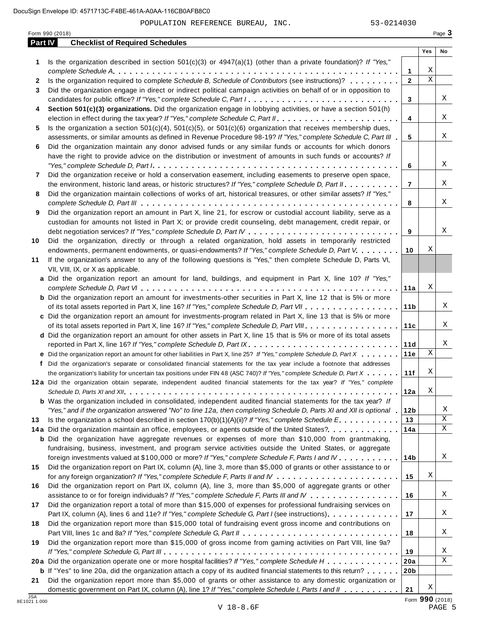POPULATION REFERENCE BUREAU, INC. 53-0214030

|            | Form 990 (2018)                                                                                                                                                                                                                                                                                                                                                                               |                 |             | Page 3 |
|------------|-----------------------------------------------------------------------------------------------------------------------------------------------------------------------------------------------------------------------------------------------------------------------------------------------------------------------------------------------------------------------------------------------|-----------------|-------------|--------|
| Part IV    | <b>Checklist of Required Schedules</b>                                                                                                                                                                                                                                                                                                                                                        |                 |             |        |
|            |                                                                                                                                                                                                                                                                                                                                                                                               |                 | Yes         | No     |
| 1          | Is the organization described in section $501(c)(3)$ or $4947(a)(1)$ (other than a private foundation)? If "Yes,"                                                                                                                                                                                                                                                                             | 1               | Χ           |        |
| 2          | Is the organization required to complete Schedule B, Schedule of Contributors (see instructions)?                                                                                                                                                                                                                                                                                             | $\mathbf{2}$    | $\mathbf X$ |        |
| 3          | Did the organization engage in direct or indirect political campaign activities on behalf of or in opposition to                                                                                                                                                                                                                                                                              |                 |             |        |
|            | candidates for public office? If "Yes," complete Schedule C, Part I.                                                                                                                                                                                                                                                                                                                          | 3               |             | Χ      |
| 4          | Section 501(c)(3) organizations. Did the organization engage in lobbying activities, or have a section 501(h)                                                                                                                                                                                                                                                                                 |                 |             |        |
|            |                                                                                                                                                                                                                                                                                                                                                                                               | 4               |             | Χ      |
| 5          | Is the organization a section $501(c)(4)$ , $501(c)(5)$ , or $501(c)(6)$ organization that receives membership dues,                                                                                                                                                                                                                                                                          |                 |             |        |
|            | assessments, or similar amounts as defined in Revenue Procedure 98-19? If "Yes," complete Schedule C, Part III                                                                                                                                                                                                                                                                                | 5               |             | Χ      |
| 6          | Did the organization maintain any donor advised funds or any similar funds or accounts for which donors                                                                                                                                                                                                                                                                                       |                 |             |        |
|            | have the right to provide advice on the distribution or investment of amounts in such funds or accounts? If                                                                                                                                                                                                                                                                                   |                 |             |        |
|            | "Yes," complete Schedule D, Part $l_1, \ldots, l_k, \ldots, l_k, \ldots, l_k, \ldots, l_k, \ldots, l_k, \ldots, l_k, \ldots, l_k, \ldots, l_k, \ldots, l_k, \ldots, l_k, \ldots, l_k, \ldots, l_k, \ldots, l_k, \ldots, l_k, \ldots, l_k, \ldots, l_k, \ldots, l_k, \ldots, l_k, \ldots, l_k, \ldots, l_k, \ldots, l_k, \ldots, l_k, \ldots, l_k, \ldots, l_k, \ldots, l_k, \ldots, l_k, \ld$ | 6               |             | Χ      |
| 7          | Did the organization receive or hold a conservation easement, including easements to preserve open space,                                                                                                                                                                                                                                                                                     |                 |             |        |
|            | the environment, historic land areas, or historic structures? If "Yes," complete Schedule D, Part II.                                                                                                                                                                                                                                                                                         | $\overline{7}$  |             | Χ      |
| 8          | Did the organization maintain collections of works of art, historical treasures, or other similar assets? If "Yes,"                                                                                                                                                                                                                                                                           |                 |             |        |
|            |                                                                                                                                                                                                                                                                                                                                                                                               | 8               |             | Χ      |
| 9          | Did the organization report an amount in Part X, line 21, for escrow or custodial account liability, serve as a                                                                                                                                                                                                                                                                               |                 |             |        |
|            | custodian for amounts not listed in Part X; or provide credit counseling, debt management, credit repair, or                                                                                                                                                                                                                                                                                  | 9               |             | Χ      |
| 10         | Did the organization, directly or through a related organization, hold assets in temporarily restricted                                                                                                                                                                                                                                                                                       |                 |             |        |
|            | endowments, permanent endowments, or quasi-endowments? If "Yes," complete Schedule D, Part V.                                                                                                                                                                                                                                                                                                 | 10              | Χ           |        |
| 11         | If the organization's answer to any of the following questions is "Yes," then complete Schedule D, Parts VI,                                                                                                                                                                                                                                                                                  |                 |             |        |
|            | VII, VIII, IX, or X as applicable.                                                                                                                                                                                                                                                                                                                                                            |                 |             |        |
|            | a Did the organization report an amount for land, buildings, and equipment in Part X, line 10? If "Yes,"                                                                                                                                                                                                                                                                                      |                 |             |        |
|            |                                                                                                                                                                                                                                                                                                                                                                                               | 11a             | Χ           |        |
|            | <b>b</b> Did the organization report an amount for investments-other securities in Part X, line 12 that is 5% or more                                                                                                                                                                                                                                                                         |                 |             |        |
|            |                                                                                                                                                                                                                                                                                                                                                                                               | 11 <sub>b</sub> |             | Χ      |
|            | c Did the organization report an amount for investments-program related in Part X, line 13 that is 5% or more                                                                                                                                                                                                                                                                                 |                 |             |        |
|            |                                                                                                                                                                                                                                                                                                                                                                                               | 11c             |             | Χ      |
|            | d Did the organization report an amount for other assets in Part X, line 15 that is 5% or more of its total assets                                                                                                                                                                                                                                                                            |                 |             |        |
|            | reported in Part X, line 16? If "Yes," complete Schedule D, Part IX.                                                                                                                                                                                                                                                                                                                          | 11d             |             | Χ      |
|            | e Did the organization report an amount for other liabilities in Part X, line 25? If "Yes," complete Schedule D, Part X                                                                                                                                                                                                                                                                       | 11e             | Χ           |        |
|            | f Did the organization's separate or consolidated financial statements for the tax year include a footnote that addresses                                                                                                                                                                                                                                                                     |                 | Χ           |        |
|            | the organization's liability for uncertain tax positions under FIN 48 (ASC 740)? If "Yes," complete Schedule D, Part $X$ ,                                                                                                                                                                                                                                                                    | 11f             |             |        |
|            | 12a Did the organization obtain separate, independent audited financial statements for the tax year? If "Yes," complete                                                                                                                                                                                                                                                                       | 12a             | Χ           |        |
|            | <b>b</b> Was the organization included in consolidated, independent audited financial statements for the tax year? If                                                                                                                                                                                                                                                                         |                 |             |        |
|            | "Yes," and if the organization answered "No" to line 12a, then completing Schedule D, Parts XI and XII is optional .                                                                                                                                                                                                                                                                          | 12 <sub>b</sub> |             | Χ      |
| 13         | Is the organization a school described in section $170(b)(1)(A)(ii)?$ If "Yes," complete Schedule E.                                                                                                                                                                                                                                                                                          | 13              |             | Χ      |
|            | 14a Did the organization maintain an office, employees, or agents outside of the United States?                                                                                                                                                                                                                                                                                               | 14a             |             | X      |
|            | <b>b</b> Did the organization have aggregate revenues or expenses of more than \$10,000 from grantmaking,                                                                                                                                                                                                                                                                                     |                 |             |        |
|            | fundraising, business, investment, and program service activities outside the United States, or aggregate                                                                                                                                                                                                                                                                                     |                 |             |        |
|            | foreign investments valued at \$100,000 or more? If "Yes," complete Schedule F, Parts I and IV                                                                                                                                                                                                                                                                                                | 14 <sub>b</sub> |             | Χ      |
| 15         | Did the organization report on Part IX, column (A), line 3, more than \$5,000 of grants or other assistance to or                                                                                                                                                                                                                                                                             |                 |             |        |
|            |                                                                                                                                                                                                                                                                                                                                                                                               | 15              | Χ           |        |
| 16         | Did the organization report on Part IX, column (A), line 3, more than \$5,000 of aggregate grants or other                                                                                                                                                                                                                                                                                    |                 |             |        |
|            | assistance to or for foreign individuals? If "Yes," complete Schedule F, Parts III and IV                                                                                                                                                                                                                                                                                                     | 16              |             | Χ      |
| 17         | Did the organization report a total of more than \$15,000 of expenses for professional fundraising services on                                                                                                                                                                                                                                                                                |                 |             |        |
|            | Part IX, column (A), lines 6 and 11e? If "Yes," complete Schedule G, Part I (see instructions)                                                                                                                                                                                                                                                                                                | 17              |             | Χ      |
| 18         | Did the organization report more than \$15,000 total of fundraising event gross income and contributions on                                                                                                                                                                                                                                                                                   |                 |             |        |
|            |                                                                                                                                                                                                                                                                                                                                                                                               | 18              |             | Χ      |
| 19         | Did the organization report more than \$15,000 of gross income from gaming activities on Part VIII, line 9a?                                                                                                                                                                                                                                                                                  |                 |             |        |
|            |                                                                                                                                                                                                                                                                                                                                                                                               | 19              |             | Χ<br>Χ |
|            | 20a Did the organization operate one or more hospital facilities? If "Yes," complete Schedule H                                                                                                                                                                                                                                                                                               | 20a             |             |        |
| 21         | <b>b</b> If "Yes" to line 20a, did the organization attach a copy of its audited financial statements to this return?<br>Did the organization report more than \$5,000 of grants or other assistance to any domestic organization or                                                                                                                                                          | 20 <sub>b</sub> |             |        |
|            | domestic government on Part IX, column (A), line 1? If "Yes," complete Schedule I, Parts I and II                                                                                                                                                                                                                                                                                             | 21              | Χ           |        |
| <b>JSA</b> |                                                                                                                                                                                                                                                                                                                                                                                               |                 |             |        |

8E1021 <sup>1</sup> Form **990** (2018) .000 V 18-8.6F PAGE 5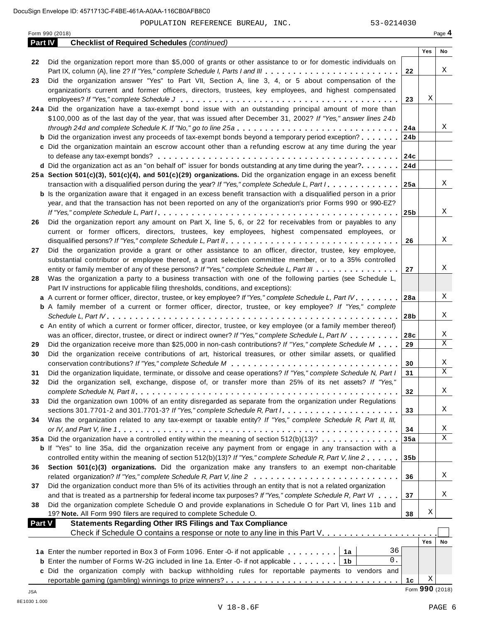Form <sup>990</sup> (2018) Page **4**

| Part IV | <b>Checklist of Required Schedules (continued)</b>                                                                                                                                                                |                 |                 |        |
|---------|-------------------------------------------------------------------------------------------------------------------------------------------------------------------------------------------------------------------|-----------------|-----------------|--------|
|         |                                                                                                                                                                                                                   |                 | Yes             | No     |
| 22      | Did the organization report more than \$5,000 of grants or other assistance to or for domestic individuals on                                                                                                     |                 |                 |        |
|         | Part IX, column (A), line 2? If "Yes," complete Schedule I, Parts I and III                                                                                                                                       | 22              |                 | Χ      |
| 23      | Did the organization answer "Yes" to Part VII, Section A, line 3, 4, or 5 about compensation of the                                                                                                               |                 |                 |        |
|         | organization's current and former officers, directors, trustees, key employees, and highest compensated                                                                                                           |                 |                 |        |
|         |                                                                                                                                                                                                                   | 23              | Χ               |        |
|         | 24a Did the organization have a tax-exempt bond issue with an outstanding principal amount of more than                                                                                                           |                 |                 |        |
|         | \$100,000 as of the last day of the year, that was issued after December 31, 2002? If "Yes," answer lines 24b                                                                                                     |                 |                 |        |
|         |                                                                                                                                                                                                                   | 24a             |                 | Χ      |
|         | <b>b</b> Did the organization invest any proceeds of tax-exempt bonds beyond a temporary period exception?                                                                                                        | 24 <sub>b</sub> |                 |        |
|         | c Did the organization maintain an escrow account other than a refunding escrow at any time during the year                                                                                                       |                 |                 |        |
|         |                                                                                                                                                                                                                   | 24c             |                 |        |
|         | d Did the organization act as an "on behalf of" issuer for bonds outstanding at any time during the year?                                                                                                         | 24d             |                 |        |
|         | 25a Section 501(c)(3), 501(c)(4), and 501(c)(29) organizations. Did the organization engage in an excess benefit                                                                                                  |                 |                 |        |
|         | transaction with a disqualified person during the year? If "Yes," complete Schedule L, Part I.                                                                                                                    | 25a             |                 | X      |
|         | <b>b</b> Is the organization aware that it engaged in an excess benefit transaction with a disqualified person in a prior                                                                                         |                 |                 |        |
|         | year, and that the transaction has not been reported on any of the organization's prior Forms 990 or 990-EZ?                                                                                                      |                 |                 | X      |
|         | Did the organization report any amount on Part X, line 5, 6, or 22 for receivables from or payables to any                                                                                                        | 25 <sub>b</sub> |                 |        |
| 26      |                                                                                                                                                                                                                   |                 |                 |        |
|         | current or former officers, directors, trustees, key employees, highest compensated employees, or                                                                                                                 | 26              |                 | X      |
| 27      | Did the organization provide a grant or other assistance to an officer, director, trustee, key employee,                                                                                                          |                 |                 |        |
|         | substantial contributor or employee thereof, a grant selection committee member, or to a 35% controlled                                                                                                           |                 |                 |        |
|         | entity or family member of any of these persons? If "Yes," complete Schedule L, Part III                                                                                                                          | 27              |                 | Χ      |
| 28      | Was the organization a party to a business transaction with one of the following parties (see Schedule L,                                                                                                         |                 |                 |        |
|         | Part IV instructions for applicable filing thresholds, conditions, and exceptions):                                                                                                                               |                 |                 |        |
|         | a A current or former officer, director, trustee, or key employee? If "Yes," complete Schedule L, Part IV                                                                                                         | 28a             |                 | Χ      |
|         | <b>b</b> A family member of a current or former officer, director, trustee, or key employee? If "Yes," complete                                                                                                   |                 |                 |        |
|         |                                                                                                                                                                                                                   | 28b             |                 | X      |
|         | c An entity of which a current or former officer, director, trustee, or key employee (or a family member thereof)                                                                                                 |                 |                 |        |
|         | was an officer, director, trustee, or direct or indirect owner? If "Yes," complete Schedule L, Part IV                                                                                                            | 28c             |                 | Χ      |
| 29      | Did the organization receive more than \$25,000 in non-cash contributions? If "Yes," complete Schedule M                                                                                                          | 29              |                 | X      |
| 30      | Did the organization receive contributions of art, historical treasures, or other similar assets, or qualified                                                                                                    |                 |                 |        |
|         |                                                                                                                                                                                                                   | 30              |                 | X      |
| 31      | Did the organization liquidate, terminate, or dissolve and cease operations? If "Yes," complete Schedule N, Part I                                                                                                | 31              |                 | X      |
| 32      | Did the organization sell, exchange, dispose of, or transfer more than 25% of its net assets? If "Yes,"                                                                                                           |                 |                 |        |
|         |                                                                                                                                                                                                                   | 32              |                 | X      |
| 33      | Did the organization own 100% of an entity disregarded as separate from the organization under Regulations                                                                                                        |                 |                 |        |
|         |                                                                                                                                                                                                                   | 33              |                 | Χ      |
| 34      | Was the organization related to any tax-exempt or taxable entity? If "Yes," complete Schedule R, Part II, III,                                                                                                    |                 |                 |        |
|         |                                                                                                                                                                                                                   | 34              |                 | Χ<br>X |
|         | 35a Did the organization have a controlled entity within the meaning of section 512(b)(13)?                                                                                                                       | 35a             |                 |        |
|         | <b>b</b> If "Yes" to line 35a, did the organization receive any payment from or engage in any transaction with a                                                                                                  |                 |                 |        |
| 36      | controlled entity within the meaning of section 512(b)(13)? If "Yes," complete Schedule R, Part V, line 2<br>Section 501(c)(3) organizations. Did the organization make any transfers to an exempt non-charitable | 35 <sub>b</sub> |                 |        |
|         |                                                                                                                                                                                                                   | 36              |                 | Χ      |
| 37      | Did the organization conduct more than 5% of its activities through an entity that is not a related organization                                                                                                  |                 |                 |        |
|         | and that is treated as a partnership for federal income tax purposes? If "Yes," complete Schedule R, Part VI                                                                                                      | 37              |                 | Χ      |
| 38      | Did the organization complete Schedule O and provide explanations in Schedule O for Part VI, lines 11b and                                                                                                        |                 |                 |        |
|         | 19? Note. All Form 990 filers are required to complete Schedule O.                                                                                                                                                | 38              | Χ               |        |
| Part V  | <b>Statements Regarding Other IRS Filings and Tax Compliance</b>                                                                                                                                                  |                 |                 |        |
|         | Check if Schedule O contains a response or note to any line in this Part V.                                                                                                                                       |                 |                 |        |
|         |                                                                                                                                                                                                                   |                 | Yes             | No     |
|         | 36<br>1a Enter the number reported in Box 3 of Form 1096. Enter -0- if not applicable<br>1a                                                                                                                       |                 |                 |        |
|         | 0.<br><b>b</b> Enter the number of Forms W-2G included in line 1a. Enter -0- if not applicable<br>1b                                                                                                              |                 |                 |        |
|         | c Did the organization comply with backup withholding rules for reportable payments to vendors and                                                                                                                |                 |                 |        |
|         |                                                                                                                                                                                                                   | 1c              | Χ               |        |
| JSA     |                                                                                                                                                                                                                   |                 | Form 990 (2018) |        |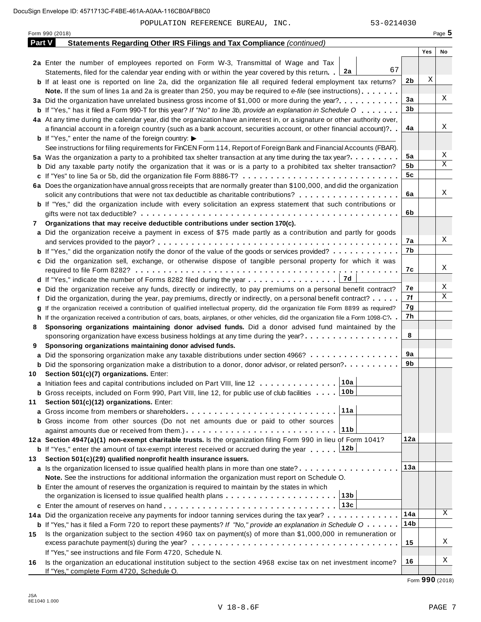|        | Form 990 (2018)                                                                                                                      |     |     | Page 5 |
|--------|--------------------------------------------------------------------------------------------------------------------------------------|-----|-----|--------|
| Part V | Statements Regarding Other IRS Filings and Tax Compliance (continued)                                                                |     |     |        |
|        |                                                                                                                                      |     | Yes | No     |
|        | 2a Enter the number of employees reported on Form W-3, Transmittal of Wage and Tax                                                   |     |     |        |
|        | 67<br>2a<br>Statements, filed for the calendar year ending with or within the year covered by this return. .                         |     |     |        |
|        | <b>b</b> If at least one is reported on line 2a, did the organization file all required federal employment tax returns?              | 2b  | Χ   |        |
|        | Note. If the sum of lines 1a and 2a is greater than 250, you may be required to e-file (see instructions)                            |     |     |        |
|        | 3a Did the organization have unrelated business gross income of \$1,000 or more during the year?                                     | 3a  |     | Χ      |
|        | <b>b</b> If "Yes," has it filed a Form 990-T for this year? If "No" to line 3b, provide an explanation in Schedule O                 | 3b  |     |        |
|        | 4a At any time during the calendar year, did the organization have an interest in, or a signature or other authority over,           |     |     |        |
|        | a financial account in a foreign country (such as a bank account, securities account, or other financial account)?                   | 4a  |     | Χ      |
|        | <b>b</b> If "Yes," enter the name of the foreign country: $\blacktriangleright$                                                      |     |     |        |
|        | See instructions for filing requirements for FinCEN Form 114, Report of Foreign Bank and Financial Accounts (FBAR).                  |     |     |        |
|        | 5a Was the organization a party to a prohibited tax shelter transaction at any time during the tax year?                             | 5a  |     | Χ      |
|        | <b>b</b> Did any taxable party notify the organization that it was or is a party to a prohibited tax shelter transaction?            | 5b  |     | Χ      |
|        | c If "Yes" to line 5a or 5b, did the organization file Form 8886-T?                                                                  | 5c  |     |        |
|        | 6a Does the organization have annual gross receipts that are normally greater than \$100,000, and did the organization               |     |     |        |
|        | solicit any contributions that were not tax deductible as charitable contributions?                                                  | 6a  |     | Χ      |
|        | <b>b</b> If "Yes," did the organization include with every solicitation an express statement that such contributions or              |     |     |        |
|        |                                                                                                                                      | 6b  |     |        |
| 7      | Organizations that may receive deductible contributions under section 170(c).                                                        |     |     |        |
|        | a Did the organization receive a payment in excess of \$75 made partly as a contribution and partly for goods                        |     |     |        |
|        |                                                                                                                                      | 7a  |     | Χ      |
|        |                                                                                                                                      | 7b  |     |        |
|        | <b>b</b> If "Yes," did the organization notify the donor of the value of the goods or services provided?                             |     |     |        |
|        | c Did the organization sell, exchange, or otherwise dispose of tangible personal property for which it was                           | 7c  |     | Χ      |
|        |                                                                                                                                      |     |     |        |
|        | 7d<br>d If "Yes," indicate the number of Forms 8282 filed during the year $\dots \dots \dots \dots \dots$                            |     |     | Χ      |
|        | e Did the organization receive any funds, directly or indirectly, to pay premiums on a personal benefit contract?                    | 7е  |     | Χ      |
|        | Did the organization, during the year, pay premiums, directly or indirectly, on a personal benefit contract?                         | 7f  |     |        |
|        | If the organization received a contribution of qualified intellectual property, did the organization file Form 8899 as required?     | 7g  |     |        |
|        | h If the organization received a contribution of cars, boats, airplanes, or other vehicles, did the organization file a Form 1098-C? | 7h  |     |        |
| 8      | Sponsoring organizations maintaining donor advised funds. Did a donor advised fund maintained by the                                 |     |     |        |
|        | sponsoring organization have excess business holdings at any time during the year?                                                   | 8   |     |        |
| 9      | Sponsoring organizations maintaining donor advised funds.                                                                            |     |     |        |
|        | <b>a</b> Did the sponsoring organization make any taxable distributions under section 4966?                                          | 9a  |     |        |
|        | <b>b</b> Did the sponsoring organization make a distribution to a donor, donor advisor, or related person?                           | 9b  |     |        |
|        | 10 Section 501(c)(7) organizations. Enter:                                                                                           |     |     |        |
|        | 10a <br>a Initiation fees and capital contributions included on Part VIII, line 12                                                   |     |     |        |
|        | <b>b</b> Gross receipts, included on Form 990, Part VIII, line 12, for public use of club facilities  10b                            |     |     |        |
| 11     | Section 501(c)(12) organizations. Enter:                                                                                             |     |     |        |
|        | 11a<br>a Gross income from members or shareholders                                                                                   |     |     |        |
|        | b Gross income from other sources (Do not net amounts due or paid to other sources                                                   |     |     |        |
|        | 11 <sub>b</sub>                                                                                                                      |     |     |        |
|        | 12a Section 4947(a)(1) non-exempt charitable trusts. Is the organization filing Form 990 in lieu of Form 1041?                       | 12a |     |        |
|        | <b>b</b> If "Yes," enter the amount of tax-exempt interest received or accrued during the year 12b                                   |     |     |        |
| 13     | Section 501(c)(29) qualified nonprofit health insurance issuers.                                                                     |     |     |        |
|        | a Is the organization licensed to issue qualified health plans in more than one state?                                               | 13а |     |        |
|        | Note. See the instructions for additional information the organization must report on Schedule O.                                    |     |     |        |
|        | <b>b</b> Enter the amount of reserves the organization is required to maintain by the states in which                                |     |     |        |
|        |                                                                                                                                      |     |     |        |
|        |                                                                                                                                      |     |     |        |
|        |                                                                                                                                      | 14a |     | Χ      |
|        | 14a Did the organization receive any payments for indoor tanning services during the tax year?                                       | 14b |     |        |
|        | <b>b</b> If "Yes," has it filed a Form 720 to report these payments? If "No," provide an explanation in Schedule O                   |     |     |        |
| 15.    | Is the organization subject to the section 4960 tax on payment(s) of more than \$1,000,000 in remuneration or                        |     |     | Χ      |
|        |                                                                                                                                      | 15  |     |        |
|        | If "Yes," see instructions and file Form 4720, Schedule N.                                                                           |     |     |        |
| 16     | Is the organization an educational institution subject to the section 4968 excise tax on net investment income?                      | 16  |     | Χ      |
|        | If "Yes," complete Form 4720, Schedule O.                                                                                            |     |     |        |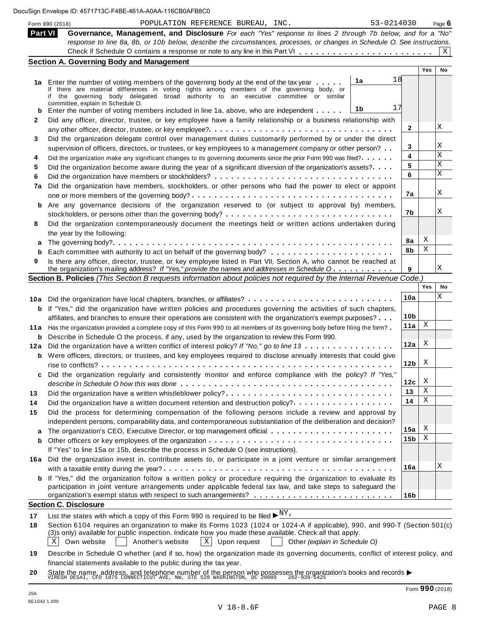|      | <b>Part VI</b><br>Governance, Management, and Disclosure For each "Yes" response to lines 2 through 7b below, and for a "No"                                                                                                             |                        |     |    |
|------|------------------------------------------------------------------------------------------------------------------------------------------------------------------------------------------------------------------------------------------|------------------------|-----|----|
|      |                                                                                                                                                                                                                                          |                        |     |    |
|      | response to line 8a, 8b, or 10b below, describe the circumstances, processes, or changes in Schedule O. See instructions.                                                                                                                |                        |     |    |
|      |                                                                                                                                                                                                                                          |                        |     | X  |
|      | <b>Section A. Governing Body and Management</b>                                                                                                                                                                                          |                        |     |    |
|      |                                                                                                                                                                                                                                          |                        | Yes | No |
|      | 18<br>1a<br>1a Enter the number of voting members of the governing body at the end of the tax year                                                                                                                                       |                        |     |    |
|      | If there are material differences in voting rights among members of the governing body, or<br>if the governing body delegated broad authority to an executive committee or similar                                                       |                        |     |    |
|      | committee, explain in Schedule O.                                                                                                                                                                                                        |                        |     |    |
| b    | 17<br>1b<br>Enter the number of voting members included in line 1a, above, who are independent                                                                                                                                           |                        |     |    |
| 2    | Did any officer, director, trustee, or key employee have a family relationship or a business relationship with                                                                                                                           |                        |     | X  |
| 3    |                                                                                                                                                                                                                                          | 2                      |     |    |
|      | Did the organization delegate control over management duties customarily performed by or under the direct                                                                                                                                |                        |     | Χ  |
| 4    | supervision of officers, directors, or trustees, or key employees to a management company or other person?                                                                                                                               | 3<br>4                 |     | X  |
|      | Did the organization make any significant changes to its governing documents since the prior Form 990 was filed?.                                                                                                                        | 5                      |     | X  |
|      | Did the organization become aware during the year of a significant diversion of the organization's assets?                                                                                                                               | 6                      |     | X  |
|      | Did the organization have members, stockholders, or other persons who had the power to elect or appoint                                                                                                                                  |                        |     |    |
| 7a   |                                                                                                                                                                                                                                          | 7a                     |     | X  |
|      | <b>b</b> Are any governance decisions of the organization reserved to (or subject to approval by) members,                                                                                                                               |                        |     |    |
|      |                                                                                                                                                                                                                                          | 7b                     |     | Χ  |
|      | Did the organization contemporaneously document the meetings held or written actions undertaken during                                                                                                                                   |                        |     |    |
|      | the year by the following:                                                                                                                                                                                                               |                        |     |    |
| a    |                                                                                                                                                                                                                                          | 8a                     | Χ   |    |
| b    |                                                                                                                                                                                                                                          | 8b                     | Χ   |    |
| 9    | Is there any officer, director, trustee, or key employee listed in Part VII, Section A, who cannot be reached at                                                                                                                         |                        |     |    |
|      | the organization's mailing address? If "Yes," provide the names and addresses in Schedule O                                                                                                                                              | 9                      |     | X  |
|      | Section B. Policies (This Section B requests information about policies not required by the Internal Revenue Code.)                                                                                                                      |                        |     |    |
|      |                                                                                                                                                                                                                                          |                        | Yes | No |
|      | 10a Did the organization have local chapters, branches, or affiliates?                                                                                                                                                                   | 10a                    |     | Χ  |
|      | <b>b</b> If "Yes," did the organization have written policies and procedures governing the activities of such chapters,                                                                                                                  |                        |     |    |
|      | affiliates, and branches to ensure their operations are consistent with the organization's exempt purposes?                                                                                                                              | 10 <sub>b</sub>        |     |    |
| 11 a | Has the organization provided a complete copy of this Form 990 to all members of its governing body before filing the form?                                                                                                              | 11a                    | Χ   |    |
| b    | Describe in Schedule O the process, if any, used by the organization to review this Form 990.                                                                                                                                            |                        |     |    |
| 12a  | Did the organization have a written conflict of interest policy? If "No," go to line 13                                                                                                                                                  | 12a                    | Χ   |    |
|      | <b>b</b> Were officers, directors, or trustees, and key employees required to disclose annually interests that could give                                                                                                                |                        |     |    |
|      |                                                                                                                                                                                                                                          | 12 <sub>b</sub>        | X   |    |
|      | Did the organization regularly and consistently monitor and enforce compliance with the policy? If "Yes,"                                                                                                                                |                        |     |    |
|      |                                                                                                                                                                                                                                          | 12c                    | X   |    |
|      | Did the organization have a written whistleblower policy?                                                                                                                                                                                | 13                     | Χ   |    |
|      | Did the organization have a written document retention and destruction policy?                                                                                                                                                           | 14                     | Χ   |    |
|      | Did the process for determining compensation of the following persons include a review and approval by                                                                                                                                   |                        |     |    |
|      | independent persons, comparability data, and contemporaneous substantiation of the deliberation and decision?                                                                                                                            |                        | Χ   |    |
| a    |                                                                                                                                                                                                                                          | 15a<br>15 <sub>b</sub> | Χ   |    |
| b    |                                                                                                                                                                                                                                          |                        |     |    |
|      | If "Yes" to line 15a or 15b, describe the process in Schedule O (see instructions).                                                                                                                                                      |                        |     |    |
|      | 16a Did the organization invest in, contribute assets to, or participate in a joint venture or similar arrangement                                                                                                                       | 16a                    |     | Χ  |
|      |                                                                                                                                                                                                                                          |                        |     |    |
|      | <b>b</b> If "Yes," did the organization follow a written policy or procedure requiring the organization to evaluate its<br>participation in joint venture arrangements under applicable federal tax law, and take steps to safeguard the |                        |     |    |
|      |                                                                                                                                                                                                                                          | 16 <sub>b</sub>        |     |    |
|      | <b>Section C. Disclosure</b>                                                                                                                                                                                                             |                        |     |    |
|      | List the states with which a copy of this Form 990 is required to be filed $\blacktriangleright^{\underline{NY}}$ .                                                                                                                      |                        |     |    |
|      | Section 6104 requires an organization to make its Forms 1023 (1024 or 1024-A if applicable), 990, and 990-T (Section 501(c)                                                                                                              |                        |     |    |
|      | (3)s only) available for public inspection. Indicate how you made these available. Check all that apply.                                                                                                                                 |                        |     |    |
|      | $\mathbf{X}$<br>X<br>Own website<br>Another's website<br>Upon request<br>Other (explain in Schedule O)                                                                                                                                   |                        |     |    |
|      | Describe in Schedule O whether (and if so, how) the organization made its governing documents, conflict of interest policy, and                                                                                                          |                        |     |    |
|      | financial statements available to the public during the tax year.                                                                                                                                                                        |                        |     |    |

**20** nnancial statements available to the public during the tax year.<br>State the name, address, and telephone number of the person who possesses the organization's books and records<br>VIRESH DESAI, CFO 1875 CONNECTICUT AVE, NW, ST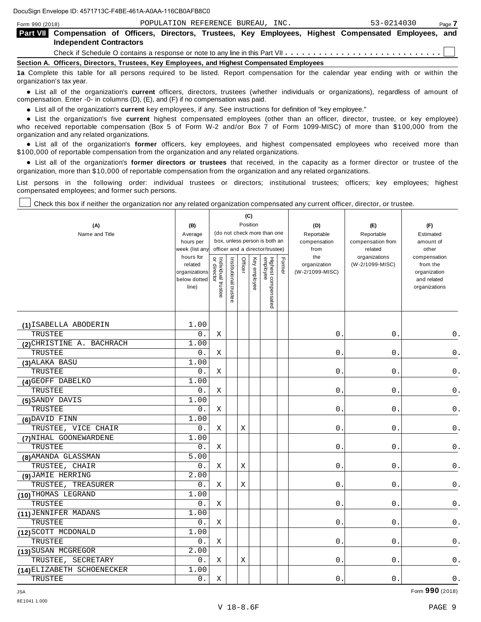| Form 990 (2018)                                                                            |                                                                                                                                                    |  | POPULATION REFERENCE BUREAU, INC. |  | 53-0214030 | Page 7 |  |  |  |  |
|--------------------------------------------------------------------------------------------|----------------------------------------------------------------------------------------------------------------------------------------------------|--|-----------------------------------|--|------------|--------|--|--|--|--|
|                                                                                            | <b>Part VII</b> Compensation of Officers, Directors, Trustees, Key Employees, Highest Compensated Employees, and<br><b>Independent Contractors</b> |  |                                   |  |            |        |  |  |  |  |
|                                                                                            |                                                                                                                                                    |  |                                   |  |            |        |  |  |  |  |
| Section A. Officers, Directors, Trustees, Key Employees, and Highest Compensated Employees |                                                                                                                                                    |  |                                   |  |            |        |  |  |  |  |
|                                                                                            | 1a Complete this table for all persons required to be listed. Report compensation for the calendar year ending with or within the                  |  |                                   |  |            |        |  |  |  |  |

organization's tax year.

anization's lax year.<br>● List all of the organization's **current** officers, directors, trustees (whether individuals or organizations), regardless of amount of<br>nnensation Enter -0- in columns (D) (E) and (E) if no compensa compensation. Enter -0- in columns (D), (E), and (F) if no compensation was paid.

• List all of the organization's **current** key employees, if any. See instructions for definition of "key employee."<br>● List the experientials five expect highest expressed explores (other than an efficer director of

**Example in the organization's current** key employees, if any. See instructions for definition of key employee.<br>• List the organization's five **current** highest compensated employees (other than an officer, director, trust who received reportable compensation (Box 5 of Form W-2 and/or Box 7 of Form 1099-MISC) of more than \$100,000 from the

organization and any related organizations.<br>• List all of the organization's **former** officers, key employees, and highest compensated employees who received more than<br>\$1.00.000 of reportable componention from the erganiza \$100,000 of reportable compensation from the organization and any related organizations.

% List all of the organization's **former directors or trustees** that received, in the capacity as a former director or trustee of the organization, more than \$10,000 of reportable compensation from the organization and any related organizations.

List persons in the following order: individual trustees or directors; institutional trustees; officers; key employees; highest compensated employees; and former such persons.

Check this box if neither the organization nor any related organization compensated any current officer, director, or trustee.

| (A)<br>Name and Title      | (B)<br>Average<br>hours per<br>week (list an<br>hours for<br>related<br>organizations<br>below dotted<br>line) | or director<br>Individual trustee | Institutional trustee | (C)<br>Officer | Position<br>Key employee | (do not check more than one<br>box, unless person is both an<br>officer and a director/trustee)<br>Highest compensated<br>employee | Former | (D)<br>Reportable<br>compensation<br>from<br>the<br>organization<br>(W-2/1099-MISC) | (E)<br>Reportable<br>compensation from<br>related<br>organizations<br>(W-2/1099-MISC) | (F)<br>Estimated<br>amount of<br>other<br>compensation<br>from the<br>organization<br>and related<br>organizations |
|----------------------------|----------------------------------------------------------------------------------------------------------------|-----------------------------------|-----------------------|----------------|--------------------------|------------------------------------------------------------------------------------------------------------------------------------|--------|-------------------------------------------------------------------------------------|---------------------------------------------------------------------------------------|--------------------------------------------------------------------------------------------------------------------|
| (1) ISABELLA ABODERIN      | 1.00                                                                                                           |                                   |                       |                |                          |                                                                                                                                    |        |                                                                                     |                                                                                       |                                                                                                                    |
| TRUSTEE                    | $0$ .                                                                                                          | Χ                                 |                       |                |                          |                                                                                                                                    |        | $0$ .                                                                               | 0.                                                                                    | 0.                                                                                                                 |
| (2) CHRISTINE A. BACHRACH  | 1.00                                                                                                           |                                   |                       |                |                          |                                                                                                                                    |        |                                                                                     |                                                                                       |                                                                                                                    |
| TRUSTEE                    | 0.                                                                                                             | Χ                                 |                       |                |                          |                                                                                                                                    |        | 0.                                                                                  | 0.                                                                                    | 0.                                                                                                                 |
| (3) ALAKA BASU             | 1.00                                                                                                           |                                   |                       |                |                          |                                                                                                                                    |        |                                                                                     |                                                                                       |                                                                                                                    |
| TRUSTEE                    | 0.                                                                                                             | Χ                                 |                       |                |                          |                                                                                                                                    |        | $0$ .                                                                               | $\boldsymbol{0}$ .                                                                    | $\mathsf 0$ .                                                                                                      |
| (4) GEOFF DABELKO          | 1.00                                                                                                           |                                   |                       |                |                          |                                                                                                                                    |        |                                                                                     |                                                                                       |                                                                                                                    |
| TRUSTEE                    | $0$ .                                                                                                          | Χ                                 |                       |                |                          |                                                                                                                                    |        | $0$ .                                                                               | $0$ .                                                                                 | $\mathsf 0$ .                                                                                                      |
| (5) SANDY DAVIS            | 1.00                                                                                                           |                                   |                       |                |                          |                                                                                                                                    |        |                                                                                     |                                                                                       |                                                                                                                    |
| TRUSTEE                    | 0.                                                                                                             | Χ                                 |                       |                |                          |                                                                                                                                    |        | 0.                                                                                  | $0$ .                                                                                 | $\mathsf 0$ .                                                                                                      |
| (6) DAVID FINN             | 1.00                                                                                                           |                                   |                       |                |                          |                                                                                                                                    |        |                                                                                     |                                                                                       |                                                                                                                    |
| TRUSTEE, VICE CHAIR        | $0$ .                                                                                                          | Χ                                 |                       | Χ              |                          |                                                                                                                                    |        | 0.                                                                                  | 0.                                                                                    | 0.                                                                                                                 |
| (7) NIHAL GOONEWARDENE     | 1.00                                                                                                           |                                   |                       |                |                          |                                                                                                                                    |        |                                                                                     |                                                                                       |                                                                                                                    |
| TRUSTEE                    | 0.                                                                                                             | Χ                                 |                       |                |                          |                                                                                                                                    |        | 0.                                                                                  | 0.                                                                                    | 0.                                                                                                                 |
| (8) AMANDA GLASSMAN        | 5.00                                                                                                           |                                   |                       |                |                          |                                                                                                                                    |        |                                                                                     |                                                                                       |                                                                                                                    |
| TRUSTEE, CHAIR             | $0$ .                                                                                                          | Χ                                 |                       | Χ              |                          |                                                                                                                                    |        | $0\,$ .                                                                             | 0.                                                                                    | 0.                                                                                                                 |
| (9) JAMIE HERRING          | 2.00                                                                                                           |                                   |                       |                |                          |                                                                                                                                    |        |                                                                                     |                                                                                       |                                                                                                                    |
| TRUSTEE, TREASURER         | 0.                                                                                                             | Χ                                 |                       | Χ              |                          |                                                                                                                                    |        | $\mathsf{O}$ .                                                                      | 0.                                                                                    | 0.                                                                                                                 |
| (10) THOMAS LEGRAND        | 1.00                                                                                                           |                                   |                       |                |                          |                                                                                                                                    |        |                                                                                     |                                                                                       |                                                                                                                    |
| <b>TRUSTEE</b>             | 0.                                                                                                             | X                                 |                       |                |                          |                                                                                                                                    |        | 0.                                                                                  | $0$ .                                                                                 | 0.                                                                                                                 |
| (11) JENNIFER MADANS       | 1.00                                                                                                           |                                   |                       |                |                          |                                                                                                                                    |        |                                                                                     |                                                                                       |                                                                                                                    |
| TRUSTEE                    | $0$ .                                                                                                          | Χ                                 |                       |                |                          |                                                                                                                                    |        | 0.                                                                                  | 0.                                                                                    | 0.                                                                                                                 |
| (12) SCOTT MCDONALD        | 1.00                                                                                                           |                                   |                       |                |                          |                                                                                                                                    |        |                                                                                     |                                                                                       |                                                                                                                    |
| TRUSTEE                    | 0.                                                                                                             | Χ                                 |                       |                |                          |                                                                                                                                    |        | 0.                                                                                  | $0$ .                                                                                 | 0.                                                                                                                 |
| (13) SUSAN MCGREGOR        | 2.00                                                                                                           |                                   |                       |                |                          |                                                                                                                                    |        |                                                                                     |                                                                                       |                                                                                                                    |
| TRUSTEE, SECRETARY         | 0.                                                                                                             | Χ                                 |                       | Χ              |                          |                                                                                                                                    |        | О.                                                                                  | $0$ .                                                                                 | 0.                                                                                                                 |
| (14) ELIZABETH SCHOENECKER | 1.00                                                                                                           |                                   |                       |                |                          |                                                                                                                                    |        |                                                                                     |                                                                                       |                                                                                                                    |
| TRUSTEE                    | 0.                                                                                                             | Χ                                 |                       |                |                          |                                                                                                                                    |        | 0.                                                                                  | 0.                                                                                    | $0$ .                                                                                                              |

JSA Form **990** (2018)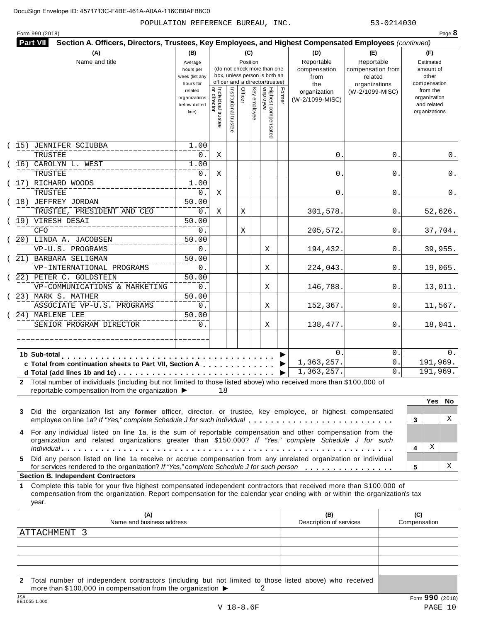POPULATION REFERENCE BUREAU, INC. 53-0214030

| (A)                                                                                                                                                                                                                                                             | (B)                                                                                                                |                                      |                       | (C)     |              |                                                                    |        | (D)                                    | (E)                                        | (F)                                                                      |
|-----------------------------------------------------------------------------------------------------------------------------------------------------------------------------------------------------------------------------------------------------------------|--------------------------------------------------------------------------------------------------------------------|--------------------------------------|-----------------------|---------|--------------|--------------------------------------------------------------------|--------|----------------------------------------|--------------------------------------------|--------------------------------------------------------------------------|
| Name and title                                                                                                                                                                                                                                                  | Position<br>Average<br>(do not check more than one<br>hours per<br>box, unless person is both an<br>week (list any |                                      |                       |         |              |                                                                    |        | Reportable<br>compensation<br>from     | Reportable<br>compensation from<br>related | Estimated<br>amount of<br>other                                          |
|                                                                                                                                                                                                                                                                 | hours for<br>related<br>organizations<br>below dotted<br>line)                                                     | Individual trustee<br>   or director | Institutional trustee | Officer | Key employee | officer and a director/trustee)<br>Highest compensated<br>employee | Former | the<br>organization<br>(W-2/1099-MISC) | organizations<br>(W-2/1099-MISC)           | compensation<br>from the<br>organization<br>and related<br>organizations |
| JENNIFER SCIUBBA<br>(15)                                                                                                                                                                                                                                        | 1.00                                                                                                               |                                      |                       |         |              |                                                                    |        |                                        |                                            |                                                                          |
| TRUSTEE<br>(16) CAROLYN L. WEST                                                                                                                                                                                                                                 | 0.<br>1.00                                                                                                         | Χ                                    |                       |         |              |                                                                    |        | 0.                                     | 0.                                         | $0$ .                                                                    |
| TRUSTEE                                                                                                                                                                                                                                                         | 0.                                                                                                                 | Χ                                    |                       |         |              |                                                                    |        | 0.                                     | 0                                          | 0.                                                                       |
| (17) RICHARD WOODS                                                                                                                                                                                                                                              | 1.00                                                                                                               |                                      |                       |         |              |                                                                    |        |                                        |                                            |                                                                          |
| TRUSTEE                                                                                                                                                                                                                                                         | 0.                                                                                                                 | Χ                                    |                       |         |              |                                                                    |        | 0.                                     | 0                                          | 0.                                                                       |
| (18) JEFFREY JORDAN                                                                                                                                                                                                                                             | 50.00                                                                                                              |                                      |                       |         |              |                                                                    |        |                                        |                                            |                                                                          |
| TRUSTEE, PRESIDENT AND CEO                                                                                                                                                                                                                                      | 0.                                                                                                                 | Χ                                    |                       | Χ       |              |                                                                    |        | 301,578.                               | 0.                                         | 52,626.                                                                  |
| (19) VIRESH DESAI                                                                                                                                                                                                                                               | 50.00                                                                                                              |                                      |                       |         |              |                                                                    |        |                                        |                                            |                                                                          |
| CFO                                                                                                                                                                                                                                                             | 0.                                                                                                                 |                                      |                       | Χ       |              |                                                                    |        | 205,572.                               | 0.                                         | 37,704.                                                                  |
| (20) LINDA A. JACOBSEN                                                                                                                                                                                                                                          | 50.00                                                                                                              |                                      |                       |         |              |                                                                    |        |                                        |                                            |                                                                          |
| VP-U.S. PROGRAMS                                                                                                                                                                                                                                                | 0.                                                                                                                 |                                      |                       |         |              | X                                                                  |        | 194,432.                               | 0.                                         | 39,955.                                                                  |
| (21) BARBARA SELIGMAN                                                                                                                                                                                                                                           | 50.00                                                                                                              |                                      |                       |         |              |                                                                    |        |                                        |                                            |                                                                          |
| VP-INTERNATIONAL PROGRAMS<br>(22) PETER C. GOLDSTEIN                                                                                                                                                                                                            | 0.<br>50.00                                                                                                        |                                      |                       |         |              | X                                                                  |        | 224,043.                               | 0.                                         | 19,065.                                                                  |
| VP-COMMUNICATIONS & MARKETING                                                                                                                                                                                                                                   | 0.                                                                                                                 |                                      |                       |         |              | Χ                                                                  |        | 146,788.                               | 0.                                         | 13,011.                                                                  |
| (23) MARK S. MATHER                                                                                                                                                                                                                                             | 50.00                                                                                                              |                                      |                       |         |              |                                                                    |        |                                        |                                            |                                                                          |
| ASSOCIATE VP-U.S. PROGRAMS                                                                                                                                                                                                                                      | 0.                                                                                                                 |                                      |                       |         |              | Χ                                                                  |        | 152,367.                               | 0.                                         | 11,567.                                                                  |
| (24) MARLENE LEE                                                                                                                                                                                                                                                | 50.00                                                                                                              |                                      |                       |         |              |                                                                    |        |                                        |                                            |                                                                          |
| SENIOR PROGRAM DIRECTOR                                                                                                                                                                                                                                         | 0.                                                                                                                 |                                      |                       |         |              | Χ                                                                  |        | 138,477.                               | 0.                                         | 18,041.                                                                  |
|                                                                                                                                                                                                                                                                 |                                                                                                                    |                                      |                       |         |              |                                                                    |        |                                        |                                            |                                                                          |
|                                                                                                                                                                                                                                                                 |                                                                                                                    |                                      |                       |         |              |                                                                    |        | 0<br>1,363,257.                        | $\mathbf 0$ .<br>0.                        | 0.<br>191,969.                                                           |
| c Total from continuation sheets to Part VII, Section A                                                                                                                                                                                                         |                                                                                                                    |                                      |                       |         |              |                                                                    |        | 1,363,257.                             | 0.                                         | 191,969.                                                                 |
| 2 Total number of individuals (including but not limited to those listed above) who received more than \$100,000 of                                                                                                                                             |                                                                                                                    |                                      |                       |         |              |                                                                    | ▶      |                                        |                                            |                                                                          |
| reportable compensation from the organization ▶                                                                                                                                                                                                                 |                                                                                                                    | 18                                   |                       |         |              |                                                                    |        |                                        |                                            |                                                                          |
|                                                                                                                                                                                                                                                                 |                                                                                                                    |                                      |                       |         |              |                                                                    |        |                                        |                                            | <b>Yes</b><br>No.                                                        |
| Did the organization list any former officer, director, or trustee, key employee, or highest compensated<br>3<br>employee on line 1a? If "Yes," complete Schedule J for such individual                                                                         |                                                                                                                    |                                      |                       |         |              |                                                                    |        |                                        |                                            | X<br>3                                                                   |
| For any individual listed on line 1a, is the sum of reportable compensation and other compensation from the<br>4<br>organization and related organizations greater than \$150,000? If "Yes," complete Schedule J for such                                       |                                                                                                                    |                                      |                       |         |              |                                                                    |        |                                        |                                            | Χ                                                                        |
| Did any person listed on line 1a receive or accrue compensation from any unrelated organization or individual<br>5.                                                                                                                                             |                                                                                                                    |                                      |                       |         |              |                                                                    |        |                                        |                                            | 4                                                                        |
| for services rendered to the organization? If "Yes," complete Schedule J for such person                                                                                                                                                                        |                                                                                                                    |                                      |                       |         |              |                                                                    |        |                                        |                                            | х<br>5                                                                   |
| <b>Section B. Independent Contractors</b>                                                                                                                                                                                                                       |                                                                                                                    |                                      |                       |         |              |                                                                    |        |                                        |                                            |                                                                          |
| Complete this table for your five highest compensated independent contractors that received more than \$100,000 of<br>1.<br>compensation from the organization. Report compensation for the calendar year ending with or within the organization's tax<br>year. |                                                                                                                    |                                      |                       |         |              |                                                                    |        |                                        |                                            |                                                                          |
| (A)<br>Name and business address                                                                                                                                                                                                                                |                                                                                                                    |                                      |                       |         |              |                                                                    |        | (B)<br>Description of services         |                                            | (C)<br>Compensation                                                      |
|                                                                                                                                                                                                                                                                 |                                                                                                                    |                                      |                       |         |              |                                                                    |        |                                        |                                            |                                                                          |
| ATTACHMENT 3                                                                                                                                                                                                                                                    |                                                                                                                    |                                      |                       |         |              |                                                                    |        |                                        |                                            |                                                                          |

**2** Total number of independent contractors (including but not limited to those listed above) who received more than \$100,000 in compensation from the organization  $\triangleright$  2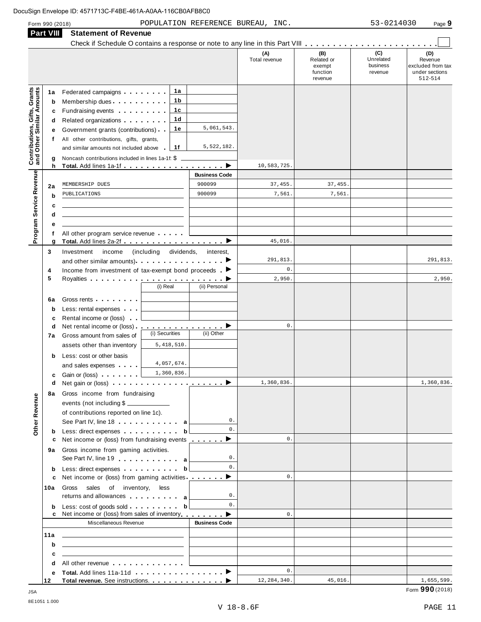| <b>Part VIII</b>                                                 | Check if Schedule O contains a response or note to any line in this Part VIII                                                                                                                                                             |                      |                      |                                                    |                                         |                                                                  |
|------------------------------------------------------------------|-------------------------------------------------------------------------------------------------------------------------------------------------------------------------------------------------------------------------------------------|----------------------|----------------------|----------------------------------------------------|-----------------------------------------|------------------------------------------------------------------|
|                                                                  |                                                                                                                                                                                                                                           |                      | (A)<br>Total revenue | (B)<br>Related or<br>exempt<br>function<br>revenue | (C)<br>Unrelated<br>business<br>revenue | (D)<br>Revenue<br>excluded from tax<br>under sections<br>512-514 |
| 1a                                                               | 1а<br>Federated campaigns                                                                                                                                                                                                                 |                      |                      |                                                    |                                         |                                                                  |
| b                                                                | 1b<br>Membership dues                                                                                                                                                                                                                     |                      |                      |                                                    |                                         |                                                                  |
| c                                                                | 1с<br>Fundraising events <b>Exercise State of America</b>                                                                                                                                                                                 |                      |                      |                                                    |                                         |                                                                  |
| d                                                                | 1d<br>Related organizations <b>contains</b> and the Related organizations and the Relations of the Relations of the Relations of the Relations of the Relations of Relations and Relations of Relations and Relations of Relations and Re |                      |                      |                                                    |                                         |                                                                  |
| е                                                                | 1е<br>Government grants (contributions)                                                                                                                                                                                                   | 5,061,543.           |                      |                                                    |                                         |                                                                  |
| f                                                                | All other contributions, gifts, grants,                                                                                                                                                                                                   |                      |                      |                                                    |                                         |                                                                  |
| <b>Contributions, Gifts, Grants</b><br>and Other Similar Amounts | and similar amounts not included above<br>1f                                                                                                                                                                                              | 5,522,182.           |                      |                                                    |                                         |                                                                  |
| g<br>h                                                           | Noncash contributions included in lines 1a-1f: \$                                                                                                                                                                                         | ▸                    | 10,583,725           |                                                    |                                         |                                                                  |
|                                                                  |                                                                                                                                                                                                                                           | <b>Business Code</b> |                      |                                                    |                                         |                                                                  |
| 2a                                                               | MEMBERSHIP DUES                                                                                                                                                                                                                           | 900099               | 37,455.              | 37,455.                                            |                                         |                                                                  |
| b                                                                | PUBLICATIONS                                                                                                                                                                                                                              | 900099               | 7,561.               | 7,561.                                             |                                         |                                                                  |
| c                                                                |                                                                                                                                                                                                                                           |                      |                      |                                                    |                                         |                                                                  |
| d                                                                |                                                                                                                                                                                                                                           |                      |                      |                                                    |                                         |                                                                  |
| е                                                                |                                                                                                                                                                                                                                           |                      |                      |                                                    |                                         |                                                                  |
| Program Service Revenue<br>f                                     | All other program service revenue                                                                                                                                                                                                         |                      |                      |                                                    |                                         |                                                                  |
| g                                                                | Total. Add lines 2a-2f ▶                                                                                                                                                                                                                  |                      | 45,016.              |                                                    |                                         |                                                                  |
| 3                                                                | Investment<br>income<br>including)<br>dividends,                                                                                                                                                                                          | interest.            |                      |                                                    |                                         |                                                                  |
|                                                                  |                                                                                                                                                                                                                                           |                      | 291,813.             |                                                    |                                         | 291,813.                                                         |
| 4                                                                | Income from investment of tax-exempt bond proceeds $\blacksquare$                                                                                                                                                                         |                      | $\mathbf 0$ .        |                                                    |                                         |                                                                  |
| 5                                                                | (i) Real                                                                                                                                                                                                                                  | (ii) Personal        | 2,950.               |                                                    |                                         | 2,950.                                                           |
|                                                                  |                                                                                                                                                                                                                                           |                      |                      |                                                    |                                         |                                                                  |
| 6a                                                               | Gross rents <b>contains a state of the state of the state of the state of the state of the state of the state of the state of the state of the state of the state of the state of the state of the state of the state of the sta</b>      |                      |                      |                                                    |                                         |                                                                  |
| b<br>c                                                           | Less: rental expenses<br>Rental income or (loss)                                                                                                                                                                                          |                      |                      |                                                    |                                         |                                                                  |
| d                                                                | Net rental income or (loss) $\ldots$ , $\ldots$ , $\ldots$ , $\blacktriangleright$                                                                                                                                                        |                      | $\mathbb O$ .        |                                                    |                                         |                                                                  |
| 7a                                                               | (i) Securities<br>Gross amount from sales of                                                                                                                                                                                              | (ii) Other           |                      |                                                    |                                         |                                                                  |
|                                                                  | 5, 418, 510.<br>assets other than inventory                                                                                                                                                                                               |                      |                      |                                                    |                                         |                                                                  |
| b                                                                | Less: cost or other basis                                                                                                                                                                                                                 |                      |                      |                                                    |                                         |                                                                  |
|                                                                  | 4,057,674.<br>and sales expenses                                                                                                                                                                                                          |                      |                      |                                                    |                                         |                                                                  |
| c                                                                | 1,360,836.<br>Gain or (loss) example.                                                                                                                                                                                                     |                      |                      |                                                    |                                         |                                                                  |
| d                                                                | Net gain or (loss) enterprise that is a set of the set of the set of the set of the set of the set of the set of the set of the set of the set of the set of the set of the set of the set of the set of the set of the set of            |                      | 1,360,836.           |                                                    |                                         | 1,360,836.                                                       |
| 8а                                                               | Gross income from fundraising                                                                                                                                                                                                             |                      |                      |                                                    |                                         |                                                                  |
|                                                                  | events (not including \$                                                                                                                                                                                                                  |                      |                      |                                                    |                                         |                                                                  |
|                                                                  | of contributions reported on line 1c).                                                                                                                                                                                                    | 0.                   |                      |                                                    |                                         |                                                                  |
| Other Revenue<br>b                                               | See Part IV, line 18 a<br>Less: direct expenses b                                                                                                                                                                                         | 0.                   |                      |                                                    |                                         |                                                                  |
| c                                                                | Net income or (loss) from fundraising events <u></u> ▶                                                                                                                                                                                    |                      | $\mathbf{0}$ .       |                                                    |                                         |                                                                  |
| 9а                                                               | Gross income from gaming activities.                                                                                                                                                                                                      |                      |                      |                                                    |                                         |                                                                  |
|                                                                  | See Part IV, line 19 and the Lines of Allen and Allen and Allen and Allen and Allen and Allen and Allen and Allen                                                                                                                         | 0.                   |                      |                                                    |                                         |                                                                  |
| b                                                                | Less: direct expenses by the state of the basic of the basic state of the basic state of the basic state of the basic state of the basic state of the basic state of the basic state of the basic state of the basic state of             | 0.                   |                      |                                                    |                                         |                                                                  |
| c                                                                | Net income or (loss) from gaming activities ________ ▶                                                                                                                                                                                    |                      | 0.                   |                                                    |                                         |                                                                  |
| 10a                                                              | Gross sales of inventory,<br>less                                                                                                                                                                                                         |                      |                      |                                                    |                                         |                                                                  |
|                                                                  | returns and allowances and allowances                                                                                                                                                                                                     | 0.                   |                      |                                                    |                                         |                                                                  |
| b                                                                | Less: $cost$ of goods sold b                                                                                                                                                                                                              | 0.                   | $\mathbf{0}$ .       |                                                    |                                         |                                                                  |
|                                                                  | Net income or (loss) from sales of inventory entitled by Denian Denian Denian Denian Denian Denian Denian Denia<br>Miscellaneous Revenue                                                                                                  | <b>Business Code</b> |                      |                                                    |                                         |                                                                  |
|                                                                  |                                                                                                                                                                                                                                           |                      |                      |                                                    |                                         |                                                                  |
| 11a                                                              | <u> 1989 - Johann Harry Harry Harry Harry Harry Harry Harry Harry Harry Harry Harry Harry Harry Harry Harry Harry</u><br><u> 1989 - Johann Barn, mars et al. (</u>                                                                        |                      |                      |                                                    |                                         |                                                                  |
| b<br>c                                                           | <u> 1989 - Andrea Station, amerikansk politik (</u>                                                                                                                                                                                       |                      |                      |                                                    |                                         |                                                                  |
| d                                                                | All other revenue                                                                                                                                                                                                                         |                      |                      |                                                    |                                         |                                                                  |
| е                                                                |                                                                                                                                                                                                                                           |                      | 0.                   |                                                    |                                         |                                                                  |
| 12                                                               |                                                                                                                                                                                                                                           |                      | 12, 284, 340.        | 45,016.                                            |                                         | 1,655,599.                                                       |

 $\blacksquare$  JSA  $\blacksquare$   $\blacksquare$   $\blacksquare$   $\blacksquare$   $\blacksquare$   $\blacksquare$   $\blacksquare$   $\blacksquare$   $\blacksquare$   $\blacksquare$   $\blacksquare$   $\blacksquare$   $\blacksquare$   $\blacksquare$   $\blacksquare$   $\blacksquare$   $\blacksquare$   $\blacksquare$   $\blacksquare$   $\blacksquare$   $\blacksquare$   $\blacksquare$   $\blacksquare$   $\blacksquare$   $\blacksquare$   $\blacksquare$   $\blacksquare$   $\blacksquare$   $\blacksquare$   $\blacksquare$  8E1051 1.000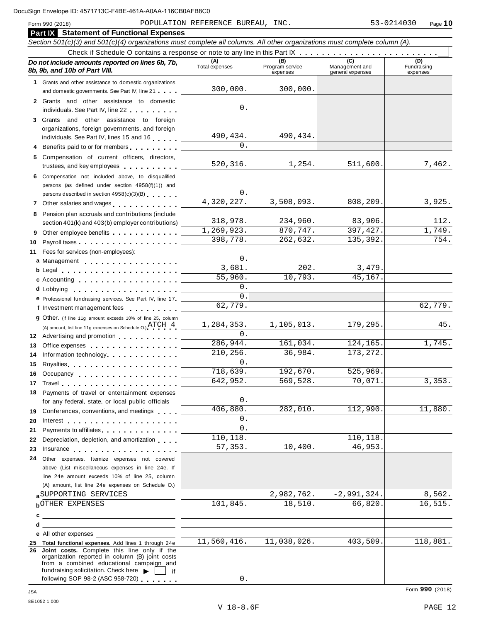|    | <b>Part IX</b> Statement of Functional Expenses                                                                                                                                                                                      |                       |                                    |                                           |                                |  |  |  |  |  |  |  |
|----|--------------------------------------------------------------------------------------------------------------------------------------------------------------------------------------------------------------------------------------|-----------------------|------------------------------------|-------------------------------------------|--------------------------------|--|--|--|--|--|--|--|
|    | Section 501(c)(3) and 501(c)(4) organizations must complete all columns. All other organizations must complete column (A).                                                                                                           |                       |                                    |                                           |                                |  |  |  |  |  |  |  |
|    |                                                                                                                                                                                                                                      |                       |                                    |                                           |                                |  |  |  |  |  |  |  |
|    | Do not include amounts reported on lines 6b, 7b,<br>8b, 9b, and 10b of Part VIII.                                                                                                                                                    | (A)<br>Total expenses | (B)<br>Program service<br>expenses | (C)<br>Management and<br>general expenses | (D)<br>Fundraising<br>expenses |  |  |  |  |  |  |  |
|    | 1 Grants and other assistance to domestic organizations                                                                                                                                                                              |                       |                                    |                                           |                                |  |  |  |  |  |  |  |
|    | and domestic governments. See Part IV, line 21                                                                                                                                                                                       | 300,000.              | 300,000.                           |                                           |                                |  |  |  |  |  |  |  |
|    | 2 Grants and other assistance to domestic<br>individuals. See Part IV, line 22                                                                                                                                                       | $\mathsf{O}$          |                                    |                                           |                                |  |  |  |  |  |  |  |
|    | 3 Grants and other assistance to foreign                                                                                                                                                                                             |                       |                                    |                                           |                                |  |  |  |  |  |  |  |
|    | organizations, foreign governments, and foreign                                                                                                                                                                                      |                       |                                    |                                           |                                |  |  |  |  |  |  |  |
|    | individuals. See Part IV, lines 15 and 16                                                                                                                                                                                            | 490,434.<br>$\Omega$  | 490,434.                           |                                           |                                |  |  |  |  |  |  |  |
|    | Benefits paid to or for members                                                                                                                                                                                                      |                       |                                    |                                           |                                |  |  |  |  |  |  |  |
|    | 5 Compensation of current officers, directors,<br>trustees, and key employees                                                                                                                                                        | 520, 316.             | 1,254.                             | 511,600.                                  | 7,462.                         |  |  |  |  |  |  |  |
|    | 6 Compensation not included above, to disqualified                                                                                                                                                                                   |                       |                                    |                                           |                                |  |  |  |  |  |  |  |
|    | persons (as defined under section 4958(f)(1)) and                                                                                                                                                                                    | 0                     |                                    |                                           |                                |  |  |  |  |  |  |  |
|    | persons described in section 4958(c)(3)(B)                                                                                                                                                                                           | 4,320,227.            | 3,508,093.                         | 808,209.                                  | 3,925.                         |  |  |  |  |  |  |  |
|    | 7 Other salaries and wages                                                                                                                                                                                                           |                       |                                    |                                           |                                |  |  |  |  |  |  |  |
|    | 8 Pension plan accruals and contributions (include<br>section 401(k) and 403(b) employer contributions)                                                                                                                              | 318,978.              | 234,960.                           | 83,906.                                   | 112.                           |  |  |  |  |  |  |  |
|    | Other employee benefits                                                                                                                                                                                                              | 1,269,923.            | 870,747.                           | 397, 427.                                 | 1,749.                         |  |  |  |  |  |  |  |
| 10 |                                                                                                                                                                                                                                      | 398,778.              | 262,632.                           | 135,392.                                  | 754.                           |  |  |  |  |  |  |  |
|    | 11 Fees for services (non-employees):                                                                                                                                                                                                |                       |                                    |                                           |                                |  |  |  |  |  |  |  |
|    | a Management                                                                                                                                                                                                                         | $\mathsf{O}$          |                                    |                                           |                                |  |  |  |  |  |  |  |
|    | b Legal entering the service of the service of the service of the service of the service of the service of the                                                                                                                       | 3,681.                | 202.                               | 3,479.                                    |                                |  |  |  |  |  |  |  |
|    | c Accounting                                                                                                                                                                                                                         | 55,960.               | 10,793.                            | 45,167.                                   |                                |  |  |  |  |  |  |  |
|    |                                                                                                                                                                                                                                      | 0                     |                                    |                                           |                                |  |  |  |  |  |  |  |
|    | e Professional fundraising services. See Part IV, line 17                                                                                                                                                                            | $\Omega$              |                                    |                                           |                                |  |  |  |  |  |  |  |
|    | f Investment management fees                                                                                                                                                                                                         | 62,779.               |                                    |                                           | 62,779.                        |  |  |  |  |  |  |  |
|    | 9 Other. (If line 11g amount exceeds 10% of line 25, column<br>(A) amount, list line 11g expenses on Schedule O.) $\text{ATCH} \quad 4$ .                                                                                            | 1,284,353.            | 1,105,013.                         | 179,295.                                  | 45.                            |  |  |  |  |  |  |  |
|    | 12 Advertising and promotion                                                                                                                                                                                                         | $\Omega$ .            |                                    |                                           |                                |  |  |  |  |  |  |  |
| 13 | Office expenses extensive and the set of the set of the set of the set of the set of the set of the set of the                                                                                                                       | 286,944.              | 161,034.                           | 124,165.                                  | 1,745.                         |  |  |  |  |  |  |  |
| 14 | Information technology                                                                                                                                                                                                               | 210, 256.<br>$\Omega$ | 36,984.                            | 173, 272.                                 |                                |  |  |  |  |  |  |  |
| 15 |                                                                                                                                                                                                                                      | 718,639.              | 192,670.                           | 525,969.                                  |                                |  |  |  |  |  |  |  |
|    | 16 Occupancy                                                                                                                                                                                                                         | 642,952.              | 569,528.                           | 70,071.                                   | 3,353.                         |  |  |  |  |  |  |  |
| 17 | 18 Payments of travel or entertainment expenses                                                                                                                                                                                      |                       |                                    |                                           |                                |  |  |  |  |  |  |  |
|    | for any federal, state, or local public officials                                                                                                                                                                                    | 0                     |                                    |                                           |                                |  |  |  |  |  |  |  |
|    | 19 Conferences, conventions, and meetings                                                                                                                                                                                            | 406,880.              | 282,010.                           | 112,990.                                  | 11,880.                        |  |  |  |  |  |  |  |
| 20 | Interest experience and the set of the set of the set of the set of the set of the set of the set of the set of the set of the set of the set of the set of the set of the set of the set of the set of the set of the set of        | $\Omega$              |                                    |                                           |                                |  |  |  |  |  |  |  |
| 21 | Payments to affiliates.                                                                                                                                                                                                              | 0                     |                                    |                                           |                                |  |  |  |  |  |  |  |
| 22 | Depreciation, depletion, and amortization                                                                                                                                                                                            | 110,118.              |                                    | 110,118.                                  |                                |  |  |  |  |  |  |  |
| 23 | Insurance <b>All According to the Contract of the Contract of the Contract of the Contract of the Contract of the Contract of the Contract of the Contract of the Contract of the Contract of the Contract of the Contract of th</b> | 57,353.               | 10,400.                            | 46,953.                                   |                                |  |  |  |  |  |  |  |
| 24 | Other expenses. Itemize expenses not covered                                                                                                                                                                                         |                       |                                    |                                           |                                |  |  |  |  |  |  |  |
|    | above (List miscellaneous expenses in line 24e. If                                                                                                                                                                                   |                       |                                    |                                           |                                |  |  |  |  |  |  |  |
|    | line 24e amount exceeds 10% of line 25, column<br>(A) amount, list line 24e expenses on Schedule O.)                                                                                                                                 |                       |                                    |                                           |                                |  |  |  |  |  |  |  |
|    | SUPPORTING SERVICES                                                                                                                                                                                                                  |                       | 2,982,762.                         | $-2,991,324.$                             | 8,562.                         |  |  |  |  |  |  |  |
|    | <b>bOTHER EXPENSES</b>                                                                                                                                                                                                               | 101,845.              | 18,510.                            | 66,820.                                   | 16,515.                        |  |  |  |  |  |  |  |
|    | <u> 1980 - Johann Barn, amerikansk politiker (d. 1980)</u><br>c.                                                                                                                                                                     |                       |                                    |                                           |                                |  |  |  |  |  |  |  |
| d  | <u> 1989 - Johann Barbara, martxa alemaniar arg</u>                                                                                                                                                                                  |                       |                                    |                                           |                                |  |  |  |  |  |  |  |
|    | <b>e</b> All other expenses <b>Example 20</b>                                                                                                                                                                                        |                       |                                    |                                           |                                |  |  |  |  |  |  |  |
|    | 25 Total functional expenses. Add lines 1 through 24e                                                                                                                                                                                | 11,560,416.           | 11,038,026.                        | 403,509.                                  | 118,881.                       |  |  |  |  |  |  |  |
|    | 26 Joint costs. Complete this line only if the<br>organization reported in column (B) joint costs<br>from a combined educational campaign and                                                                                        |                       |                                    |                                           |                                |  |  |  |  |  |  |  |
|    | fundraising solicitation. Check here<br>lif<br>following SOP 98-2 (ASC 958-720)                                                                                                                                                      | $\mathbf 0$ .         |                                    |                                           |                                |  |  |  |  |  |  |  |
|    |                                                                                                                                                                                                                                      |                       |                                    |                                           |                                |  |  |  |  |  |  |  |

8E1052 1.000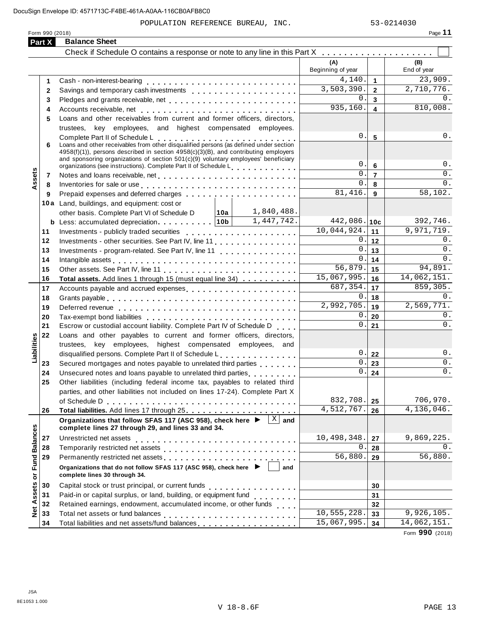POPULATION REFERENCE BUREAU, INC. 53-0214030

| Form 990 (2018) | $-11$<br>Page |  |
|-----------------|---------------|--|
|                 |               |  |

|                      | Part X       | <b>Balance Sheet</b>                                                                                                          |                               |                         |                      |
|----------------------|--------------|-------------------------------------------------------------------------------------------------------------------------------|-------------------------------|-------------------------|----------------------|
|                      |              | Check if Schedule O contains a response or note to any line in this Part X                                                    |                               |                         |                      |
|                      |              |                                                                                                                               | (A)<br>Beginning of year      |                         | (B)<br>End of year   |
|                      | 1            |                                                                                                                               | 4,140.                        | $\mathbf 1$             | $\overline{2}3,909.$ |
|                      | $\mathbf{2}$ |                                                                                                                               | 3,503,390.                    | $\overline{2}$          | 2,710,776.           |
|                      | 3            | Pledges and grants receivable, net enterprise and produce and grants receivable, net enterprise and produce and               | 0.                            | $\mathbf{3}$            | 0.                   |
|                      | 4            |                                                                                                                               | 935, 160.                     | $\overline{\mathbf{4}}$ | 810,008.             |
|                      | 5            | Loans and other receivables from current and former officers, directors,                                                      |                               |                         |                      |
|                      |              | trustees,<br>key employees, and highest compensated employees.                                                                |                               |                         |                      |
|                      |              | Complete Part II of Schedule L<br>Loans and other receivables from other disqualified persons (as defined under section       | 0.                            | $5\phantom{.0}$         | $0$ .                |
|                      | 6            | $4958(f)(1)$ , persons described in section $4958(c)(3)(B)$ , and contributing employers                                      |                               |                         |                      |
|                      |              | and sponsoring organizations of section $501(c)(9)$ voluntary employees' beneficiary                                          |                               |                         |                      |
|                      |              | organizations (see instructions). Complete Part II of Schedule L.                                                             | 0.                            | 6                       | $0$ .                |
| Assets               | 7            |                                                                                                                               | 0.                            | $\overline{7}$          | $0$ .                |
|                      | 8            | Inventories for sale or use enterpreteral and and an enterpreteral and an enterpreteral and an enterpreteral a                | 0.                            | 8                       | 0.                   |
|                      | 9            | Prepaid expenses and deferred charges                                                                                         | 81,416.                       | $\overline{9}$          | 58,102.              |
|                      |              | 10a Land, buildings, and equipment: cost or                                                                                   |                               |                         |                      |
|                      |              | 1,840,488.<br>other basis. Complete Part VI of Schedule D<br>│ 10a │                                                          |                               |                         |                      |
|                      |              | 1,447,742.<br><b>b</b> Less: accumulated depreciation   10b                                                                   | $442,086.$ 10c<br>10,044,924. |                         | 392,746.             |
|                      | 11           |                                                                                                                               |                               | 11                      | 9,971,719.<br>0.     |
|                      | 12           | Investments - other securities. See Part IV, line 11.                                                                         | 0.<br>0.                      | 12                      | $0$ .                |
|                      | 13<br>14     | Investments - program-related. See Part IV, line 11                                                                           | 0.                            | 13<br>14                | 0.                   |
|                      | 15           |                                                                                                                               | $\overline{56,879}$ .         | 15                      | 94,891.              |
|                      | 16           | Total assets. Add lines 1 through 15 (must equal line 34)                                                                     | 15,067,995.                   | 16                      | 14,062,151.          |
|                      | 17           | Accounts payable and accrued expenses entitled and accounts payable and accrued expenses                                      | 687,354.                      | 17                      | 859,305.             |
|                      | 18           |                                                                                                                               | 0.                            | 18                      | 0.                   |
|                      | 19           |                                                                                                                               | 2,992,705.                    | 19                      | 2,569,771.           |
|                      | 20           |                                                                                                                               | 0.                            | 20                      | 0.                   |
|                      | 21           | Escrow or custodial account liability. Complete Part IV of Schedule D                                                         | 0.                            | 21                      | 0.                   |
|                      | 22           | Loans and other payables to current and former officers, directors,                                                           |                               |                         |                      |
| Liabilities          |              | trustees, key employees, highest compensated employees, and                                                                   |                               |                         |                      |
|                      |              | disqualified persons. Complete Part II of Schedule L.                                                                         | 0.                            | 22                      | 0.                   |
|                      | 23           | Secured mortgages and notes payable to unrelated third parties                                                                | 0.                            | 23                      | 0.                   |
|                      | 24           | Unsecured notes and loans payable to unrelated third parties <b>contained</b>                                                 | 0.                            | 24                      | $0$ .                |
|                      | 25           | Other liabilities (including federal income tax, payables to related third                                                    |                               |                         |                      |
|                      |              | parties, and other liabilities not included on lines 17-24). Complete Part X                                                  |                               |                         |                      |
|                      |              | of Schedule D                                                                                                                 | 832,708.                      | 25                      | 706,970.             |
|                      | 26           |                                                                                                                               | 4,512,767.                    | 26                      | 4,136,046.           |
|                      |              | Organizations that follow SFAS 117 (ASC 958), check here ▶ │<br>$X$ and<br>complete lines 27 through 29, and lines 33 and 34. |                               |                         |                      |
|                      | 27           | Unrestricted net assets                                                                                                       | 10,498,348.                   | 27                      | 9,869,225.           |
|                      | 28           |                                                                                                                               | $\overline{0}$                | 28                      | 0.                   |
| <b>Fund Balances</b> | 29           | Permanently restricted net assets entertainment resumes and research and research and response to the results                 | 56,880.                       | 29                      | 56,880.              |
|                      |              | Organizations that do not follow SFAS 117 (ASC 958), check here ▶<br>and                                                      |                               |                         |                      |
|                      |              | complete lines 30 through 34.                                                                                                 |                               |                         |                      |
| Net Assets or        | 30           |                                                                                                                               |                               | 30                      |                      |
|                      | 31           | Paid-in or capital surplus, or land, building, or equipment fund                                                              |                               | 31                      |                      |
|                      | 32           | Retained earnings, endowment, accumulated income, or other funds                                                              |                               | 32                      |                      |
|                      | 33           |                                                                                                                               | 10, 555, 228.                 | 33                      | 9,926,105.           |
|                      | 34           |                                                                                                                               | 15,067,995.                   | 34                      | 14,062,151.          |

Form **990** (2018)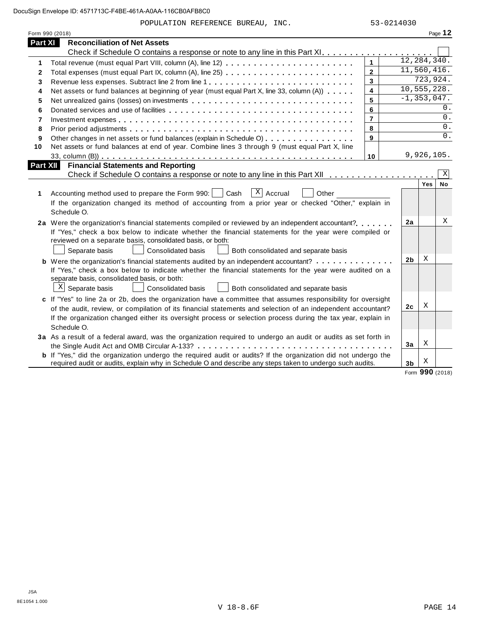POPULATION REFERENCE BUREAU, INC. 53-0214030

|                | Form 990 (2018)                                                                                                                                                                                                                                                                                                                                                   |                |                 |            | Page 12     |
|----------------|-------------------------------------------------------------------------------------------------------------------------------------------------------------------------------------------------------------------------------------------------------------------------------------------------------------------------------------------------------------------|----------------|-----------------|------------|-------------|
| Part XI        | <b>Reconciliation of Net Assets</b>                                                                                                                                                                                                                                                                                                                               |                |                 |            |             |
|                |                                                                                                                                                                                                                                                                                                                                                                   |                |                 |            |             |
| 1              |                                                                                                                                                                                                                                                                                                                                                                   | $\mathbf{1}$   | 12, 284, 340.   |            |             |
| $\mathbf{2}$   |                                                                                                                                                                                                                                                                                                                                                                   | $\overline{2}$ | 11,560,416.     |            |             |
| 3              | Revenue less expenses. Subtract line 2 from line 1                                                                                                                                                                                                                                                                                                                | 3              |                 | 723,924.   |             |
| 4              | Net assets or fund balances at beginning of year (must equal Part X, line 33, column (A))                                                                                                                                                                                                                                                                         | 4              | 10,555,228.     |            |             |
| 5              | Net unrealized gains (losses) on investments                                                                                                                                                                                                                                                                                                                      | 5              | $-1, 353, 047.$ |            |             |
| 6              |                                                                                                                                                                                                                                                                                                                                                                   | 6              |                 |            | 0.          |
| $\overline{7}$ |                                                                                                                                                                                                                                                                                                                                                                   | $\overline{7}$ |                 |            | 0.          |
| 8              |                                                                                                                                                                                                                                                                                                                                                                   | 8              |                 |            | 0.          |
| 9              | Other changes in net assets or fund balances (explain in Schedule O)                                                                                                                                                                                                                                                                                              | 9              |                 |            | 0.          |
| 10             | Net assets or fund balances at end of year. Combine lines 3 through 9 (must equal Part X, line                                                                                                                                                                                                                                                                    |                |                 |            |             |
|                |                                                                                                                                                                                                                                                                                                                                                                   | 10             |                 | 9,926,105. |             |
| Part XII       | <b>Financial Statements and Reporting</b>                                                                                                                                                                                                                                                                                                                         |                |                 |            |             |
|                |                                                                                                                                                                                                                                                                                                                                                                   |                |                 |            | $\mathbf X$ |
| 1              | $X$ Accrual<br>Accounting method used to prepare the Form 990:  <br>Cash<br>Other<br>If the organization changed its method of accounting from a prior year or checked "Other," explain in<br>Schedule O.                                                                                                                                                         |                |                 | Yes        | <b>No</b>   |
|                | 2a Were the organization's financial statements compiled or reviewed by an independent accountant?<br>If "Yes," check a box below to indicate whether the financial statements for the year were compiled or<br>reviewed on a separate basis, consolidated basis, or both:<br>Separate basis<br><b>Consolidated basis</b><br>Both consolidated and separate basis |                | 2a              |            | Χ           |
|                | <b>b</b> Were the organization's financial statements audited by an independent accountant?                                                                                                                                                                                                                                                                       |                | 2 <sub>b</sub>  | Χ          |             |
|                | If "Yes," check a box below to indicate whether the financial statements for the year were audited on a<br>separate basis, consolidated basis, or both:<br>$X$ Separate basis<br>Consolidated basis<br>Both consolidated and separate basis                                                                                                                       |                |                 |            |             |
|                | c If "Yes" to line 2a or 2b, does the organization have a committee that assumes responsibility for oversight                                                                                                                                                                                                                                                     |                |                 |            |             |
|                | of the audit, review, or compilation of its financial statements and selection of an independent accountant?                                                                                                                                                                                                                                                      |                | 2c              | Χ          |             |
|                | If the organization changed either its oversight process or selection process during the tax year, explain in<br>Schedule O.                                                                                                                                                                                                                                      |                |                 |            |             |
|                | 3a As a result of a federal award, was the organization required to undergo an audit or audits as set forth in                                                                                                                                                                                                                                                    |                | 3a              | Χ          |             |
|                | <b>b</b> If "Yes," did the organization undergo the required audit or audits? If the organization did not undergo the                                                                                                                                                                                                                                             |                |                 |            |             |
|                | required audit or audits, explain why in Schedule O and describe any steps taken to undergo such audits.                                                                                                                                                                                                                                                          |                | 3 <sub>b</sub>  | Χ          |             |

Form **990** (2018)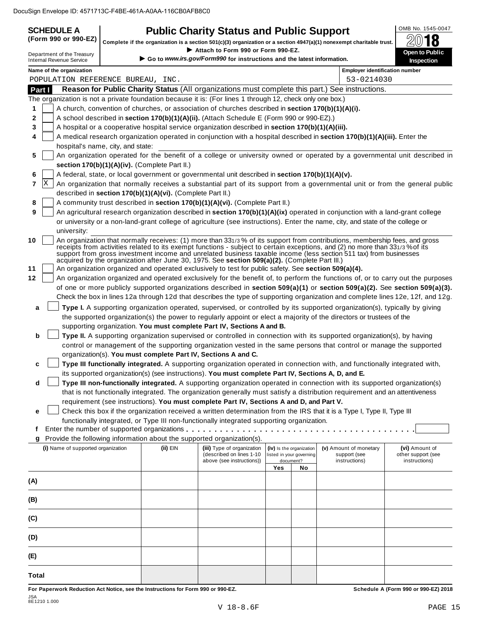| <b>SCHEDULE A</b> | <b>Public Charity Status and Public Support</b>                                                                                                                                                              | OMB No. 1545-0047 |
|-------------------|--------------------------------------------------------------------------------------------------------------------------------------------------------------------------------------------------------------|-------------------|
|                   | $(\mathsf{Form}\ 990\ \mathsf{or}\ 990\text{-}\mathsf{EZ})\ \mathsf{\Big }$ Complete if the organization is a section 501(c)(3) organization or a section 4947(a)(1) nonexempt charitable trust. $\mathsf I$ | 2018              |
|                   | $\blacktriangleright$ Attach to Earm 000 or Earm 000 EZ                                                                                                                                                      |                   |

|                                                               |                                                                                                                           |                                                            | Complete if the organization is a section 501(c)(3) organization or a section 4947(a)(1) nonexempt charitable trust. |                          |                          |                                                                                                                                  | 4V<br>10                                                                                                                     |  |
|---------------------------------------------------------------|---------------------------------------------------------------------------------------------------------------------------|------------------------------------------------------------|----------------------------------------------------------------------------------------------------------------------|--------------------------|--------------------------|----------------------------------------------------------------------------------------------------------------------------------|------------------------------------------------------------------------------------------------------------------------------|--|
| Department of the Treasury<br><b>Internal Revenue Service</b> |                                                                                                                           |                                                            | Attach to Form 990 or Form 990-EZ.<br>Go to www.irs.gov/Form990 for instructions and the latest information.         |                          |                          |                                                                                                                                  | Open to Public<br><b>Inspection</b>                                                                                          |  |
| Name of the organization                                      |                                                                                                                           |                                                            |                                                                                                                      |                          |                          | <b>Employer identification number</b>                                                                                            |                                                                                                                              |  |
| POPULATION REFERENCE BUREAU, INC.                             |                                                                                                                           |                                                            |                                                                                                                      |                          |                          | 53-0214030                                                                                                                       |                                                                                                                              |  |
| Part I                                                        |                                                                                                                           |                                                            |                                                                                                                      |                          |                          | Reason for Public Charity Status (All organizations must complete this part.) See instructions.                                  |                                                                                                                              |  |
|                                                               |                                                                                                                           |                                                            | The organization is not a private foundation because it is: (For lines 1 through 12, check only one box.)            |                          |                          |                                                                                                                                  |                                                                                                                              |  |
| 1                                                             |                                                                                                                           |                                                            | A church, convention of churches, or association of churches described in section 170(b)(1)(A)(i).                   |                          |                          |                                                                                                                                  |                                                                                                                              |  |
| 2                                                             |                                                                                                                           |                                                            | A school described in section 170(b)(1)(A)(ii). (Attach Schedule E (Form 990 or 990-EZ).)                            |                          |                          |                                                                                                                                  |                                                                                                                              |  |
| 3                                                             |                                                                                                                           |                                                            | A hospital or a cooperative hospital service organization described in section 170(b)(1)(A)(iii).                    |                          |                          |                                                                                                                                  |                                                                                                                              |  |
| 4                                                             | A medical research organization operated in conjunction with a hospital described in section 170(b)(1)(A)(iii). Enter the |                                                            |                                                                                                                      |                          |                          |                                                                                                                                  |                                                                                                                              |  |
|                                                               | hospital's name, city, and state:                                                                                         |                                                            |                                                                                                                      |                          |                          |                                                                                                                                  |                                                                                                                              |  |
| 5                                                             |                                                                                                                           |                                                            |                                                                                                                      |                          |                          |                                                                                                                                  | An organization operated for the benefit of a college or university owned or operated by a governmental unit described in    |  |
|                                                               |                                                                                                                           | section 170(b)(1)(A)(iv). (Complete Part II.)              |                                                                                                                      |                          |                          |                                                                                                                                  |                                                                                                                              |  |
| 6                                                             |                                                                                                                           |                                                            | A federal, state, or local government or governmental unit described in section 170(b)(1)(A)(v).                     |                          |                          |                                                                                                                                  |                                                                                                                              |  |
| ΙX<br>7                                                       |                                                                                                                           |                                                            |                                                                                                                      |                          |                          |                                                                                                                                  | An organization that normally receives a substantial part of its support from a governmental unit or from the general public |  |
|                                                               |                                                                                                                           | described in section 170(b)(1)(A)(vi). (Complete Part II.) |                                                                                                                      |                          |                          |                                                                                                                                  |                                                                                                                              |  |
| 8                                                             |                                                                                                                           |                                                            | A community trust described in section 170(b)(1)(A)(vi). (Complete Part II.)                                         |                          |                          |                                                                                                                                  |                                                                                                                              |  |
| 9                                                             |                                                                                                                           |                                                            |                                                                                                                      |                          |                          | An agricultural research organization described in section 170(b)(1)(A)(ix) operated in conjunction with a land-grant college    |                                                                                                                              |  |
|                                                               |                                                                                                                           |                                                            |                                                                                                                      |                          |                          | or university or a non-land-grant college of agriculture (see instructions). Enter the name, city, and state of the college or   |                                                                                                                              |  |
| university:                                                   |                                                                                                                           |                                                            |                                                                                                                      |                          |                          |                                                                                                                                  |                                                                                                                              |  |
| 10                                                            |                                                                                                                           |                                                            |                                                                                                                      |                          |                          | An organization that normally receives: (1) more than 331/3% of its support from contributions, membership fees, and gross       |                                                                                                                              |  |
|                                                               |                                                                                                                           |                                                            |                                                                                                                      |                          |                          | receipts from activities related to its exempt functions - subject to certain exceptions, and (2) no more than 331/3% of its     |                                                                                                                              |  |
|                                                               |                                                                                                                           |                                                            | acquired by the organization after June 30, 1975. See section 509(a)(2). (Complete Part III.)                        |                          |                          | support from gross investment income and unrelated business taxable income (less section 511 tax) from businesses                |                                                                                                                              |  |
| 11                                                            |                                                                                                                           |                                                            | An organization organized and operated exclusively to test for public safety. See section 509(a)(4).                 |                          |                          |                                                                                                                                  |                                                                                                                              |  |
| 12                                                            |                                                                                                                           |                                                            |                                                                                                                      |                          |                          | An organization organized and operated exclusively for the benefit of, to perform the functions of, or to carry out the purposes |                                                                                                                              |  |
|                                                               |                                                                                                                           |                                                            |                                                                                                                      |                          |                          | of one or more publicly supported organizations described in section 509(a)(1) or section 509(a)(2). See section 509(a)(3).      |                                                                                                                              |  |
|                                                               |                                                                                                                           |                                                            |                                                                                                                      |                          |                          | Check the box in lines 12a through 12d that describes the type of supporting organization and complete lines 12e, 12f, and 12g.  |                                                                                                                              |  |
| a                                                             |                                                                                                                           |                                                            |                                                                                                                      |                          |                          | Type I. A supporting organization operated, supervised, or controlled by its supported organization(s), typically by giving      |                                                                                                                              |  |
|                                                               |                                                                                                                           |                                                            |                                                                                                                      |                          |                          | the supported organization(s) the power to regularly appoint or elect a majority of the directors or trustees of the             |                                                                                                                              |  |
|                                                               |                                                                                                                           |                                                            | supporting organization. You must complete Part IV, Sections A and B.                                                |                          |                          |                                                                                                                                  |                                                                                                                              |  |
| b                                                             |                                                                                                                           |                                                            |                                                                                                                      |                          |                          | Type II. A supporting organization supervised or controlled in connection with its supported organization(s), by having          |                                                                                                                              |  |
|                                                               |                                                                                                                           |                                                            |                                                                                                                      |                          |                          | control or management of the supporting organization vested in the same persons that control or manage the supported             |                                                                                                                              |  |
|                                                               |                                                                                                                           |                                                            | organization(s). You must complete Part IV, Sections A and C.                                                        |                          |                          |                                                                                                                                  |                                                                                                                              |  |
| c                                                             |                                                                                                                           |                                                            |                                                                                                                      |                          |                          | Type III functionally integrated. A supporting organization operated in connection with, and functionally integrated with,       |                                                                                                                              |  |
|                                                               |                                                                                                                           |                                                            | its supported organization(s) (see instructions). You must complete Part IV, Sections A, D, and E.                   |                          |                          |                                                                                                                                  |                                                                                                                              |  |
| d                                                             |                                                                                                                           |                                                            |                                                                                                                      |                          |                          | Type III non-functionally integrated. A supporting organization operated in connection with its supported organization(s)        |                                                                                                                              |  |
|                                                               |                                                                                                                           |                                                            |                                                                                                                      |                          |                          | that is not functionally integrated. The organization generally must satisfy a distribution requirement and an attentiveness     |                                                                                                                              |  |
|                                                               |                                                                                                                           |                                                            | requirement (see instructions). You must complete Part IV, Sections A and D, and Part V.                             |                          |                          |                                                                                                                                  |                                                                                                                              |  |
| е                                                             |                                                                                                                           |                                                            |                                                                                                                      |                          |                          | Check this box if the organization received a written determination from the IRS that it is a Type I, Type II, Type III          |                                                                                                                              |  |
|                                                               |                                                                                                                           |                                                            | functionally integrated, or Type III non-functionally integrated supporting organization.                            |                          |                          |                                                                                                                                  |                                                                                                                              |  |
| f                                                             |                                                                                                                           |                                                            |                                                                                                                      |                          |                          |                                                                                                                                  |                                                                                                                              |  |
| g                                                             |                                                                                                                           |                                                            | Provide the following information about the supported organization(s).                                               |                          |                          |                                                                                                                                  |                                                                                                                              |  |
| (i) Name of supported organization                            |                                                                                                                           | (ii) EIN                                                   | (iii) Type of organization                                                                                           |                          | (iv) Is the organization | (v) Amount of monetary                                                                                                           | (vi) Amount of                                                                                                               |  |
|                                                               |                                                                                                                           |                                                            | (described on lines 1-10<br>above (see instructions))                                                                | listed in your governing | document?                | support (see<br>instructions)                                                                                                    | other support (see<br>instructions)                                                                                          |  |
|                                                               |                                                                                                                           |                                                            |                                                                                                                      | Yes                      | No                       |                                                                                                                                  |                                                                                                                              |  |
| (A)                                                           |                                                                                                                           |                                                            |                                                                                                                      |                          |                          |                                                                                                                                  |                                                                                                                              |  |
|                                                               |                                                                                                                           |                                                            |                                                                                                                      |                          |                          |                                                                                                                                  |                                                                                                                              |  |
| (B)                                                           |                                                                                                                           |                                                            |                                                                                                                      |                          |                          |                                                                                                                                  |                                                                                                                              |  |
| (C)                                                           |                                                                                                                           |                                                            |                                                                                                                      |                          |                          |                                                                                                                                  |                                                                                                                              |  |
| (D)                                                           |                                                                                                                           |                                                            |                                                                                                                      |                          |                          |                                                                                                                                  |                                                                                                                              |  |
| (E)                                                           |                                                                                                                           |                                                            |                                                                                                                      |                          |                          |                                                                                                                                  |                                                                                                                              |  |
|                                                               |                                                                                                                           |                                                            |                                                                                                                      |                          |                          |                                                                                                                                  |                                                                                                                              |  |
| <b>Total</b>                                                  |                                                                                                                           |                                                            |                                                                                                                      |                          |                          |                                                                                                                                  |                                                                                                                              |  |

For Paperwork Reduction Act Notice, see the Instructions for Form 990 or 990-EZ. Schedule A (Form 990 or 990-EZ) 2018

JSA 8E1210 1.000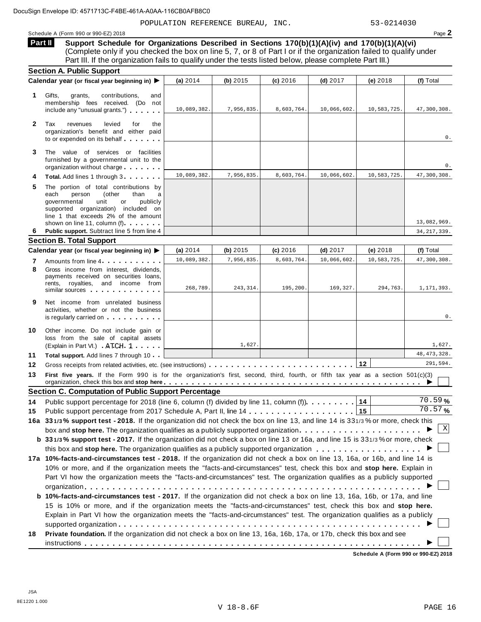POPULATION REFERENCE BUREAU, INC. 53-0214030

Schedule <sup>A</sup> (Form <sup>990</sup> or 990-EZ) <sup>2018</sup> Page **2**

**Support Schedule for Organizations Described in Sections 170(b)(1)(A)(iv) and 170(b)(1)(A)(vi)** (Complete only if you checked the box on line 5, 7, or 8 of Part I or if the organization failed to qualify under Part III. If the organization fails to qualify under the tests listed below, please complete Part III.) **Part II**

|              | <b>Section A. Public Support</b>                                                                                                                                                                                                                                                                                |             |            |            |             |              |                      |
|--------------|-----------------------------------------------------------------------------------------------------------------------------------------------------------------------------------------------------------------------------------------------------------------------------------------------------------------|-------------|------------|------------|-------------|--------------|----------------------|
|              | Calendar year (or fiscal year beginning in) ▶                                                                                                                                                                                                                                                                   | (a) 2014    | (b) 2015   | (c) 2016   | $(d)$ 2017  | (e) 2018     | (f) Total            |
| 1            | Gifts,<br>grants,<br>contributions,<br>and<br>membership fees received. (Do not<br>include any "unusual grants.")                                                                                                                                                                                               | 10,089,382. | 7,956,835. | 8,603,764. | 10,066,602. | 10,583,725.  | 47,300,308.          |
| $\mathbf{2}$ | Tax<br>levied<br>revenues<br>for<br>the<br>organization's benefit and either paid<br>to or expended on its behalf                                                                                                                                                                                               |             |            |            |             |              | 0.                   |
| 3            | The value of services or facilities<br>furnished by a governmental unit to the<br>organization without charge                                                                                                                                                                                                   |             |            |            |             |              | 0.                   |
|              | Total. Add lines 1 through 3                                                                                                                                                                                                                                                                                    | 10,089,382. | 7,956,835. | 8,603,764. | 10,066,602. | 10,583,725.  | 47,300,308.          |
| 5            | The portion of total contributions by<br>(other<br>each<br>person<br>than<br>a<br>governmental<br>unit<br>publicly<br>or<br>supported organization) included on<br>line 1 that exceeds 2% of the amount                                                                                                         |             |            |            |             |              |                      |
|              | shown on line 11, column (f).                                                                                                                                                                                                                                                                                   |             |            |            |             |              | 13,082,969.          |
| 6            | Public support. Subtract line 5 from line 4<br><b>Section B. Total Support</b>                                                                                                                                                                                                                                  |             |            |            |             |              | 34, 217, 339.        |
|              | Calendar year (or fiscal year beginning in) ▶                                                                                                                                                                                                                                                                   | (a) $2014$  | (b) 2015   | (c) 2016   | $(d)$ 2017  | (e) 2018     | (f) Total            |
| 7            | Amounts from line 4                                                                                                                                                                                                                                                                                             | 10,089,382. | 7,956,835. | 8,603,764. | 10,066,602  | 10,583,725.  | 47,300,308.          |
| 8            | Gross income from interest, dividends,<br>payments received on securities loans,<br>rents, royalties, and income from<br>similar sources experiences                                                                                                                                                            | 268,789.    | 243, 314.  | 195,200    | 169,327.    | 294,763.     | 1,171,393.           |
| 9            | Net income from unrelated business<br>activities, whether or not the business<br>is regularly carried on the control of the set of the control of the control of the control of the control of the control of the control of the control of the control of the control of the control of the control of the con |             |            |            |             |              | 0.                   |
| 10           | Other income. Do not include gain or<br>loss from the sale of capital assets<br>(Explain in Part VI.) ATCH 1                                                                                                                                                                                                    |             | 1,627.     |            |             |              | 1,627.               |
| 11           | <b>Total support.</b> Add lines 7 through 10                                                                                                                                                                                                                                                                    |             |            |            |             |              | 48, 473, 328.        |
| 12           |                                                                                                                                                                                                                                                                                                                 |             |            |            |             | $ 12\rangle$ | 291,594.             |
| 13           | First five years. If the Form 990 is for the organization's first, second, third, fourth, or fifth tax year as a section 501(c)(3)                                                                                                                                                                              |             |            |            |             |              |                      |
|              |                                                                                                                                                                                                                                                                                                                 |             |            |            |             |              |                      |
|              | <b>Section C. Computation of Public Support Percentage</b>                                                                                                                                                                                                                                                      |             |            |            |             |              |                      |
|              | Public support percentage for 2018 (line 6, column (f) divided by line 11, column (f) $\ldots \ldots \ldots$                                                                                                                                                                                                    |             |            |            |             |              | $\frac{1}{70}$ . 59% |
|              |                                                                                                                                                                                                                                                                                                                 |             |            |            |             |              | 70.57%               |
|              | 16a 331/3% support test - 2018. If the organization did not check the box on line 13, and line 14 is 331/3% or more, check this                                                                                                                                                                                 |             |            |            |             |              |                      |
|              | box and stop here. The organization qualifies as a publicly supported organization                                                                                                                                                                                                                              |             |            |            |             |              | Χ                    |
|              | b 331/3% support test - 2017. If the organization did not check a box on line 13 or 16a, and line 15 is 331/3% or more, check                                                                                                                                                                                   |             |            |            |             |              |                      |
|              |                                                                                                                                                                                                                                                                                                                 |             |            |            |             |              |                      |
|              | 17a 10%-facts-and-circumstances test - 2018. If the organization did not check a box on line 13, 16a, or 16b, and line 14 is                                                                                                                                                                                    |             |            |            |             |              |                      |
|              | 10% or more, and if the organization meets the "facts-and-circumstances" test, check this box and stop here. Explain in                                                                                                                                                                                         |             |            |            |             |              |                      |
|              | Part VI how the organization meets the "facts-and-circumstances" test. The organization qualifies as a publicly supported                                                                                                                                                                                       |             |            |            |             |              |                      |
|              |                                                                                                                                                                                                                                                                                                                 |             |            |            |             |              |                      |
| 14<br>15     | b 10%-facts-and-circumstances test - 2017. If the organization did not check a box on line 13, 16a, 16b, or 17a, and line                                                                                                                                                                                       |             |            |            |             |              |                      |
|              | 15 is 10% or more, and if the organization meets the "facts-and-circumstances" test, check this box and stop here.                                                                                                                                                                                              |             |            |            |             |              |                      |
|              | Explain in Part VI how the organization meets the "facts-and-circumstances" test. The organization qualifies as a publicly                                                                                                                                                                                      |             |            |            |             |              |                      |
|              |                                                                                                                                                                                                                                                                                                                 |             |            |            |             |              |                      |
| 18           | Private foundation. If the organization did not check a box on line 13, 16a, 16b, 17a, or 17b, check this box and see                                                                                                                                                                                           |             |            |            |             |              |                      |

**Schedule A (Form 990 or 990-EZ) 2018**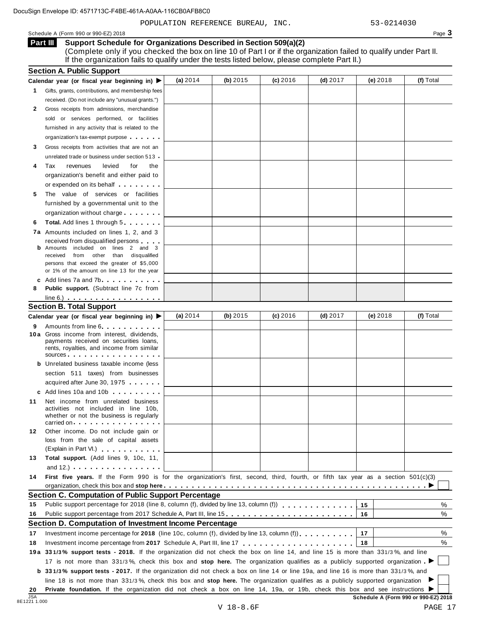POPULATION REFERENCE BUREAU, INC. 53-0214030

Schedule A (Form 990 or 990-EZ) 2018 Page 3

**Support Schedule for Organizations Described in Section 509(a)(2) Part III**

(Complete only if you checked the box on line 10 of Part I or if the organization failed to qualify under Part II. If the organization fails to qualify under the tests listed below, please complete Part II.)

|              | <b>Section A. Public Support</b>                                                                                                                                                                                                     |            |            |            |            |                                      |           |
|--------------|--------------------------------------------------------------------------------------------------------------------------------------------------------------------------------------------------------------------------------------|------------|------------|------------|------------|--------------------------------------|-----------|
|              | Calendar year (or fiscal year beginning in) $\blacktriangleright$                                                                                                                                                                    | (a) $2014$ | (b) $2015$ | (c) 2016   | (d) $2017$ | $(e)$ 2018                           | (f) Total |
| $\mathbf{1}$ | Gifts, grants, contributions, and membership fees                                                                                                                                                                                    |            |            |            |            |                                      |           |
|              | received. (Do not include any "unusual grants.")                                                                                                                                                                                     |            |            |            |            |                                      |           |
| 2            | Gross receipts from admissions, merchandise                                                                                                                                                                                          |            |            |            |            |                                      |           |
|              | sold or services performed, or facilities                                                                                                                                                                                            |            |            |            |            |                                      |           |
|              | furnished in any activity that is related to the                                                                                                                                                                                     |            |            |            |            |                                      |           |
|              | organization's tax-exempt purpose                                                                                                                                                                                                    |            |            |            |            |                                      |           |
| 3            | Gross receipts from activities that are not an                                                                                                                                                                                       |            |            |            |            |                                      |           |
|              | unrelated trade or business under section 513.                                                                                                                                                                                       |            |            |            |            |                                      |           |
| 4            | Tax<br>revenues<br>levied<br>for<br>the                                                                                                                                                                                              |            |            |            |            |                                      |           |
|              | organization's benefit and either paid to                                                                                                                                                                                            |            |            |            |            |                                      |           |
|              | or expended on its behalf <b>contains the set of the set of the set of the set of the set of the set of the set of the set of the set of the set of the set of the set of the set of the set of the set of the set of the set of</b> |            |            |            |            |                                      |           |
| 5            | The value of services or facilities                                                                                                                                                                                                  |            |            |            |            |                                      |           |
|              | furnished by a governmental unit to the                                                                                                                                                                                              |            |            |            |            |                                      |           |
|              | organization without charge                                                                                                                                                                                                          |            |            |            |            |                                      |           |
| 6            | <b>Total.</b> Add lines 1 through 5                                                                                                                                                                                                  |            |            |            |            |                                      |           |
|              | 7a Amounts included on lines 1, 2, and 3                                                                                                                                                                                             |            |            |            |            |                                      |           |
|              | received from disqualified persons                                                                                                                                                                                                   |            |            |            |            |                                      |           |
|              | <b>b</b> Amounts included on lines 2 and 3                                                                                                                                                                                           |            |            |            |            |                                      |           |
|              | received from other than disqualified                                                                                                                                                                                                |            |            |            |            |                                      |           |
|              | persons that exceed the greater of \$5,000                                                                                                                                                                                           |            |            |            |            |                                      |           |
|              | or 1% of the amount on line 13 for the year                                                                                                                                                                                          |            |            |            |            |                                      |           |
|              | c Add lines 7a and 7b.                                                                                                                                                                                                               |            |            |            |            |                                      |           |
| 8            | <b>Public support.</b> (Subtract line 7c from                                                                                                                                                                                        |            |            |            |            |                                      |           |
|              | $line 6.)$ $\ldots$ $\ldots$ $\ldots$ $\ldots$ $\ldots$ $\ldots$                                                                                                                                                                     |            |            |            |            |                                      |           |
|              | <b>Section B. Total Support</b>                                                                                                                                                                                                      |            |            |            |            |                                      |           |
|              | Calendar year (or fiscal year beginning in) ▶                                                                                                                                                                                        | (a) $2014$ | (b) $2015$ | $(c)$ 2016 | (d) $2017$ | $(e)$ 2018                           | (f) Total |
| 9            | Amounts from line 6                                                                                                                                                                                                                  |            |            |            |            |                                      |           |
|              | 10a Gross income from interest, dividends,<br>payments received on securities loans,                                                                                                                                                 |            |            |            |            |                                      |           |
|              | rents, royalties, and income from similar<br>sources                                                                                                                                                                                 |            |            |            |            |                                      |           |
|              | <b>b</b> Unrelated business taxable income (less                                                                                                                                                                                     |            |            |            |            |                                      |           |
|              | section 511 taxes) from businesses                                                                                                                                                                                                   |            |            |            |            |                                      |           |
|              | acquired after June 30, 1975                                                                                                                                                                                                         |            |            |            |            |                                      |           |
|              | c Add lines 10a and 10b                                                                                                                                                                                                              |            |            |            |            |                                      |           |
| 11           | Net income from unrelated business                                                                                                                                                                                                   |            |            |            |            |                                      |           |
|              | activities not included in line 10b,                                                                                                                                                                                                 |            |            |            |            |                                      |           |
|              | whether or not the business is regularly                                                                                                                                                                                             |            |            |            |            |                                      |           |
|              | carried on each carried on the carried on the case of the case of the case of the case of the case of the case of the case of the case of the case of the case of the case of the case of the case of the case of the case of        |            |            |            |            |                                      |           |
| 12           | Other income. Do not include gain or                                                                                                                                                                                                 |            |            |            |            |                                      |           |
|              | loss from the sale of capital assets<br>(Explain in Part VI.) <b>All Accords</b>                                                                                                                                                     |            |            |            |            |                                      |           |
| 13           | Total support. (Add lines 9, 10c, 11,                                                                                                                                                                                                |            |            |            |            |                                      |           |
|              | and $12.$ ) $\cdots$ $\cdots$ $\cdots$ $\cdots$ $\cdots$                                                                                                                                                                             |            |            |            |            |                                      |           |
| 14           | First five years. If the Form 990 is for the organization's first, second, third, fourth, or fifth tax year as a section 501(c)(3)                                                                                                   |            |            |            |            |                                      |           |
|              |                                                                                                                                                                                                                                      |            |            |            |            |                                      |           |
|              |                                                                                                                                                                                                                                      |            |            |            |            |                                      |           |
|              | <b>Section C. Computation of Public Support Percentage</b><br>Public support percentage for 2018 (line 8, column (f), divided by line 13, column (f))                                                                                |            |            |            |            |                                      | %         |
| 15           |                                                                                                                                                                                                                                      |            |            |            |            | 15                                   |           |
| 16           |                                                                                                                                                                                                                                      |            |            |            |            | 16                                   | %         |
|              | Section D. Computation of Investment Income Percentage                                                                                                                                                                               |            |            |            |            |                                      |           |
| 17           | Investment income percentage for 2018 (line 10c, column (f), divided by line 13, column (f) $\ldots$ , , , , , , ,                                                                                                                   |            |            |            |            | 17                                   | %         |
| 18           |                                                                                                                                                                                                                                      |            |            |            |            | 18                                   | %         |
|              | 19a 331/3% support tests - 2018. If the organization did not check the box on line 14, and line 15 is more than 331/3%, and line                                                                                                     |            |            |            |            |                                      |           |
|              | 17 is not more than 331/3%, check this box and stop here. The organization qualifies as a publicly supported organization                                                                                                            |            |            |            |            |                                      |           |
|              | <b>b</b> 331/3% support tests - 2017. If the organization did not check a box on line 14 or line 19a, and line 16 is more than 331/3%, and                                                                                           |            |            |            |            |                                      |           |
|              | line 18 is not more than 331/3%, check this box and stop here. The organization qualifies as a publicly supported organization                                                                                                       |            |            |            |            |                                      |           |
| 20           | Private foundation. If the organization did not check a box on line 14, 19a, or 19b, check this box and see instructions                                                                                                             |            |            |            |            |                                      |           |
| <b>JSA</b>   |                                                                                                                                                                                                                                      |            |            |            |            | Schedule A (Form 990 or 990-EZ) 2018 |           |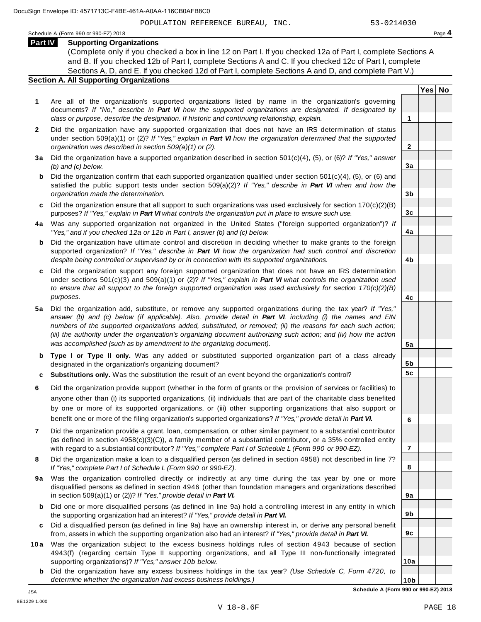**Yes No**

**2**

**3a**

**3b**

**3c**

**4a**

**4b**

**4c**

**5a**

**5b 5c**

**6**

**7**

**8**

**9a**

**9b**

**9c**

**10a**

Schedule <sup>A</sup> (Form <sup>990</sup> or 990-EZ) <sup>2018</sup> Page **4**

**Part IV Supporting Organizations**

(Complete only if you checked a box in line 12 on Part I. If you checked 12a of Part I, complete Sections A and B. If you checked 12b of Part I, complete Sections A and C. If you checked 12c of Part I, complete Sections A, D, and E. If you checked 12d of Part I, complete Sections A and D, and complete Part V.)

# **Section A. All Supporting Organizations**

- **1** Are all of the organization's supported organizations listed by name in the organization's governing documents? *If "No," describe in Part VI how the supported organizations are designated. If designated by class or purpose, describe the designation. If historic and continuing relationship, explain.* **1**
- **2** Did the organization have any supported organization that does not have an IRS determination of status under section 509(a)(1) or (2)? *If"Yes," explain in Part VI how the organization determined that the supported organization was described in section 509(a)(1) or (2).*
- **3 a** Did the organization have a supported organization described in section 501(c)(4), (5), or (6)? *If "Yes," answer (b) and (c) below.*
- **b** Did the organization confirm that each supported organization qualified under section 501(c)(4), (5), or (6) and | satisfied the public support tests under section 509(a)(2)? *If "Yes," describe in Part VI when and how the organization made the determination.*
- **c** Did the organization ensure that all support to such organizations was used exclusively for section 170(c)(2)(B) purposes? *If"Yes," explain in Part VI what controls the organization put in place to ensure such use.*
- **4 a** Was any supported organization not organized in the United States ("foreign supported organization")? *If "Yes," and if you checked 12a or 12b in Part I, answer (b) and (c) below.*
- **b** Did the organization have ultimate control and discretion in deciding whether to make grants to the foreign | supported organization? *If "Yes," describe in Part VI how the organization had such control and discretion despite being controlled or supervised by or in connection with its supported organizations.*
- **c** Did the organization support any foreign supported organization that does not have an IRS determination under sections 501(c)(3) and 509(a)(1) or (2)? *If "Yes," explain in Part VI what controls the organization used to ensure that all support to the foreign supported organization was used exclusively for section 170(c)(2)(B) purposes.*
- **5 a** Did the organization add, substitute, or remove any supported organizations during the tax year? *If "Yes,"* answer (b) and (c) below (if applicable). Also, provide detail in Part VI, including (i) the names and EIN *numbers of the supported organizations added, substituted, or removed; (ii) the reasons for each such action;* (iii) the authority under the organization's organizing document authorizing such action; and (iv) how the action *was accomplished (such as by amendment to the organizing document).*
- **b Type I or Type II only.** Was any added or substituted supported organization part of a class already designated in the organization's organizing document?
- **c Substitutions only.** Was the substitution the result of an event beyond the organization's control?
- **6** Did the organization provide support (whether in the form of grants or the provision of services or facilities) to anyone other than (i) its supported organizations, (ii) individuals that are part of the charitable class benefited by one or more of its supported organizations, or (iii) other supporting organizations that also support or benefit one or more of the filing organization's supported organizations? *If"Yes," provide detail in Part VI.*
- **7** Did the organization provide a grant, loan, compensation, or other similar payment to a substantial contributor (as defined in section 4958(c)(3)(C)), a family member of a substantial contributor, or a 35% controlled entity with regard to a substantial contributor? *If"Yes," complete Part I of Schedule L (Form 990 or 990-EZ).*
- **8** Did the organization make a loan to a disqualified person (as defined in section 4958) not described in line 7? *If "Yes," complete Part I of Schedule L (Form 990 or 990-EZ).*
- **9a** Was the organization controlled directly or indirectly at any time during the tax year by one or more | disqualified persons as defined in section 4946 (other than foundation managers and organizations described in section 509(a)(1) or (2))? *If"Yes," provide detail in Part VI.*
- **b** Did one or more disqualified persons (as defined in line 9a) hold a controlling interest in any entity in which | the supporting organization had an interest? *If"Yes," provide detail in Part VI.*
- **c** Did a disqualified person (as defined in line 9a) have an ownership interest in, or derive any personal benefit from, assets in which the supporting organization also had an interest? *If"Yes," provide detail in Part VI.*
- **10a** Was the organization subject to the excess business holdings rules of section 4943 because of section | 4943(f) (regarding certain Type II supporting organizations, and all Type III non-functionally integrated supporting organizations)? *If"Yes," answer 10b below.*
	- **b** Did the organization have any excess business holdings in the tax year? *(Use Schedule C, Form 4720, to determine whether the organization had excess business holdings.)*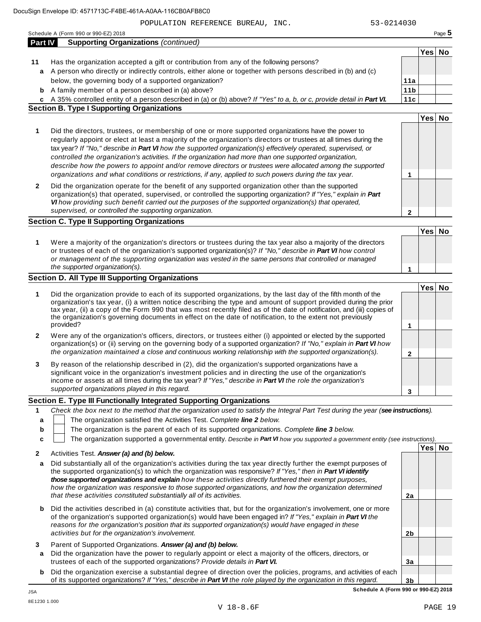POPULATION REFERENCE BUREAU, INC. 53-0214030

A person who directly or indirectly controls, either alone or together with persons described in (b) and (c) **a**

**11** Has the organization accepted a gift or contribution from any of the following persons?

|                  | <b>b</b> A family member of a person described in (a) above?                                                                                                                                                                                                                                                                                                                                                                                                                                                                                                                                                                                                                 | 11 <sub>b</sub> |         |  |
|------------------|------------------------------------------------------------------------------------------------------------------------------------------------------------------------------------------------------------------------------------------------------------------------------------------------------------------------------------------------------------------------------------------------------------------------------------------------------------------------------------------------------------------------------------------------------------------------------------------------------------------------------------------------------------------------------|-----------------|---------|--|
|                  | c A 35% controlled entity of a person described in (a) or (b) above? If "Yes" to a, b, or c, provide detail in Part VI.                                                                                                                                                                                                                                                                                                                                                                                                                                                                                                                                                      | 11c             |         |  |
|                  | <b>Section B. Type I Supporting Organizations</b>                                                                                                                                                                                                                                                                                                                                                                                                                                                                                                                                                                                                                            |                 |         |  |
|                  |                                                                                                                                                                                                                                                                                                                                                                                                                                                                                                                                                                                                                                                                              |                 | Yes No  |  |
| 1                | Did the directors, trustees, or membership of one or more supported organizations have the power to<br>regularly appoint or elect at least a majority of the organization's directors or trustees at all times during the<br>tax year? If "No," describe in Part VI how the supported organization(s) effectively operated, supervised, or<br>controlled the organization's activities. If the organization had more than one supported organization,<br>describe how the powers to appoint and/or remove directors or trustees were allocated among the supported<br>organizations and what conditions or restrictions, if any, applied to such powers during the tax year. | 1               |         |  |
| 2                | Did the organization operate for the benefit of any supported organization other than the supported<br>organization(s) that operated, supervised, or controlled the supporting organization? If "Yes," explain in Part<br>VI how providing such benefit carried out the purposes of the supported organization(s) that operated,<br>supervised, or controlled the supporting organization.                                                                                                                                                                                                                                                                                   | $\mathbf{2}$    |         |  |
|                  | <b>Section C. Type II Supporting Organizations</b>                                                                                                                                                                                                                                                                                                                                                                                                                                                                                                                                                                                                                           |                 |         |  |
|                  |                                                                                                                                                                                                                                                                                                                                                                                                                                                                                                                                                                                                                                                                              |                 | Yes No  |  |
| 1                | Were a majority of the organization's directors or trustees during the tax year also a majority of the directors<br>or trustees of each of the organization's supported organization(s)? If "No," describe in Part VI how control<br>or management of the supporting organization was vested in the same persons that controlled or managed<br>the supported organization(s).                                                                                                                                                                                                                                                                                                | 1               |         |  |
|                  | <b>Section D. All Type III Supporting Organizations</b>                                                                                                                                                                                                                                                                                                                                                                                                                                                                                                                                                                                                                      |                 |         |  |
| 1                | Did the organization provide to each of its supported organizations, by the last day of the fifth month of the<br>organization's tax year, (i) a written notice describing the type and amount of support provided during the prior<br>tax year, (ii) a copy of the Form 990 that was most recently filed as of the date of notification, and (iii) copies of<br>the organization's governing documents in effect on the date of notification, to the extent not previously<br>provided?                                                                                                                                                                                     | 1               | Yes No  |  |
| 2                | Were any of the organization's officers, directors, or trustees either (i) appointed or elected by the supported<br>organization(s) or (ii) serving on the governing body of a supported organization? If "No," explain in Part VI how<br>the organization maintained a close and continuous working relationship with the supported organization(s).                                                                                                                                                                                                                                                                                                                        | $\mathbf{2}$    |         |  |
| 3                | By reason of the relationship described in (2), did the organization's supported organizations have a<br>significant voice in the organization's investment policies and in directing the use of the organization's<br>income or assets at all times during the tax year? If "Yes," describe in Part VI the role the organization's<br>supported organizations played in this regard.                                                                                                                                                                                                                                                                                        | 3               |         |  |
|                  | Section E. Type III Functionally Integrated Supporting Organizations                                                                                                                                                                                                                                                                                                                                                                                                                                                                                                                                                                                                         |                 |         |  |
| 1<br>a<br>b<br>c | Check the box next to the method that the organization used to satisfy the Integral Part Test during the year (see instructions).<br>The organization satisfied the Activities Test. Complete line 2 below.<br>The organization is the parent of each of its supported organizations. Complete line 3 below.<br>The organization supported a governmental entity. Describe in Part VI how you supported a government entity (see instructions).                                                                                                                                                                                                                              |                 |         |  |
|                  |                                                                                                                                                                                                                                                                                                                                                                                                                                                                                                                                                                                                                                                                              |                 | Yes∣ No |  |
| 2                | Activities Test. Answer (a) and (b) below.                                                                                                                                                                                                                                                                                                                                                                                                                                                                                                                                                                                                                                   |                 |         |  |
| a                | Did substantially all of the organization's activities during the tax year directly further the exempt purposes of<br>the supported organization(s) to which the organization was responsive? If "Yes," then in Part VI identify<br>those supported organizations and explain how these activities directly furthered their exempt purposes,<br>how the organization was responsive to those supported organizations, and how the organization determined                                                                                                                                                                                                                    |                 |         |  |

| <b>b</b> Did the activities described in (a) constitute activities that, but for the organization's involvement, one or more                                 |  |  |  |
|--------------------------------------------------------------------------------------------------------------------------------------------------------------|--|--|--|
| of the organization's supported organization(s) would have been engaged in? If "Yes," explain in Part VI the                                                 |  |  |  |
| reasons for the organization's position that its supported organization(s) would have engaged in these<br>activities but for the organization's involvement. |  |  |  |
|                                                                                                                                                              |  |  |  |

*that these activities constituted substantially all of its activities.* **2a**

- **3** Parent of Supported Organizations. *Answer (a) and (b) below.*
- **a** Did the organization have the power to regularly appoint or elect a majority of the officers, directors, or trustees of each of the supported organizations? *Provide details in Part VI.*
- **b** Did the organization exercise a substantial degree of direction over the policies, programs, and activities of each of its supported organizations? *If"Yes," describe in Part VI the role played by the organization in this regard.*

**3b Schedule A (Form 990 or 990-EZ) 2018**

**2b**

**3a**

below, the governing body of a supported organization?

**Yes No**

**11a**

| describe in <b>Part VI</b> the role played by the organiz |  |  |
|-----------------------------------------------------------|--|--|
|                                                           |  |  |
|                                                           |  |  |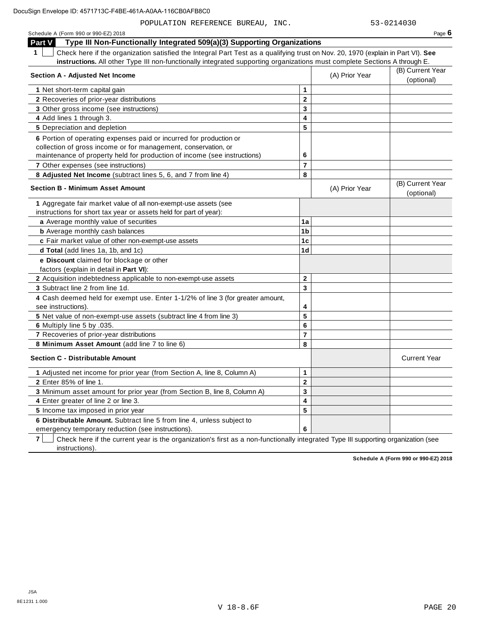POPULATION REFERENCE BUREAU, INC. 53-0214030

| Schedule A (Form 990 or 990-EZ) 2018                                                                                                   |                         |                | Page $6$                       |
|----------------------------------------------------------------------------------------------------------------------------------------|-------------------------|----------------|--------------------------------|
| Type III Non-Functionally Integrated 509(a)(3) Supporting Organizations<br>Part V                                                      |                         |                |                                |
| Check here if the organization satisfied the Integral Part Test as a qualifying trust on Nov. 20, 1970 (explain in Part VI). See<br>1. |                         |                |                                |
| instructions. All other Type III non-functionally integrated supporting organizations must complete Sections A through E.              |                         |                |                                |
| <b>Section A - Adjusted Net Income</b>                                                                                                 |                         | (A) Prior Year | (B) Current Year               |
|                                                                                                                                        |                         |                | (optional)                     |
| 1 Net short-term capital gain                                                                                                          | $\mathbf{1}$            |                |                                |
| 2 Recoveries of prior-year distributions                                                                                               | $\mathbf{2}$            |                |                                |
| 3 Other gross income (see instructions)                                                                                                | 3                       |                |                                |
| 4 Add lines 1 through 3.                                                                                                               | $\overline{\mathbf{4}}$ |                |                                |
| 5 Depreciation and depletion                                                                                                           | 5                       |                |                                |
| 6 Portion of operating expenses paid or incurred for production or                                                                     |                         |                |                                |
| collection of gross income or for management, conservation, or                                                                         |                         |                |                                |
| maintenance of property held for production of income (see instructions)                                                               | 6                       |                |                                |
| 7 Other expenses (see instructions)                                                                                                    | $\overline{7}$          |                |                                |
| 8 Adjusted Net Income (subtract lines 5, 6, and 7 from line 4)                                                                         | 8                       |                |                                |
| <b>Section B - Minimum Asset Amount</b>                                                                                                |                         | (A) Prior Year | (B) Current Year<br>(optional) |
| 1 Aggregate fair market value of all non-exempt-use assets (see                                                                        |                         |                |                                |
| instructions for short tax year or assets held for part of year):                                                                      |                         |                |                                |
| a Average monthly value of securities                                                                                                  | 1a                      |                |                                |
| <b>b</b> Average monthly cash balances                                                                                                 | 1 <sub>b</sub>          |                |                                |
| c Fair market value of other non-exempt-use assets                                                                                     | 1 <sub>c</sub>          |                |                                |
| d Total (add lines 1a, 1b, and 1c)                                                                                                     | 1 <sub>d</sub>          |                |                                |
| e Discount claimed for blockage or other                                                                                               |                         |                |                                |
| factors (explain in detail in Part VI):                                                                                                |                         |                |                                |
| 2 Acquisition indebtedness applicable to non-exempt-use assets                                                                         | $\overline{2}$          |                |                                |
| 3 Subtract line 2 from line 1d.                                                                                                        | 3                       |                |                                |
| 4 Cash deemed held for exempt use. Enter 1-1/2% of line 3 (for greater amount,                                                         |                         |                |                                |
| see instructions).                                                                                                                     | 4                       |                |                                |
| 5 Net value of non-exempt-use assets (subtract line 4 from line 3)                                                                     | 5                       |                |                                |
| 6 Multiply line 5 by .035.                                                                                                             | 6                       |                |                                |
| 7 Recoveries of prior-year distributions                                                                                               | $\overline{7}$          |                |                                |
| 8 Minimum Asset Amount (add line 7 to line 6)                                                                                          | 8                       |                |                                |
| <b>Section C - Distributable Amount</b>                                                                                                |                         |                | <b>Current Year</b>            |
| 1 Adjusted net income for prior year (from Section A, line 8, Column A)                                                                | $\mathbf{1}$            |                |                                |
| 2 Enter 85% of line 1.                                                                                                                 | $\overline{2}$          |                |                                |
| 3 Minimum asset amount for prior year (from Section B, line 8, Column A)                                                               | 3                       |                |                                |
| 4 Enter greater of line 2 or line 3.                                                                                                   | 4                       |                |                                |
| 5 Income tax imposed in prior year                                                                                                     | 5                       |                |                                |
| 6 Distributable Amount. Subtract line 5 from line 4, unless subject to                                                                 |                         |                |                                |
|                                                                                                                                        |                         |                |                                |

emergency temporary reduction (see instructions).

**7** | Check here if the current year is the organization's first as a non-functionally integrated Type III supporting organization (see instructions).

**6**

**Schedule A (Form 990 or 990-EZ) 2018**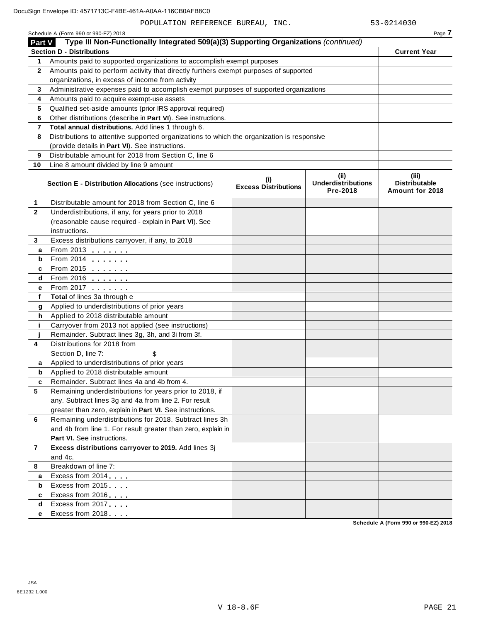| Schedule A (Form 990 or 990-EZ) 2018 | Page |
|--------------------------------------|------|
|                                      |      |

| <b>Part V</b>  | Type III Non-Functionally Integrated 509(a)(3) Supporting Organizations (continued)        |                                    |                                               |                                                  |
|----------------|--------------------------------------------------------------------------------------------|------------------------------------|-----------------------------------------------|--------------------------------------------------|
|                | <b>Section D - Distributions</b>                                                           |                                    |                                               | <b>Current Year</b>                              |
| 1              | Amounts paid to supported organizations to accomplish exempt purposes                      |                                    |                                               |                                                  |
| $\mathbf{2}$   | Amounts paid to perform activity that directly furthers exempt purposes of supported       |                                    |                                               |                                                  |
|                | organizations, in excess of income from activity                                           |                                    |                                               |                                                  |
| 3              | Administrative expenses paid to accomplish exempt purposes of supported organizations      |                                    |                                               |                                                  |
| 4              | Amounts paid to acquire exempt-use assets                                                  |                                    |                                               |                                                  |
| 5              | Qualified set-aside amounts (prior IRS approval required)                                  |                                    |                                               |                                                  |
| 6              | Other distributions (describe in Part VI). See instructions.                               |                                    |                                               |                                                  |
| $\overline{7}$ | Total annual distributions. Add lines 1 through 6.                                         |                                    |                                               |                                                  |
| 8              | Distributions to attentive supported organizations to which the organization is responsive |                                    |                                               |                                                  |
|                | (provide details in Part VI). See instructions.                                            |                                    |                                               |                                                  |
| 9              | Distributable amount for 2018 from Section C, line 6                                       |                                    |                                               |                                                  |
| 10             | Line 8 amount divided by line 9 amount                                                     |                                    |                                               |                                                  |
|                | Section E - Distribution Allocations (see instructions)                                    | (i)<br><b>Excess Distributions</b> | (ii)<br><b>Underdistributions</b><br>Pre-2018 | (iii)<br><b>Distributable</b><br>Amount for 2018 |
| 1              | Distributable amount for 2018 from Section C, line 6                                       |                                    |                                               |                                                  |
| $\mathbf{2}$   | Underdistributions, if any, for years prior to 2018                                        |                                    |                                               |                                                  |
|                | (reasonable cause required - explain in Part VI). See                                      |                                    |                                               |                                                  |
|                | instructions.                                                                              |                                    |                                               |                                                  |
| 3              | Excess distributions carryover, if any, to 2018                                            |                                    |                                               |                                                  |
| a              | From 2013                                                                                  |                                    |                                               |                                                  |
| b              | From 2014 $\frac{201}{20}$                                                                 |                                    |                                               |                                                  |
| c              | From 2015 $\frac{1}{2}$                                                                    |                                    |                                               |                                                  |
| d              | From 2016 $\frac{2016}{200}$                                                               |                                    |                                               |                                                  |
| е              | From 2017                                                                                  |                                    |                                               |                                                  |
| f              | Total of lines 3a through e                                                                |                                    |                                               |                                                  |
| g              | Applied to underdistributions of prior years                                               |                                    |                                               |                                                  |
| h              | Applied to 2018 distributable amount<br>Carryover from 2013 not applied (see instructions) |                                    |                                               |                                                  |
| j.             | Remainder. Subtract lines 3g, 3h, and 3i from 3f.                                          |                                    |                                               |                                                  |
| 4              | Distributions for 2018 from                                                                |                                    |                                               |                                                  |
|                | Section D, line 7:                                                                         |                                    |                                               |                                                  |
| a              | Applied to underdistributions of prior years                                               |                                    |                                               |                                                  |
| b              | Applied to 2018 distributable amount                                                       |                                    |                                               |                                                  |
| c              | Remainder. Subtract lines 4a and 4b from 4.                                                |                                    |                                               |                                                  |
| 5              | Remaining underdistributions for years prior to 2018, if                                   |                                    |                                               |                                                  |
|                | any. Subtract lines 3g and 4a from line 2. For result                                      |                                    |                                               |                                                  |
|                | greater than zero, explain in Part VI. See instructions.                                   |                                    |                                               |                                                  |
| 6              | Remaining underdistributions for 2018. Subtract lines 3h                                   |                                    |                                               |                                                  |
|                | and 4b from line 1. For result greater than zero, explain in                               |                                    |                                               |                                                  |
|                | Part VI. See instructions.                                                                 |                                    |                                               |                                                  |
| $\overline{7}$ | Excess distributions carryover to 2019. Add lines 3j                                       |                                    |                                               |                                                  |
|                | and 4c.                                                                                    |                                    |                                               |                                                  |
| 8              | Breakdown of line 7:                                                                       |                                    |                                               |                                                  |
| a              | Excess from 2014                                                                           |                                    |                                               |                                                  |
| b              | Excess from 2015                                                                           |                                    |                                               |                                                  |
| c              | Excess from 2016                                                                           |                                    |                                               |                                                  |
| d              | Excess from 2017                                                                           |                                    |                                               |                                                  |
| е              | Excess from 2018                                                                           |                                    |                                               |                                                  |

**Schedule A (Form 990 or 990-EZ) 2018**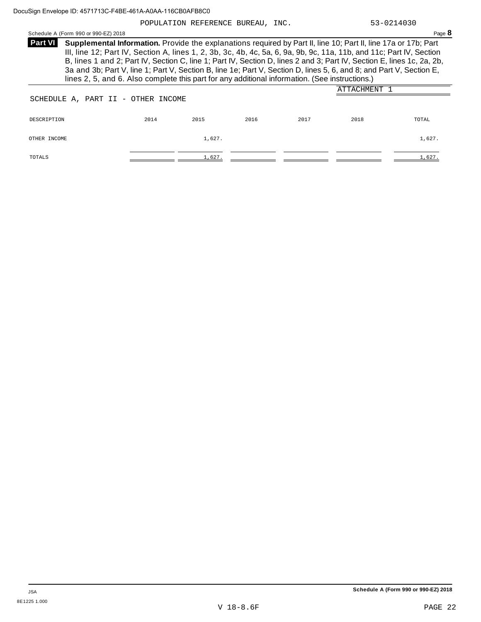POPULATION REFERENCE BUREAU, INC. 53-0214030

Schedule <sup>A</sup> (Form <sup>990</sup> or 990-EZ) <sup>2018</sup> Page **8**

| <b>Part VI</b> | Supplemental Information. Provide the explanations required by Part II, line 10; Part II, line 17a or 17b; Part        |
|----------------|------------------------------------------------------------------------------------------------------------------------|
|                | III, line 12; Part IV, Section A, lines 1, 2, 3b, 3c, 4b, 4c, 5a, 6, 9a, 9b, 9c, 11a, 11b, and 11c; Part IV, Section   |
|                | B, lines 1 and 2; Part IV, Section C, line 1; Part IV, Section D, lines 2 and 3; Part IV, Section E, lines 1c, 2a, 2b, |
|                | 3a and 3b; Part V, line 1; Part V, Section B, line 1e; Part V, Section D, lines 5, 6, and 8; and Part V, Section E,    |
|                | lines 2, 5, and 6. Also complete this part for any additional information. (See instructions.)                         |

|                                    |      |        |      |      | ATTACHMENT |        |
|------------------------------------|------|--------|------|------|------------|--------|
| SCHEDULE A, PART II - OTHER INCOME |      |        |      |      |            |        |
|                                    |      |        |      |      |            |        |
| DESCRIPTION                        | 2014 | 2015   | 2016 | 2017 | 2018       | TOTAL  |
| OTHER INCOME                       |      | 1,627. |      |      |            | 1,627. |
|                                    |      |        |      |      |            |        |
| TOTALS                             |      | 1,627. |      |      |            | 1,627. |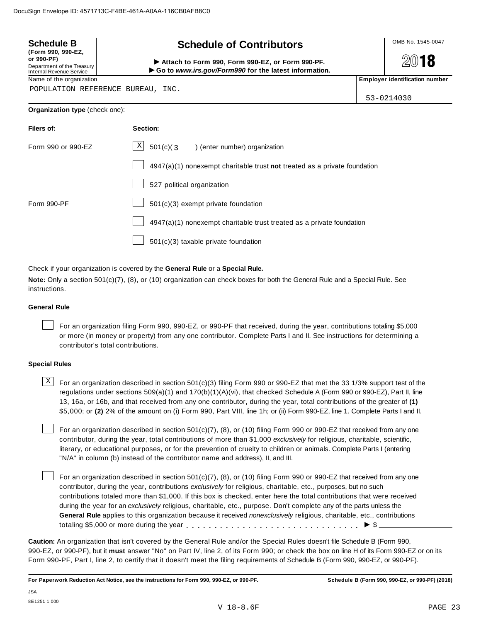| <b>Schedule B</b>                                                                          | <b>Schedule of Contributors</b>                                           |                                                                       | OMB No. 1545-0047                     |  |  |  |  |
|--------------------------------------------------------------------------------------------|---------------------------------------------------------------------------|-----------------------------------------------------------------------|---------------------------------------|--|--|--|--|
| (Form 990, 990-EZ,<br>or 990-PF)<br>Department of the Treasury<br>Internal Revenue Service | $20$ 18                                                                   |                                                                       |                                       |  |  |  |  |
| Name of the organization                                                                   |                                                                           |                                                                       | <b>Employer identification number</b> |  |  |  |  |
|                                                                                            | POPULATION REFERENCE BUREAU, INC.                                         | 53-0214030                                                            |                                       |  |  |  |  |
| Organization type (check one):                                                             |                                                                           |                                                                       |                                       |  |  |  |  |
| Filers of:                                                                                 | Section:                                                                  |                                                                       |                                       |  |  |  |  |
| Form 990 or 990-EZ                                                                         | Χ<br>501(c)(3)<br>) (enter number) organization                           |                                                                       |                                       |  |  |  |  |
|                                                                                            | 4947(a)(1) nonexempt charitable trust not treated as a private foundation |                                                                       |                                       |  |  |  |  |
|                                                                                            | 527 political organization                                                |                                                                       |                                       |  |  |  |  |
| Form 990-PF                                                                                | 501(c)(3) exempt private foundation                                       |                                                                       |                                       |  |  |  |  |
|                                                                                            |                                                                           | 4947(a)(1) nonexempt charitable trust treated as a private foundation |                                       |  |  |  |  |
|                                                                                            | $501(c)(3)$ taxable private foundation                                    |                                                                       |                                       |  |  |  |  |

Check if your organization is covered by the **General Rule** or a **Special Rule.**

**Note:** Only a section 501(c)(7), (8), or (10) organization can check boxes for both the General Rule and a Special Rule. See instructions.

#### **General Rule**

For an organization filing Form 990, 990-EZ, or 990-PF that received, during the year, contributions totaling \$5,000 or more (in money or property) from any one contributor. Complete Parts I and II. See instructions for determining a contributor's total contributions.

#### **Special Rules**

 $\text{X}$  For an organization described in section 501(c)(3) filing Form 990 or 990-EZ that met the 33 1/3% support test of the regulations under sections 509(a)(1) and 170(b)(1)(A)(vi), that checked Schedule A (Form 990 or 990-EZ), Part II, line 13, 16a, or 16b, and that received from any one contributor, during the year, total contributions of the greater of **(1)** \$5,000; or **(2)** 2% of the amount on (i) Form 990, Part VIII, line 1h; or (ii) Form 990-EZ, line 1. Complete Parts I and II.

For an organization described in section 501(c)(7), (8), or (10) filing Form 990 or 990-EZ that received from any one contributor, during the year, total contributions of more than \$1,000 *exclusively* for religious, charitable, scientific, literary, or educational purposes, or for the prevention of cruelty to children or animals. Complete Parts I (entering "N/A" in column (b) instead of the contributor name and address), II, and III.

For an organization described in section 501(c)(7), (8), or (10) filing Form 990 or 990-EZ that received from any one contributor, during the year, contributions *exclusively* for religious, charitable, etc., purposes, but no such contributions totaled more than \$1,000. If this box is checked, enter here the total contributions that were received during the year for an *exclusively* religious, charitable, etc., purpose. Don't complete any of the parts unless the **General Rule** applies to this organization because it received *nonexclusively* religious, charitable, etc., contributions totaling \$5,000 or more during the year m m m m m m m m m m m m m m m m m m m m m m m m m m m m m m m I \$

**Caution:** An organization that isn't covered by the General Rule and/or the Special Rules doesn't file Schedule B (Form 990, 990-EZ, or 990-PF), but it **must** answer "No" on Part IV, line 2, of its Form 990; or check the box on line H of its Form 990-EZ or on its Form 990-PF, Part I, line 2, to certify that it doesn't meet the filing requirements of Schedule B (Form 990, 990-EZ, or 990-PF).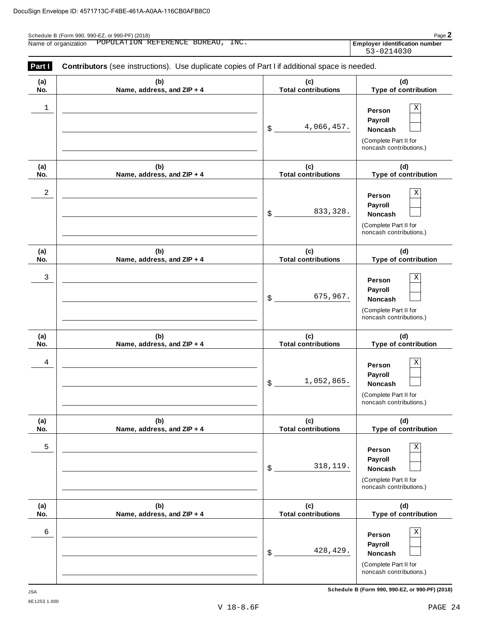| Page $\mathbb{Z}$<br>Schedule B (Form 990, 990-EZ, or 990-PF) (2018) |                                                                                                    |                                                     |  |  |  |  |  |
|----------------------------------------------------------------------|----------------------------------------------------------------------------------------------------|-----------------------------------------------------|--|--|--|--|--|
| Name of organization                                                 | POPULATION REFERENCE BUREAU, INC.                                                                  | <b>Employer identification number</b><br>53-0214030 |  |  |  |  |  |
| <b>Part II</b>                                                       | <b>Contributors</b> (see instructions) Use duplicate copies of Part Lif additional space is needed |                                                     |  |  |  |  |  |

| <b>raill</b> | <b>CONTIGUÕIS</b> (SEE INSTRUCTIONS). OSE UUPIICATE COPIES OF FAITE II AUDITIONAL SPACE IS HEEUEU. |                                         |                                                                                                        |
|--------------|----------------------------------------------------------------------------------------------------|-----------------------------------------|--------------------------------------------------------------------------------------------------------|
| (a)<br>No.   | (b)<br>Name, address, and ZIP + 4                                                                  | (c)<br><b>Total contributions</b>       | (d)<br>Type of contribution                                                                            |
| 1            |                                                                                                    | 4,066,457.<br>$\boldsymbol{\mathsf{S}}$ | Χ<br>Person<br>Payroll<br>Noncash<br>(Complete Part II for<br>noncash contributions.)                  |
| (a)<br>No.   | (b)<br>Name, address, and ZIP + 4                                                                  | (c)<br><b>Total contributions</b>       | (d)<br>Type of contribution                                                                            |
| 2            |                                                                                                    | 833, 328.<br>\$                         | Χ<br>Person<br>Payroll<br><b>Noncash</b><br>(Complete Part II for<br>noncash contributions.)           |
| (a)<br>No.   | (b)<br>Name, address, and ZIP + 4                                                                  | (c)<br><b>Total contributions</b>       | (d)<br>Type of contribution                                                                            |
| 3            |                                                                                                    | 675,967.<br>\$                          | Χ<br>Person<br>Payroll<br><b>Noncash</b><br>(Complete Part II for<br>noncash contributions.)           |
| (a)<br>No.   | (b)<br>Name, address, and ZIP + 4                                                                  | (c)<br><b>Total contributions</b>       | (d)<br>Type of contribution                                                                            |
| 4            |                                                                                                    | 1,052,865.<br>$\boldsymbol{\mathsf{S}}$ | Χ<br>Person<br>Payroll<br><b>Noncash</b><br>(Complete Part II for<br>noncash contributions.)           |
| (a)<br>No.   | (b)<br>Name, address, and ZIP + 4                                                                  | (c)<br><b>Total contributions</b>       | (d)<br>Type of contribution                                                                            |
| 5            |                                                                                                    | 318, 119.<br>\$                         | $\mathbf X$<br>Person<br>Payroll<br><b>Noncash</b><br>(Complete Part II for<br>noncash contributions.) |
| (a)<br>No.   | (b)<br>Name, address, and ZIP + 4                                                                  | (c)<br><b>Total contributions</b>       | (d)<br>Type of contribution                                                                            |
| 6            |                                                                                                    | 428, 429.<br>\$                         | $\mathbf X$<br>Person<br>Payroll<br>Noncash<br>(Complete Part II for<br>noncash contributions.)        |

**Schedule B (Form 990, 990-EZ, or 990-PF) (2018)** JSA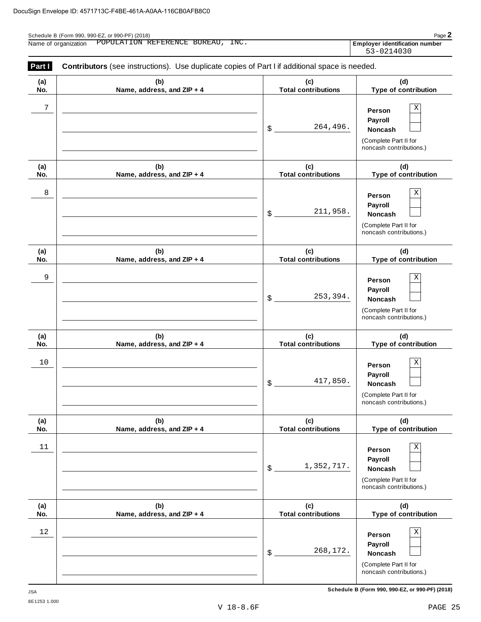| Name of organization POPULATION REFERENCE BUREAU, INC. | <b>Employer identification number</b> |
|--------------------------------------------------------|---------------------------------------|
|                                                        | 53-0214030                            |

| Part I     | <b>Contributors</b> (see instructions). Use duplicate copies of Part I if additional space is needed. |                                   |                                                                                              |
|------------|-------------------------------------------------------------------------------------------------------|-----------------------------------|----------------------------------------------------------------------------------------------|
| (a)<br>No. | (b)<br>Name, address, and ZIP + 4                                                                     | (c)<br><b>Total contributions</b> | (d)<br>Type of contribution                                                                  |
| 7          |                                                                                                       | 264,496.<br>\$                    | Χ<br>Person<br>Payroll<br>Noncash<br>(Complete Part II for<br>noncash contributions.)        |
| (a)<br>No. | (b)<br>Name, address, and ZIP + 4                                                                     | (c)<br><b>Total contributions</b> | (d)<br>Type of contribution                                                                  |
| 8          |                                                                                                       | 211,958.<br>\$                    | Χ<br>Person<br>Payroll<br><b>Noncash</b><br>(Complete Part II for<br>noncash contributions.) |
| (a)<br>No. | (b)<br>Name, address, and ZIP + 4                                                                     | (c)<br><b>Total contributions</b> | (d)<br>Type of contribution                                                                  |
| 9          |                                                                                                       | 253,394.<br>\$                    | Χ<br>Person<br>Payroll<br>Noncash<br>(Complete Part II for<br>noncash contributions.)        |
| (a)<br>No. | (b)<br>Name, address, and ZIP + 4                                                                     | (c)<br><b>Total contributions</b> | (d)<br>Type of contribution                                                                  |
| 10         |                                                                                                       | 417,850.<br>\$                    | Χ<br>Person<br>Payroll<br>Noncash<br>(Complete Part II for<br>noncash contributions.)        |
| (a)<br>No. | (b)<br>Name, address, and ZIP + 4                                                                     | (c)<br><b>Total contributions</b> | (d)<br>Type of contribution                                                                  |
| $11$       |                                                                                                       | 1,352,717.<br>\$                  | Χ<br>Person<br>Payroll<br>Noncash<br>(Complete Part II for<br>noncash contributions.)        |
| (a)<br>No. | (b)<br>Name, address, and ZIP + 4                                                                     | (c)<br><b>Total contributions</b> | (d)<br>Type of contribution                                                                  |
| 12         |                                                                                                       | 268,172.<br>\$                    | Χ<br>Person<br>Payroll<br>Noncash<br>(Complete Part II for<br>noncash contributions.)        |

**Schedule B (Form 990, 990-EZ, or 990-PF) (2018)** JSA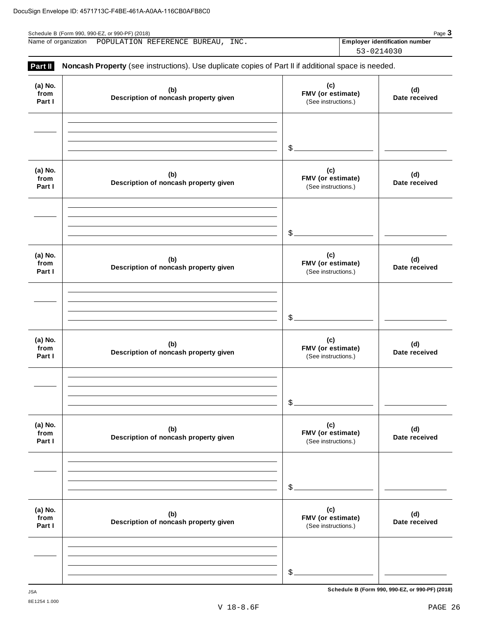| Schedule B (Form 990, 990-EZ, or 990-PF) (2018) |                              |  |  |      | $P$ aqe $\bullet$                     |  |
|-------------------------------------------------|------------------------------|--|--|------|---------------------------------------|--|
| Name of organization                            | POPULATION REFERENCE BUREAU, |  |  | INC. | <b>Employer identification number</b> |  |
|                                                 |                              |  |  |      | 53-0214030                            |  |

| (b)<br>Description of noncash property given | (c)<br>FMV (or estimate)<br>(See instructions.) | (d)<br>Date received                                                                                |
|----------------------------------------------|-------------------------------------------------|-----------------------------------------------------------------------------------------------------|
|                                              | $\mathcal{L}_{-}$                               |                                                                                                     |
| (b)<br>Description of noncash property given | (c)<br>FMV (or estimate)<br>(See instructions.) | (d)<br>Date received                                                                                |
|                                              | $\mathcal{L}_{-}$                               |                                                                                                     |
| (b)<br>Description of noncash property given | (c)<br>FMV (or estimate)<br>(See instructions.) | (d)<br>Date received                                                                                |
|                                              | $\mathcal{L}$                                   |                                                                                                     |
| (b)<br>Description of noncash property given | (c)<br>FMV (or estimate)<br>(See instructions.) | (d)<br>Date received                                                                                |
|                                              | \$                                              |                                                                                                     |
| (b)<br>Description of noncash property given | (c)<br>FMV (or estimate)<br>(See instructions.) | (d)<br>Date received                                                                                |
|                                              | \$                                              |                                                                                                     |
| (b)<br>Description of noncash property given | (c)<br>FMV (or estimate)<br>(See instructions.) | (d)<br>Date received                                                                                |
|                                              | $$$ .                                           |                                                                                                     |
|                                              |                                                 | Noncash Property (see instructions). Use duplicate copies of Part II if additional space is needed. |

**Schedule B (Form 990, 990-EZ, or 990-PF) (2018)** JSA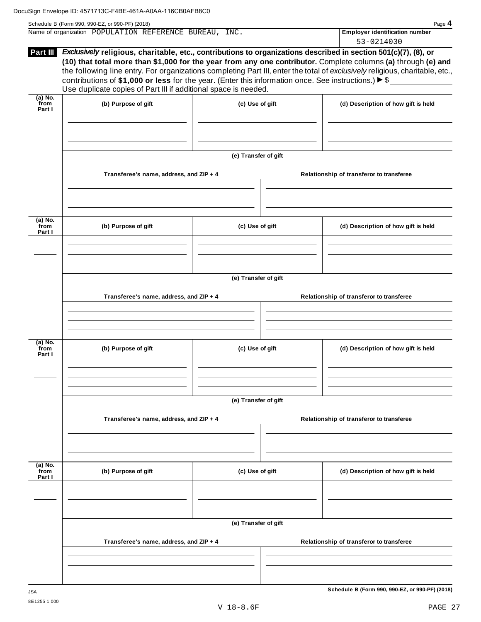| Schedule B (Form 990, 990-EZ, or 990-PF) (2018) | Page 4 |
|-------------------------------------------------|--------|
|-------------------------------------------------|--------|

| Name of organization | POPULATION REFERENCE BUREAU. |  | INC. | <b>Employer identification number</b> |
|----------------------|------------------------------|--|------|---------------------------------------|
|                      |                              |  |      | 53-0214030                            |

| Part III                    | Exclusively religious, charitable, etc., contributions to organizations described in section 501(c)(7), (8), or<br>(10) that total more than \$1,000 for the year from any one contributor. Complete columns (a) through (e) and<br>the following line entry. For organizations completing Part III, enter the total of exclusively religious, charitable, etc.,<br>contributions of \$1,000 or less for the year. (Enter this information once. See instructions.) $\triangleright$ \$<br>Use duplicate copies of Part III if additional space is needed. |                      |  | JJ-UZIIUJU                                      |
|-----------------------------|------------------------------------------------------------------------------------------------------------------------------------------------------------------------------------------------------------------------------------------------------------------------------------------------------------------------------------------------------------------------------------------------------------------------------------------------------------------------------------------------------------------------------------------------------------|----------------------|--|-------------------------------------------------|
| (a) No.<br>`from<br>Part I  | (b) Purpose of gift                                                                                                                                                                                                                                                                                                                                                                                                                                                                                                                                        | (c) Use of gift      |  | (d) Description of how gift is held             |
|                             |                                                                                                                                                                                                                                                                                                                                                                                                                                                                                                                                                            |                      |  |                                                 |
|                             |                                                                                                                                                                                                                                                                                                                                                                                                                                                                                                                                                            | (e) Transfer of gift |  |                                                 |
|                             | Transferee's name, address, and ZIP + 4                                                                                                                                                                                                                                                                                                                                                                                                                                                                                                                    |                      |  | Relationship of transferor to transferee        |
| $(a)$ No.<br>from<br>Part I | (b) Purpose of gift                                                                                                                                                                                                                                                                                                                                                                                                                                                                                                                                        | (c) Use of gift      |  | (d) Description of how gift is held             |
|                             |                                                                                                                                                                                                                                                                                                                                                                                                                                                                                                                                                            |                      |  |                                                 |
|                             |                                                                                                                                                                                                                                                                                                                                                                                                                                                                                                                                                            | (e) Transfer of gift |  |                                                 |
|                             | Transferee's name, address, and ZIP + 4                                                                                                                                                                                                                                                                                                                                                                                                                                                                                                                    |                      |  | Relationship of transferor to transferee        |
| (a) No.<br>from<br>Part I   | (b) Purpose of gift                                                                                                                                                                                                                                                                                                                                                                                                                                                                                                                                        | (c) Use of gift      |  | (d) Description of how gift is held             |
|                             |                                                                                                                                                                                                                                                                                                                                                                                                                                                                                                                                                            | (e) Transfer of gift |  |                                                 |
|                             | Transferee's name, address, and ZIP + 4                                                                                                                                                                                                                                                                                                                                                                                                                                                                                                                    |                      |  | Relationship of transferor to transferee        |
| (a) No.                     |                                                                                                                                                                                                                                                                                                                                                                                                                                                                                                                                                            |                      |  |                                                 |
| from<br>Part I              | (b) Purpose of gift                                                                                                                                                                                                                                                                                                                                                                                                                                                                                                                                        | (c) Use of gift      |  | (d) Description of how gift is held             |
|                             |                                                                                                                                                                                                                                                                                                                                                                                                                                                                                                                                                            | (e) Transfer of gift |  |                                                 |
|                             | Transferee's name, address, and ZIP + 4                                                                                                                                                                                                                                                                                                                                                                                                                                                                                                                    |                      |  | Relationship of transferor to transferee        |
|                             |                                                                                                                                                                                                                                                                                                                                                                                                                                                                                                                                                            |                      |  |                                                 |
| <b>JSA</b>                  |                                                                                                                                                                                                                                                                                                                                                                                                                                                                                                                                                            |                      |  | Schedule B (Form 990, 990-EZ, or 990-PF) (2018) |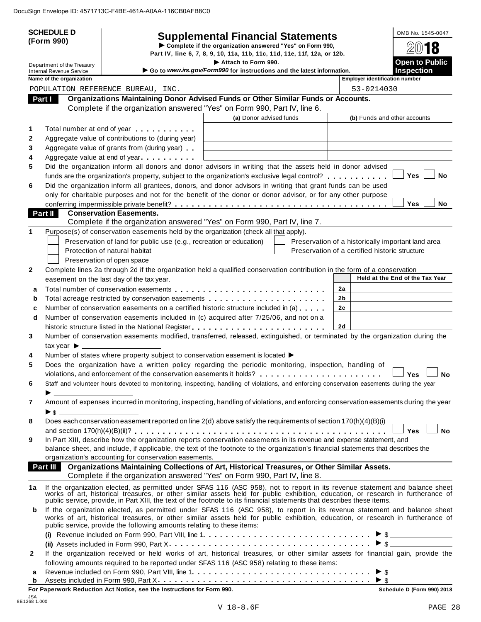| (Form 990)<br>Complete if the organization answered "Yes" on Form 990,<br>2018<br>Part IV, line 6, 7, 8, 9, 10, 11a, 11b, 11c, 11d, 11e, 11f, 12a, or 12b.<br><b>Open to Public</b><br>Attach to Form 990.<br>Department of the Treasury<br>Go to www.irs.gov/Form990 for instructions and the latest information.<br><b>Inspection</b><br><b>Internal Revenue Service</b><br>Name of the organization<br><b>Employer identification number</b><br>53-0214030<br>POPULATION REFERENCE BUREAU, INC.<br>Organizations Maintaining Donor Advised Funds or Other Similar Funds or Accounts.<br>Part I<br>Complete if the organization answered "Yes" on Form 990, Part IV, line 6.<br>(a) Donor advised funds<br>(b) Funds and other accounts<br>Total number at end of year example.<br>1<br>Aggregate value of contributions to (during year)<br>2<br>3<br>Aggregate value of grants from (during year)<br>Aggregate value at end of year<br>4<br>Did the organization inform all donors and donor advisors in writing that the assets held in donor advised<br>5<br>Yes<br><b>No</b><br>funds are the organization's property, subject to the organization's exclusive legal control?<br>Did the organization inform all grantees, donors, and donor advisors in writing that grant funds can be used<br>6<br>only for charitable purposes and not for the benefit of the donor or donor advisor, or for any other purpose<br><b>Yes</b><br><b>No</b><br><b>Conservation Easements.</b><br>Part II<br>Complete if the organization answered "Yes" on Form 990, Part IV, line 7.<br>Purpose(s) of conservation easements held by the organization (check all that apply).<br>1<br>Preservation of land for public use (e.g., recreation or education)<br>Preservation of a historically important land area<br>Preservation of a certified historic structure<br>Protection of natural habitat<br>Preservation of open space<br>Complete lines 2a through 2d if the organization held a qualified conservation contribution in the form of a conservation<br>$\mathbf{2}$<br>Held at the End of the Tax Year<br>easement on the last day of the tax year.<br>2a<br>a<br>2 <sub>b</sub><br>b<br>Number of conservation easements on a certified historic structure included in (a)<br>2 <sub>c</sub><br>c<br>Number of conservation easements included in (c) acquired after 7/25/06, and not on a<br>d<br>2d<br>Number of conservation easements modified, transferred, released, extinguished, or terminated by the organization during the<br>3<br>tax year $\blacktriangleright$ $\lrcorner$<br>Number of states where property subject to conservation easement is located ▶ _________<br>4<br>Does the organization have a written policy regarding the periodic monitoring, inspection, handling of<br>5<br>Yes<br>No<br>Staff and volunteer hours devoted to monitoring, inspecting, handling of violations, and enforcing conservation easements during the year<br>6<br>Amount of expenses incurred in monitoring, inspecting, handling of violations, and enforcing conservation easements during the year<br>7<br>Does each conservation easement reported on line 2(d) above satisfy the requirements of section 170(h)(4)(B)(i)<br>8<br>$\Box$ Yes $\Box$<br><b>No</b><br>In Part XIII, describe how the organization reports conservation easements in its revenue and expense statement, and<br>9<br>balance sheet, and include, if applicable, the text of the footnote to the organization's financial statements that describes the<br>organization's accounting for conservation easements.<br>Organizations Maintaining Collections of Art, Historical Treasures, or Other Similar Assets.<br>Part III<br>Complete if the organization answered "Yes" on Form 990, Part IV, line 8.<br>If the organization elected, as permitted under SFAS 116 (ASC 958), not to report in its revenue statement and balance sheet works of art, historical treasures, or other similar assets held for public exhibition, education<br>1a<br>public service, provide, in Part XIII, the text of the footnote to its financial statements that describes these items.<br>If the organization elected, as permitted under SFAS 116 (ASC 958), to report in its revenue statement and balance sheet<br>b<br>works of art, historical treasures, or other similar assets held for public exhibition, education, or research in furtherance of<br>public service, provide the following amounts relating to these items:<br>If the organization received or held works of art, historical treasures, or other similar assets for financial gain, provide the<br>2<br>following amounts required to be reported under SFAS 116 (ASC 958) relating to these items:<br>а<br>$>$ \$<br>b |  | <b>SCHEDULE D</b> |  | <b>Supplemental Financial Statements</b> |  | OMB No. 1545-0047 |
|-------------------------------------------------------------------------------------------------------------------------------------------------------------------------------------------------------------------------------------------------------------------------------------------------------------------------------------------------------------------------------------------------------------------------------------------------------------------------------------------------------------------------------------------------------------------------------------------------------------------------------------------------------------------------------------------------------------------------------------------------------------------------------------------------------------------------------------------------------------------------------------------------------------------------------------------------------------------------------------------------------------------------------------------------------------------------------------------------------------------------------------------------------------------------------------------------------------------------------------------------------------------------------------------------------------------------------------------------------------------------------------------------------------------------------------------------------------------------------------------------------------------------------------------------------------------------------------------------------------------------------------------------------------------------------------------------------------------------------------------------------------------------------------------------------------------------------------------------------------------------------------------------------------------------------------------------------------------------------------------------------------------------------------------------------------------------------------------------------------------------------------------------------------------------------------------------------------------------------------------------------------------------------------------------------------------------------------------------------------------------------------------------------------------------------------------------------------------------------------------------------------------------------------------------------------------------------------------------------------------------------------------------------------------------------------------------------------------------------------------------------------------------------------------------------------------------------------------------------------------------------------------------------------------------------------------------------------------------------------------------------------------------------------------------------------------------------------------------------------------------------------------------------------------------------------------------------------------------------------------------------------------------------------------------------------------------------------------------------------------------------------------------------------------------------------------------------------------------------------------------------------------------------------------------------------------------------------------------------------------------------------------------------------------------------------------------------------------------------------------------------------------------------------------------------------------------------------------------------------------------------------------------------------------------------------------------------------------------------------------------------------------------------------------------------------------------------------------------------------------------------------------------------------------------------------------------------------------------------------------------------------------------------------------------------------------------------------------------------------------------------------------------------------------------------------------------------------------------------------------------------------------------------------------------------------------------------------------------------------------------------------------------------------------------------------------------------------------------------------------------------------------------------------|--|-------------------|--|------------------------------------------|--|-------------------|
|                                                                                                                                                                                                                                                                                                                                                                                                                                                                                                                                                                                                                                                                                                                                                                                                                                                                                                                                                                                                                                                                                                                                                                                                                                                                                                                                                                                                                                                                                                                                                                                                                                                                                                                                                                                                                                                                                                                                                                                                                                                                                                                                                                                                                                                                                                                                                                                                                                                                                                                                                                                                                                                                                                                                                                                                                                                                                                                                                                                                                                                                                                                                                                                                                                                                                                                                                                                                                                                                                                                                                                                                                                                                                                                                                                                                                                                                                                                                                                                                                                                                                                                                                                                                                                                                                                                                                                                                                                                                                                                                                                                                                                                                                                                                                                                     |  |                   |  |                                          |  |                   |
|                                                                                                                                                                                                                                                                                                                                                                                                                                                                                                                                                                                                                                                                                                                                                                                                                                                                                                                                                                                                                                                                                                                                                                                                                                                                                                                                                                                                                                                                                                                                                                                                                                                                                                                                                                                                                                                                                                                                                                                                                                                                                                                                                                                                                                                                                                                                                                                                                                                                                                                                                                                                                                                                                                                                                                                                                                                                                                                                                                                                                                                                                                                                                                                                                                                                                                                                                                                                                                                                                                                                                                                                                                                                                                                                                                                                                                                                                                                                                                                                                                                                                                                                                                                                                                                                                                                                                                                                                                                                                                                                                                                                                                                                                                                                                                                     |  |                   |  |                                          |  |                   |
|                                                                                                                                                                                                                                                                                                                                                                                                                                                                                                                                                                                                                                                                                                                                                                                                                                                                                                                                                                                                                                                                                                                                                                                                                                                                                                                                                                                                                                                                                                                                                                                                                                                                                                                                                                                                                                                                                                                                                                                                                                                                                                                                                                                                                                                                                                                                                                                                                                                                                                                                                                                                                                                                                                                                                                                                                                                                                                                                                                                                                                                                                                                                                                                                                                                                                                                                                                                                                                                                                                                                                                                                                                                                                                                                                                                                                                                                                                                                                                                                                                                                                                                                                                                                                                                                                                                                                                                                                                                                                                                                                                                                                                                                                                                                                                                     |  |                   |  |                                          |  |                   |
|                                                                                                                                                                                                                                                                                                                                                                                                                                                                                                                                                                                                                                                                                                                                                                                                                                                                                                                                                                                                                                                                                                                                                                                                                                                                                                                                                                                                                                                                                                                                                                                                                                                                                                                                                                                                                                                                                                                                                                                                                                                                                                                                                                                                                                                                                                                                                                                                                                                                                                                                                                                                                                                                                                                                                                                                                                                                                                                                                                                                                                                                                                                                                                                                                                                                                                                                                                                                                                                                                                                                                                                                                                                                                                                                                                                                                                                                                                                                                                                                                                                                                                                                                                                                                                                                                                                                                                                                                                                                                                                                                                                                                                                                                                                                                                                     |  |                   |  |                                          |  |                   |
|                                                                                                                                                                                                                                                                                                                                                                                                                                                                                                                                                                                                                                                                                                                                                                                                                                                                                                                                                                                                                                                                                                                                                                                                                                                                                                                                                                                                                                                                                                                                                                                                                                                                                                                                                                                                                                                                                                                                                                                                                                                                                                                                                                                                                                                                                                                                                                                                                                                                                                                                                                                                                                                                                                                                                                                                                                                                                                                                                                                                                                                                                                                                                                                                                                                                                                                                                                                                                                                                                                                                                                                                                                                                                                                                                                                                                                                                                                                                                                                                                                                                                                                                                                                                                                                                                                                                                                                                                                                                                                                                                                                                                                                                                                                                                                                     |  |                   |  |                                          |  |                   |
|                                                                                                                                                                                                                                                                                                                                                                                                                                                                                                                                                                                                                                                                                                                                                                                                                                                                                                                                                                                                                                                                                                                                                                                                                                                                                                                                                                                                                                                                                                                                                                                                                                                                                                                                                                                                                                                                                                                                                                                                                                                                                                                                                                                                                                                                                                                                                                                                                                                                                                                                                                                                                                                                                                                                                                                                                                                                                                                                                                                                                                                                                                                                                                                                                                                                                                                                                                                                                                                                                                                                                                                                                                                                                                                                                                                                                                                                                                                                                                                                                                                                                                                                                                                                                                                                                                                                                                                                                                                                                                                                                                                                                                                                                                                                                                                     |  |                   |  |                                          |  |                   |
|                                                                                                                                                                                                                                                                                                                                                                                                                                                                                                                                                                                                                                                                                                                                                                                                                                                                                                                                                                                                                                                                                                                                                                                                                                                                                                                                                                                                                                                                                                                                                                                                                                                                                                                                                                                                                                                                                                                                                                                                                                                                                                                                                                                                                                                                                                                                                                                                                                                                                                                                                                                                                                                                                                                                                                                                                                                                                                                                                                                                                                                                                                                                                                                                                                                                                                                                                                                                                                                                                                                                                                                                                                                                                                                                                                                                                                                                                                                                                                                                                                                                                                                                                                                                                                                                                                                                                                                                                                                                                                                                                                                                                                                                                                                                                                                     |  |                   |  |                                          |  |                   |
|                                                                                                                                                                                                                                                                                                                                                                                                                                                                                                                                                                                                                                                                                                                                                                                                                                                                                                                                                                                                                                                                                                                                                                                                                                                                                                                                                                                                                                                                                                                                                                                                                                                                                                                                                                                                                                                                                                                                                                                                                                                                                                                                                                                                                                                                                                                                                                                                                                                                                                                                                                                                                                                                                                                                                                                                                                                                                                                                                                                                                                                                                                                                                                                                                                                                                                                                                                                                                                                                                                                                                                                                                                                                                                                                                                                                                                                                                                                                                                                                                                                                                                                                                                                                                                                                                                                                                                                                                                                                                                                                                                                                                                                                                                                                                                                     |  |                   |  |                                          |  |                   |
|                                                                                                                                                                                                                                                                                                                                                                                                                                                                                                                                                                                                                                                                                                                                                                                                                                                                                                                                                                                                                                                                                                                                                                                                                                                                                                                                                                                                                                                                                                                                                                                                                                                                                                                                                                                                                                                                                                                                                                                                                                                                                                                                                                                                                                                                                                                                                                                                                                                                                                                                                                                                                                                                                                                                                                                                                                                                                                                                                                                                                                                                                                                                                                                                                                                                                                                                                                                                                                                                                                                                                                                                                                                                                                                                                                                                                                                                                                                                                                                                                                                                                                                                                                                                                                                                                                                                                                                                                                                                                                                                                                                                                                                                                                                                                                                     |  |                   |  |                                          |  |                   |
|                                                                                                                                                                                                                                                                                                                                                                                                                                                                                                                                                                                                                                                                                                                                                                                                                                                                                                                                                                                                                                                                                                                                                                                                                                                                                                                                                                                                                                                                                                                                                                                                                                                                                                                                                                                                                                                                                                                                                                                                                                                                                                                                                                                                                                                                                                                                                                                                                                                                                                                                                                                                                                                                                                                                                                                                                                                                                                                                                                                                                                                                                                                                                                                                                                                                                                                                                                                                                                                                                                                                                                                                                                                                                                                                                                                                                                                                                                                                                                                                                                                                                                                                                                                                                                                                                                                                                                                                                                                                                                                                                                                                                                                                                                                                                                                     |  |                   |  |                                          |  |                   |
|                                                                                                                                                                                                                                                                                                                                                                                                                                                                                                                                                                                                                                                                                                                                                                                                                                                                                                                                                                                                                                                                                                                                                                                                                                                                                                                                                                                                                                                                                                                                                                                                                                                                                                                                                                                                                                                                                                                                                                                                                                                                                                                                                                                                                                                                                                                                                                                                                                                                                                                                                                                                                                                                                                                                                                                                                                                                                                                                                                                                                                                                                                                                                                                                                                                                                                                                                                                                                                                                                                                                                                                                                                                                                                                                                                                                                                                                                                                                                                                                                                                                                                                                                                                                                                                                                                                                                                                                                                                                                                                                                                                                                                                                                                                                                                                     |  |                   |  |                                          |  |                   |
|                                                                                                                                                                                                                                                                                                                                                                                                                                                                                                                                                                                                                                                                                                                                                                                                                                                                                                                                                                                                                                                                                                                                                                                                                                                                                                                                                                                                                                                                                                                                                                                                                                                                                                                                                                                                                                                                                                                                                                                                                                                                                                                                                                                                                                                                                                                                                                                                                                                                                                                                                                                                                                                                                                                                                                                                                                                                                                                                                                                                                                                                                                                                                                                                                                                                                                                                                                                                                                                                                                                                                                                                                                                                                                                                                                                                                                                                                                                                                                                                                                                                                                                                                                                                                                                                                                                                                                                                                                                                                                                                                                                                                                                                                                                                                                                     |  |                   |  |                                          |  |                   |
|                                                                                                                                                                                                                                                                                                                                                                                                                                                                                                                                                                                                                                                                                                                                                                                                                                                                                                                                                                                                                                                                                                                                                                                                                                                                                                                                                                                                                                                                                                                                                                                                                                                                                                                                                                                                                                                                                                                                                                                                                                                                                                                                                                                                                                                                                                                                                                                                                                                                                                                                                                                                                                                                                                                                                                                                                                                                                                                                                                                                                                                                                                                                                                                                                                                                                                                                                                                                                                                                                                                                                                                                                                                                                                                                                                                                                                                                                                                                                                                                                                                                                                                                                                                                                                                                                                                                                                                                                                                                                                                                                                                                                                                                                                                                                                                     |  |                   |  |                                          |  |                   |
|                                                                                                                                                                                                                                                                                                                                                                                                                                                                                                                                                                                                                                                                                                                                                                                                                                                                                                                                                                                                                                                                                                                                                                                                                                                                                                                                                                                                                                                                                                                                                                                                                                                                                                                                                                                                                                                                                                                                                                                                                                                                                                                                                                                                                                                                                                                                                                                                                                                                                                                                                                                                                                                                                                                                                                                                                                                                                                                                                                                                                                                                                                                                                                                                                                                                                                                                                                                                                                                                                                                                                                                                                                                                                                                                                                                                                                                                                                                                                                                                                                                                                                                                                                                                                                                                                                                                                                                                                                                                                                                                                                                                                                                                                                                                                                                     |  |                   |  |                                          |  |                   |
|                                                                                                                                                                                                                                                                                                                                                                                                                                                                                                                                                                                                                                                                                                                                                                                                                                                                                                                                                                                                                                                                                                                                                                                                                                                                                                                                                                                                                                                                                                                                                                                                                                                                                                                                                                                                                                                                                                                                                                                                                                                                                                                                                                                                                                                                                                                                                                                                                                                                                                                                                                                                                                                                                                                                                                                                                                                                                                                                                                                                                                                                                                                                                                                                                                                                                                                                                                                                                                                                                                                                                                                                                                                                                                                                                                                                                                                                                                                                                                                                                                                                                                                                                                                                                                                                                                                                                                                                                                                                                                                                                                                                                                                                                                                                                                                     |  |                   |  |                                          |  |                   |
|                                                                                                                                                                                                                                                                                                                                                                                                                                                                                                                                                                                                                                                                                                                                                                                                                                                                                                                                                                                                                                                                                                                                                                                                                                                                                                                                                                                                                                                                                                                                                                                                                                                                                                                                                                                                                                                                                                                                                                                                                                                                                                                                                                                                                                                                                                                                                                                                                                                                                                                                                                                                                                                                                                                                                                                                                                                                                                                                                                                                                                                                                                                                                                                                                                                                                                                                                                                                                                                                                                                                                                                                                                                                                                                                                                                                                                                                                                                                                                                                                                                                                                                                                                                                                                                                                                                                                                                                                                                                                                                                                                                                                                                                                                                                                                                     |  |                   |  |                                          |  |                   |
|                                                                                                                                                                                                                                                                                                                                                                                                                                                                                                                                                                                                                                                                                                                                                                                                                                                                                                                                                                                                                                                                                                                                                                                                                                                                                                                                                                                                                                                                                                                                                                                                                                                                                                                                                                                                                                                                                                                                                                                                                                                                                                                                                                                                                                                                                                                                                                                                                                                                                                                                                                                                                                                                                                                                                                                                                                                                                                                                                                                                                                                                                                                                                                                                                                                                                                                                                                                                                                                                                                                                                                                                                                                                                                                                                                                                                                                                                                                                                                                                                                                                                                                                                                                                                                                                                                                                                                                                                                                                                                                                                                                                                                                                                                                                                                                     |  |                   |  |                                          |  |                   |
|                                                                                                                                                                                                                                                                                                                                                                                                                                                                                                                                                                                                                                                                                                                                                                                                                                                                                                                                                                                                                                                                                                                                                                                                                                                                                                                                                                                                                                                                                                                                                                                                                                                                                                                                                                                                                                                                                                                                                                                                                                                                                                                                                                                                                                                                                                                                                                                                                                                                                                                                                                                                                                                                                                                                                                                                                                                                                                                                                                                                                                                                                                                                                                                                                                                                                                                                                                                                                                                                                                                                                                                                                                                                                                                                                                                                                                                                                                                                                                                                                                                                                                                                                                                                                                                                                                                                                                                                                                                                                                                                                                                                                                                                                                                                                                                     |  |                   |  |                                          |  |                   |
|                                                                                                                                                                                                                                                                                                                                                                                                                                                                                                                                                                                                                                                                                                                                                                                                                                                                                                                                                                                                                                                                                                                                                                                                                                                                                                                                                                                                                                                                                                                                                                                                                                                                                                                                                                                                                                                                                                                                                                                                                                                                                                                                                                                                                                                                                                                                                                                                                                                                                                                                                                                                                                                                                                                                                                                                                                                                                                                                                                                                                                                                                                                                                                                                                                                                                                                                                                                                                                                                                                                                                                                                                                                                                                                                                                                                                                                                                                                                                                                                                                                                                                                                                                                                                                                                                                                                                                                                                                                                                                                                                                                                                                                                                                                                                                                     |  |                   |  |                                          |  |                   |
|                                                                                                                                                                                                                                                                                                                                                                                                                                                                                                                                                                                                                                                                                                                                                                                                                                                                                                                                                                                                                                                                                                                                                                                                                                                                                                                                                                                                                                                                                                                                                                                                                                                                                                                                                                                                                                                                                                                                                                                                                                                                                                                                                                                                                                                                                                                                                                                                                                                                                                                                                                                                                                                                                                                                                                                                                                                                                                                                                                                                                                                                                                                                                                                                                                                                                                                                                                                                                                                                                                                                                                                                                                                                                                                                                                                                                                                                                                                                                                                                                                                                                                                                                                                                                                                                                                                                                                                                                                                                                                                                                                                                                                                                                                                                                                                     |  |                   |  |                                          |  |                   |
|                                                                                                                                                                                                                                                                                                                                                                                                                                                                                                                                                                                                                                                                                                                                                                                                                                                                                                                                                                                                                                                                                                                                                                                                                                                                                                                                                                                                                                                                                                                                                                                                                                                                                                                                                                                                                                                                                                                                                                                                                                                                                                                                                                                                                                                                                                                                                                                                                                                                                                                                                                                                                                                                                                                                                                                                                                                                                                                                                                                                                                                                                                                                                                                                                                                                                                                                                                                                                                                                                                                                                                                                                                                                                                                                                                                                                                                                                                                                                                                                                                                                                                                                                                                                                                                                                                                                                                                                                                                                                                                                                                                                                                                                                                                                                                                     |  |                   |  |                                          |  |                   |
|                                                                                                                                                                                                                                                                                                                                                                                                                                                                                                                                                                                                                                                                                                                                                                                                                                                                                                                                                                                                                                                                                                                                                                                                                                                                                                                                                                                                                                                                                                                                                                                                                                                                                                                                                                                                                                                                                                                                                                                                                                                                                                                                                                                                                                                                                                                                                                                                                                                                                                                                                                                                                                                                                                                                                                                                                                                                                                                                                                                                                                                                                                                                                                                                                                                                                                                                                                                                                                                                                                                                                                                                                                                                                                                                                                                                                                                                                                                                                                                                                                                                                                                                                                                                                                                                                                                                                                                                                                                                                                                                                                                                                                                                                                                                                                                     |  |                   |  |                                          |  |                   |
|                                                                                                                                                                                                                                                                                                                                                                                                                                                                                                                                                                                                                                                                                                                                                                                                                                                                                                                                                                                                                                                                                                                                                                                                                                                                                                                                                                                                                                                                                                                                                                                                                                                                                                                                                                                                                                                                                                                                                                                                                                                                                                                                                                                                                                                                                                                                                                                                                                                                                                                                                                                                                                                                                                                                                                                                                                                                                                                                                                                                                                                                                                                                                                                                                                                                                                                                                                                                                                                                                                                                                                                                                                                                                                                                                                                                                                                                                                                                                                                                                                                                                                                                                                                                                                                                                                                                                                                                                                                                                                                                                                                                                                                                                                                                                                                     |  |                   |  |                                          |  |                   |
|                                                                                                                                                                                                                                                                                                                                                                                                                                                                                                                                                                                                                                                                                                                                                                                                                                                                                                                                                                                                                                                                                                                                                                                                                                                                                                                                                                                                                                                                                                                                                                                                                                                                                                                                                                                                                                                                                                                                                                                                                                                                                                                                                                                                                                                                                                                                                                                                                                                                                                                                                                                                                                                                                                                                                                                                                                                                                                                                                                                                                                                                                                                                                                                                                                                                                                                                                                                                                                                                                                                                                                                                                                                                                                                                                                                                                                                                                                                                                                                                                                                                                                                                                                                                                                                                                                                                                                                                                                                                                                                                                                                                                                                                                                                                                                                     |  |                   |  |                                          |  |                   |
|                                                                                                                                                                                                                                                                                                                                                                                                                                                                                                                                                                                                                                                                                                                                                                                                                                                                                                                                                                                                                                                                                                                                                                                                                                                                                                                                                                                                                                                                                                                                                                                                                                                                                                                                                                                                                                                                                                                                                                                                                                                                                                                                                                                                                                                                                                                                                                                                                                                                                                                                                                                                                                                                                                                                                                                                                                                                                                                                                                                                                                                                                                                                                                                                                                                                                                                                                                                                                                                                                                                                                                                                                                                                                                                                                                                                                                                                                                                                                                                                                                                                                                                                                                                                                                                                                                                                                                                                                                                                                                                                                                                                                                                                                                                                                                                     |  |                   |  |                                          |  |                   |
|                                                                                                                                                                                                                                                                                                                                                                                                                                                                                                                                                                                                                                                                                                                                                                                                                                                                                                                                                                                                                                                                                                                                                                                                                                                                                                                                                                                                                                                                                                                                                                                                                                                                                                                                                                                                                                                                                                                                                                                                                                                                                                                                                                                                                                                                                                                                                                                                                                                                                                                                                                                                                                                                                                                                                                                                                                                                                                                                                                                                                                                                                                                                                                                                                                                                                                                                                                                                                                                                                                                                                                                                                                                                                                                                                                                                                                                                                                                                                                                                                                                                                                                                                                                                                                                                                                                                                                                                                                                                                                                                                                                                                                                                                                                                                                                     |  |                   |  |                                          |  |                   |
|                                                                                                                                                                                                                                                                                                                                                                                                                                                                                                                                                                                                                                                                                                                                                                                                                                                                                                                                                                                                                                                                                                                                                                                                                                                                                                                                                                                                                                                                                                                                                                                                                                                                                                                                                                                                                                                                                                                                                                                                                                                                                                                                                                                                                                                                                                                                                                                                                                                                                                                                                                                                                                                                                                                                                                                                                                                                                                                                                                                                                                                                                                                                                                                                                                                                                                                                                                                                                                                                                                                                                                                                                                                                                                                                                                                                                                                                                                                                                                                                                                                                                                                                                                                                                                                                                                                                                                                                                                                                                                                                                                                                                                                                                                                                                                                     |  |                   |  |                                          |  |                   |
|                                                                                                                                                                                                                                                                                                                                                                                                                                                                                                                                                                                                                                                                                                                                                                                                                                                                                                                                                                                                                                                                                                                                                                                                                                                                                                                                                                                                                                                                                                                                                                                                                                                                                                                                                                                                                                                                                                                                                                                                                                                                                                                                                                                                                                                                                                                                                                                                                                                                                                                                                                                                                                                                                                                                                                                                                                                                                                                                                                                                                                                                                                                                                                                                                                                                                                                                                                                                                                                                                                                                                                                                                                                                                                                                                                                                                                                                                                                                                                                                                                                                                                                                                                                                                                                                                                                                                                                                                                                                                                                                                                                                                                                                                                                                                                                     |  |                   |  |                                          |  |                   |
|                                                                                                                                                                                                                                                                                                                                                                                                                                                                                                                                                                                                                                                                                                                                                                                                                                                                                                                                                                                                                                                                                                                                                                                                                                                                                                                                                                                                                                                                                                                                                                                                                                                                                                                                                                                                                                                                                                                                                                                                                                                                                                                                                                                                                                                                                                                                                                                                                                                                                                                                                                                                                                                                                                                                                                                                                                                                                                                                                                                                                                                                                                                                                                                                                                                                                                                                                                                                                                                                                                                                                                                                                                                                                                                                                                                                                                                                                                                                                                                                                                                                                                                                                                                                                                                                                                                                                                                                                                                                                                                                                                                                                                                                                                                                                                                     |  |                   |  |                                          |  |                   |
|                                                                                                                                                                                                                                                                                                                                                                                                                                                                                                                                                                                                                                                                                                                                                                                                                                                                                                                                                                                                                                                                                                                                                                                                                                                                                                                                                                                                                                                                                                                                                                                                                                                                                                                                                                                                                                                                                                                                                                                                                                                                                                                                                                                                                                                                                                                                                                                                                                                                                                                                                                                                                                                                                                                                                                                                                                                                                                                                                                                                                                                                                                                                                                                                                                                                                                                                                                                                                                                                                                                                                                                                                                                                                                                                                                                                                                                                                                                                                                                                                                                                                                                                                                                                                                                                                                                                                                                                                                                                                                                                                                                                                                                                                                                                                                                     |  |                   |  |                                          |  |                   |
|                                                                                                                                                                                                                                                                                                                                                                                                                                                                                                                                                                                                                                                                                                                                                                                                                                                                                                                                                                                                                                                                                                                                                                                                                                                                                                                                                                                                                                                                                                                                                                                                                                                                                                                                                                                                                                                                                                                                                                                                                                                                                                                                                                                                                                                                                                                                                                                                                                                                                                                                                                                                                                                                                                                                                                                                                                                                                                                                                                                                                                                                                                                                                                                                                                                                                                                                                                                                                                                                                                                                                                                                                                                                                                                                                                                                                                                                                                                                                                                                                                                                                                                                                                                                                                                                                                                                                                                                                                                                                                                                                                                                                                                                                                                                                                                     |  |                   |  |                                          |  |                   |
|                                                                                                                                                                                                                                                                                                                                                                                                                                                                                                                                                                                                                                                                                                                                                                                                                                                                                                                                                                                                                                                                                                                                                                                                                                                                                                                                                                                                                                                                                                                                                                                                                                                                                                                                                                                                                                                                                                                                                                                                                                                                                                                                                                                                                                                                                                                                                                                                                                                                                                                                                                                                                                                                                                                                                                                                                                                                                                                                                                                                                                                                                                                                                                                                                                                                                                                                                                                                                                                                                                                                                                                                                                                                                                                                                                                                                                                                                                                                                                                                                                                                                                                                                                                                                                                                                                                                                                                                                                                                                                                                                                                                                                                                                                                                                                                     |  |                   |  |                                          |  |                   |
|                                                                                                                                                                                                                                                                                                                                                                                                                                                                                                                                                                                                                                                                                                                                                                                                                                                                                                                                                                                                                                                                                                                                                                                                                                                                                                                                                                                                                                                                                                                                                                                                                                                                                                                                                                                                                                                                                                                                                                                                                                                                                                                                                                                                                                                                                                                                                                                                                                                                                                                                                                                                                                                                                                                                                                                                                                                                                                                                                                                                                                                                                                                                                                                                                                                                                                                                                                                                                                                                                                                                                                                                                                                                                                                                                                                                                                                                                                                                                                                                                                                                                                                                                                                                                                                                                                                                                                                                                                                                                                                                                                                                                                                                                                                                                                                     |  |                   |  |                                          |  |                   |
|                                                                                                                                                                                                                                                                                                                                                                                                                                                                                                                                                                                                                                                                                                                                                                                                                                                                                                                                                                                                                                                                                                                                                                                                                                                                                                                                                                                                                                                                                                                                                                                                                                                                                                                                                                                                                                                                                                                                                                                                                                                                                                                                                                                                                                                                                                                                                                                                                                                                                                                                                                                                                                                                                                                                                                                                                                                                                                                                                                                                                                                                                                                                                                                                                                                                                                                                                                                                                                                                                                                                                                                                                                                                                                                                                                                                                                                                                                                                                                                                                                                                                                                                                                                                                                                                                                                                                                                                                                                                                                                                                                                                                                                                                                                                                                                     |  |                   |  |                                          |  |                   |
|                                                                                                                                                                                                                                                                                                                                                                                                                                                                                                                                                                                                                                                                                                                                                                                                                                                                                                                                                                                                                                                                                                                                                                                                                                                                                                                                                                                                                                                                                                                                                                                                                                                                                                                                                                                                                                                                                                                                                                                                                                                                                                                                                                                                                                                                                                                                                                                                                                                                                                                                                                                                                                                                                                                                                                                                                                                                                                                                                                                                                                                                                                                                                                                                                                                                                                                                                                                                                                                                                                                                                                                                                                                                                                                                                                                                                                                                                                                                                                                                                                                                                                                                                                                                                                                                                                                                                                                                                                                                                                                                                                                                                                                                                                                                                                                     |  |                   |  |                                          |  |                   |
|                                                                                                                                                                                                                                                                                                                                                                                                                                                                                                                                                                                                                                                                                                                                                                                                                                                                                                                                                                                                                                                                                                                                                                                                                                                                                                                                                                                                                                                                                                                                                                                                                                                                                                                                                                                                                                                                                                                                                                                                                                                                                                                                                                                                                                                                                                                                                                                                                                                                                                                                                                                                                                                                                                                                                                                                                                                                                                                                                                                                                                                                                                                                                                                                                                                                                                                                                                                                                                                                                                                                                                                                                                                                                                                                                                                                                                                                                                                                                                                                                                                                                                                                                                                                                                                                                                                                                                                                                                                                                                                                                                                                                                                                                                                                                                                     |  |                   |  |                                          |  |                   |
|                                                                                                                                                                                                                                                                                                                                                                                                                                                                                                                                                                                                                                                                                                                                                                                                                                                                                                                                                                                                                                                                                                                                                                                                                                                                                                                                                                                                                                                                                                                                                                                                                                                                                                                                                                                                                                                                                                                                                                                                                                                                                                                                                                                                                                                                                                                                                                                                                                                                                                                                                                                                                                                                                                                                                                                                                                                                                                                                                                                                                                                                                                                                                                                                                                                                                                                                                                                                                                                                                                                                                                                                                                                                                                                                                                                                                                                                                                                                                                                                                                                                                                                                                                                                                                                                                                                                                                                                                                                                                                                                                                                                                                                                                                                                                                                     |  |                   |  |                                          |  |                   |
|                                                                                                                                                                                                                                                                                                                                                                                                                                                                                                                                                                                                                                                                                                                                                                                                                                                                                                                                                                                                                                                                                                                                                                                                                                                                                                                                                                                                                                                                                                                                                                                                                                                                                                                                                                                                                                                                                                                                                                                                                                                                                                                                                                                                                                                                                                                                                                                                                                                                                                                                                                                                                                                                                                                                                                                                                                                                                                                                                                                                                                                                                                                                                                                                                                                                                                                                                                                                                                                                                                                                                                                                                                                                                                                                                                                                                                                                                                                                                                                                                                                                                                                                                                                                                                                                                                                                                                                                                                                                                                                                                                                                                                                                                                                                                                                     |  |                   |  |                                          |  |                   |
|                                                                                                                                                                                                                                                                                                                                                                                                                                                                                                                                                                                                                                                                                                                                                                                                                                                                                                                                                                                                                                                                                                                                                                                                                                                                                                                                                                                                                                                                                                                                                                                                                                                                                                                                                                                                                                                                                                                                                                                                                                                                                                                                                                                                                                                                                                                                                                                                                                                                                                                                                                                                                                                                                                                                                                                                                                                                                                                                                                                                                                                                                                                                                                                                                                                                                                                                                                                                                                                                                                                                                                                                                                                                                                                                                                                                                                                                                                                                                                                                                                                                                                                                                                                                                                                                                                                                                                                                                                                                                                                                                                                                                                                                                                                                                                                     |  |                   |  |                                          |  |                   |
|                                                                                                                                                                                                                                                                                                                                                                                                                                                                                                                                                                                                                                                                                                                                                                                                                                                                                                                                                                                                                                                                                                                                                                                                                                                                                                                                                                                                                                                                                                                                                                                                                                                                                                                                                                                                                                                                                                                                                                                                                                                                                                                                                                                                                                                                                                                                                                                                                                                                                                                                                                                                                                                                                                                                                                                                                                                                                                                                                                                                                                                                                                                                                                                                                                                                                                                                                                                                                                                                                                                                                                                                                                                                                                                                                                                                                                                                                                                                                                                                                                                                                                                                                                                                                                                                                                                                                                                                                                                                                                                                                                                                                                                                                                                                                                                     |  |                   |  |                                          |  |                   |
|                                                                                                                                                                                                                                                                                                                                                                                                                                                                                                                                                                                                                                                                                                                                                                                                                                                                                                                                                                                                                                                                                                                                                                                                                                                                                                                                                                                                                                                                                                                                                                                                                                                                                                                                                                                                                                                                                                                                                                                                                                                                                                                                                                                                                                                                                                                                                                                                                                                                                                                                                                                                                                                                                                                                                                                                                                                                                                                                                                                                                                                                                                                                                                                                                                                                                                                                                                                                                                                                                                                                                                                                                                                                                                                                                                                                                                                                                                                                                                                                                                                                                                                                                                                                                                                                                                                                                                                                                                                                                                                                                                                                                                                                                                                                                                                     |  |                   |  |                                          |  |                   |
|                                                                                                                                                                                                                                                                                                                                                                                                                                                                                                                                                                                                                                                                                                                                                                                                                                                                                                                                                                                                                                                                                                                                                                                                                                                                                                                                                                                                                                                                                                                                                                                                                                                                                                                                                                                                                                                                                                                                                                                                                                                                                                                                                                                                                                                                                                                                                                                                                                                                                                                                                                                                                                                                                                                                                                                                                                                                                                                                                                                                                                                                                                                                                                                                                                                                                                                                                                                                                                                                                                                                                                                                                                                                                                                                                                                                                                                                                                                                                                                                                                                                                                                                                                                                                                                                                                                                                                                                                                                                                                                                                                                                                                                                                                                                                                                     |  |                   |  |                                          |  |                   |
|                                                                                                                                                                                                                                                                                                                                                                                                                                                                                                                                                                                                                                                                                                                                                                                                                                                                                                                                                                                                                                                                                                                                                                                                                                                                                                                                                                                                                                                                                                                                                                                                                                                                                                                                                                                                                                                                                                                                                                                                                                                                                                                                                                                                                                                                                                                                                                                                                                                                                                                                                                                                                                                                                                                                                                                                                                                                                                                                                                                                                                                                                                                                                                                                                                                                                                                                                                                                                                                                                                                                                                                                                                                                                                                                                                                                                                                                                                                                                                                                                                                                                                                                                                                                                                                                                                                                                                                                                                                                                                                                                                                                                                                                                                                                                                                     |  |                   |  |                                          |  |                   |
|                                                                                                                                                                                                                                                                                                                                                                                                                                                                                                                                                                                                                                                                                                                                                                                                                                                                                                                                                                                                                                                                                                                                                                                                                                                                                                                                                                                                                                                                                                                                                                                                                                                                                                                                                                                                                                                                                                                                                                                                                                                                                                                                                                                                                                                                                                                                                                                                                                                                                                                                                                                                                                                                                                                                                                                                                                                                                                                                                                                                                                                                                                                                                                                                                                                                                                                                                                                                                                                                                                                                                                                                                                                                                                                                                                                                                                                                                                                                                                                                                                                                                                                                                                                                                                                                                                                                                                                                                                                                                                                                                                                                                                                                                                                                                                                     |  |                   |  |                                          |  |                   |
|                                                                                                                                                                                                                                                                                                                                                                                                                                                                                                                                                                                                                                                                                                                                                                                                                                                                                                                                                                                                                                                                                                                                                                                                                                                                                                                                                                                                                                                                                                                                                                                                                                                                                                                                                                                                                                                                                                                                                                                                                                                                                                                                                                                                                                                                                                                                                                                                                                                                                                                                                                                                                                                                                                                                                                                                                                                                                                                                                                                                                                                                                                                                                                                                                                                                                                                                                                                                                                                                                                                                                                                                                                                                                                                                                                                                                                                                                                                                                                                                                                                                                                                                                                                                                                                                                                                                                                                                                                                                                                                                                                                                                                                                                                                                                                                     |  |                   |  |                                          |  |                   |
|                                                                                                                                                                                                                                                                                                                                                                                                                                                                                                                                                                                                                                                                                                                                                                                                                                                                                                                                                                                                                                                                                                                                                                                                                                                                                                                                                                                                                                                                                                                                                                                                                                                                                                                                                                                                                                                                                                                                                                                                                                                                                                                                                                                                                                                                                                                                                                                                                                                                                                                                                                                                                                                                                                                                                                                                                                                                                                                                                                                                                                                                                                                                                                                                                                                                                                                                                                                                                                                                                                                                                                                                                                                                                                                                                                                                                                                                                                                                                                                                                                                                                                                                                                                                                                                                                                                                                                                                                                                                                                                                                                                                                                                                                                                                                                                     |  |                   |  |                                          |  |                   |
|                                                                                                                                                                                                                                                                                                                                                                                                                                                                                                                                                                                                                                                                                                                                                                                                                                                                                                                                                                                                                                                                                                                                                                                                                                                                                                                                                                                                                                                                                                                                                                                                                                                                                                                                                                                                                                                                                                                                                                                                                                                                                                                                                                                                                                                                                                                                                                                                                                                                                                                                                                                                                                                                                                                                                                                                                                                                                                                                                                                                                                                                                                                                                                                                                                                                                                                                                                                                                                                                                                                                                                                                                                                                                                                                                                                                                                                                                                                                                                                                                                                                                                                                                                                                                                                                                                                                                                                                                                                                                                                                                                                                                                                                                                                                                                                     |  |                   |  |                                          |  |                   |
|                                                                                                                                                                                                                                                                                                                                                                                                                                                                                                                                                                                                                                                                                                                                                                                                                                                                                                                                                                                                                                                                                                                                                                                                                                                                                                                                                                                                                                                                                                                                                                                                                                                                                                                                                                                                                                                                                                                                                                                                                                                                                                                                                                                                                                                                                                                                                                                                                                                                                                                                                                                                                                                                                                                                                                                                                                                                                                                                                                                                                                                                                                                                                                                                                                                                                                                                                                                                                                                                                                                                                                                                                                                                                                                                                                                                                                                                                                                                                                                                                                                                                                                                                                                                                                                                                                                                                                                                                                                                                                                                                                                                                                                                                                                                                                                     |  |                   |  |                                          |  |                   |
|                                                                                                                                                                                                                                                                                                                                                                                                                                                                                                                                                                                                                                                                                                                                                                                                                                                                                                                                                                                                                                                                                                                                                                                                                                                                                                                                                                                                                                                                                                                                                                                                                                                                                                                                                                                                                                                                                                                                                                                                                                                                                                                                                                                                                                                                                                                                                                                                                                                                                                                                                                                                                                                                                                                                                                                                                                                                                                                                                                                                                                                                                                                                                                                                                                                                                                                                                                                                                                                                                                                                                                                                                                                                                                                                                                                                                                                                                                                                                                                                                                                                                                                                                                                                                                                                                                                                                                                                                                                                                                                                                                                                                                                                                                                                                                                     |  |                   |  |                                          |  |                   |
|                                                                                                                                                                                                                                                                                                                                                                                                                                                                                                                                                                                                                                                                                                                                                                                                                                                                                                                                                                                                                                                                                                                                                                                                                                                                                                                                                                                                                                                                                                                                                                                                                                                                                                                                                                                                                                                                                                                                                                                                                                                                                                                                                                                                                                                                                                                                                                                                                                                                                                                                                                                                                                                                                                                                                                                                                                                                                                                                                                                                                                                                                                                                                                                                                                                                                                                                                                                                                                                                                                                                                                                                                                                                                                                                                                                                                                                                                                                                                                                                                                                                                                                                                                                                                                                                                                                                                                                                                                                                                                                                                                                                                                                                                                                                                                                     |  |                   |  |                                          |  |                   |
|                                                                                                                                                                                                                                                                                                                                                                                                                                                                                                                                                                                                                                                                                                                                                                                                                                                                                                                                                                                                                                                                                                                                                                                                                                                                                                                                                                                                                                                                                                                                                                                                                                                                                                                                                                                                                                                                                                                                                                                                                                                                                                                                                                                                                                                                                                                                                                                                                                                                                                                                                                                                                                                                                                                                                                                                                                                                                                                                                                                                                                                                                                                                                                                                                                                                                                                                                                                                                                                                                                                                                                                                                                                                                                                                                                                                                                                                                                                                                                                                                                                                                                                                                                                                                                                                                                                                                                                                                                                                                                                                                                                                                                                                                                                                                                                     |  |                   |  |                                          |  |                   |
| For Paperwork Reduction Act Notice, see the Instructions for Form 990.<br>Schedule D (Form 990) 2018                                                                                                                                                                                                                                                                                                                                                                                                                                                                                                                                                                                                                                                                                                                                                                                                                                                                                                                                                                                                                                                                                                                                                                                                                                                                                                                                                                                                                                                                                                                                                                                                                                                                                                                                                                                                                                                                                                                                                                                                                                                                                                                                                                                                                                                                                                                                                                                                                                                                                                                                                                                                                                                                                                                                                                                                                                                                                                                                                                                                                                                                                                                                                                                                                                                                                                                                                                                                                                                                                                                                                                                                                                                                                                                                                                                                                                                                                                                                                                                                                                                                                                                                                                                                                                                                                                                                                                                                                                                                                                                                                                                                                                                                                |  |                   |  |                                          |  |                   |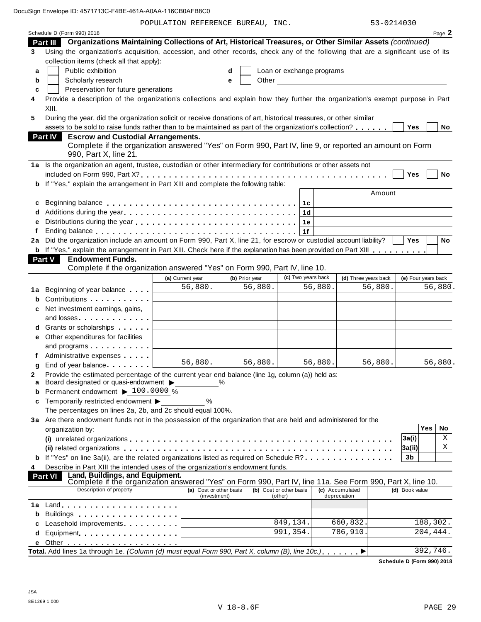| Schedule D (Form 990) 2018<br>Page 2<br>Part III Organizations Maintaining Collections of Art, Historical Treasures, or Other Similar Assets (continued)<br>Using the organization's acquisition, accession, and other records, check any of the following that are a significant use of its<br>3<br>collection items (check all that apply):<br>Public exhibition<br>Loan or exchange programs<br>a<br>d<br>Other the contract of the contract of the contract of the contract of the contract of the contract of the contract of the contract of the contract of the contract of the contract of the contract of the contract of the cont<br>Scholarly research<br>b<br>e<br>Preservation for future generations<br>c<br>Provide a description of the organization's collections and explain how they further the organization's exempt purpose in Part<br>4<br>XIII.<br>During the year, did the organization solicit or receive donations of art, historical treasures, or other similar<br>5<br>assets to be sold to raise funds rather than to be maintained as part of the organization's collection?<br>No<br>Yes<br><b>Escrow and Custodial Arrangements.</b><br><b>Part IV</b><br>Complete if the organization answered "Yes" on Form 990, Part IV, line 9, or reported an amount on Form<br>990, Part X, line 21.<br>1a Is the organization an agent, trustee, custodian or other intermediary for contributions or other assets not<br>No<br>Yes<br><b>b</b> If "Yes," explain the arrangement in Part XIII and complete the following table:<br>Amount<br>1c<br>c<br>1d<br>d<br>е<br>1е<br>Ending balance enterprise and the series of the series are series and the series of the series of the series o<br>f<br>1f<br>Did the organization include an amount on Form 990, Part X, line 21, for escrow or custodial account liability?<br><b>Yes</b><br>No<br>2a<br><b>b</b> If "Yes," explain the arrangement in Part XIII. Check here if the explanation has been provided on Part XIII<br><b>Endowment Funds.</b><br>Part V<br>Complete if the organization answered "Yes" on Form 990, Part IV, line 10.<br>(c) Two years back<br>(d) Three years back<br>(e) Four years back<br>(b) Prior year<br>(a) Current year<br>56,880.<br>56,880.<br>56,880.<br>56,880.<br>56,880.<br>Beginning of year balance<br>1a<br>Contributions <b>Contributions</b><br>b<br>Net investment earnings, gains,<br>c<br>and losses<br>Grants or scholarships<br>d<br>Other expenditures for facilities<br>е<br>and programs<br>Administrative expenses<br>56,880.<br>56,880.<br>56,880.<br>56,880.<br>56,880.<br>End of year balance expansion of year balance<br>g<br>Provide the estimated percentage of the current year end balance (line 1g, column (a)) held as:<br>2<br>Board designated or quasi-endowment ><br>a<br>Permanent endowment ▶ 100.0000 %<br>b<br>Temporarily restricted endowment ▶<br>%<br>c<br>The percentages on lines 2a, 2b, and 2c should equal 100%.<br>3a Are there endowment funds not in the possession of the organization that are held and administered for the<br>Yes<br>No<br>organization by:<br>Χ<br>3a(i)<br>Χ<br>3a(ii)<br>(ii) related organizations enterpresent respectively in the content of the content of the content of the content of the content of the content of the content of the content of the content of the content of the content of t<br>If "Yes" on line 3a(ii), are the related organizations listed as required on Schedule R?<br>3 <sub>b</sub><br>Describe in Part XIII the intended uses of the organization's endowment funds.<br>4<br>Land, Buildings, and Equipment.<br><b>Part VI</b><br>Complete if the organization answered "Yes" on Form 990, Part IV, line 11a. See Form 990, Part X, line 10.<br>Description of property<br>(a) Cost or other basis<br>(b) Cost or other basis<br>(c) Accumulated<br>(d) Book value<br>(investment)<br>(other)<br>depreciation<br>$Land.$<br>1а<br>Buildings <b>Example 20</b> Section 20 and 20 and 20 and 20 and 20 and 20 and 20 and 20 and 20 and 20 and 20 and 20 and 20 and 20 and 20 and 20 and 20 and 20 and 20 and 20 and 20 and 20 and 20 and 20 and 20 and 20 and 20 and 20<br>b<br>849,134.<br>188,302.<br>660,832.<br>Leasehold improvements entitled as a set of the set of the set of the set of the set of the set of the set of the set of the set of the set of the set of the set of the set of the set of the set of the set of the set of th<br>c<br>991,354.<br>786,910.<br>204,444.<br>Equipment<br>d<br>е<br>Total. Add lines 1a through 1e. (Column (d) must equal Form 990, Part X, column (B), line 10c.)<br>392,746. |  | POPULATION REFERENCE BUREAU, INC. |  |  | 53-0214030 |  |
|------------------------------------------------------------------------------------------------------------------------------------------------------------------------------------------------------------------------------------------------------------------------------------------------------------------------------------------------------------------------------------------------------------------------------------------------------------------------------------------------------------------------------------------------------------------------------------------------------------------------------------------------------------------------------------------------------------------------------------------------------------------------------------------------------------------------------------------------------------------------------------------------------------------------------------------------------------------------------------------------------------------------------------------------------------------------------------------------------------------------------------------------------------------------------------------------------------------------------------------------------------------------------------------------------------------------------------------------------------------------------------------------------------------------------------------------------------------------------------------------------------------------------------------------------------------------------------------------------------------------------------------------------------------------------------------------------------------------------------------------------------------------------------------------------------------------------------------------------------------------------------------------------------------------------------------------------------------------------------------------------------------------------------------------------------------------------------------------------------------------------------------------------------------------------------------------------------------------------------------------------------------------------------------------------------------------------------------------------------------------------------------------------------------------------------------------------------------------------------------------------------------------------------------------------------------------------------------------------------------------------------------------------------------------------------------------------------------------------------------------------------------------------------------------------------------------------------------------------------------------------------------------------------------------------------------------------------------------------------------------------------------------------------------------------------------------------------------------------------------------------------------------------------------------------------------------------------------------------------------------------------------------------------------------------------------------------------------------------------------------------------------------------------------------------------------------------------------------------------------------------------------------------------------------------------------------------------------------------------------------------------------------------------------------------------------------------------------------------------------------------------------------------------------------------------------------------------------------------------------------------------------------------------------------------------------------------------------------------------------------------------------------------------------------------------------------------------------------------------------------------------------------------------------------------------------------------------------------------------------------------------------------------------------------------------------------------------------------------------------------------------------------------------------------------------------------------------------------------------------------------------------------------------------------------------------------------------------------------------------------------------------------------------|--|-----------------------------------|--|--|------------|--|
|                                                                                                                                                                                                                                                                                                                                                                                                                                                                                                                                                                                                                                                                                                                                                                                                                                                                                                                                                                                                                                                                                                                                                                                                                                                                                                                                                                                                                                                                                                                                                                                                                                                                                                                                                                                                                                                                                                                                                                                                                                                                                                                                                                                                                                                                                                                                                                                                                                                                                                                                                                                                                                                                                                                                                                                                                                                                                                                                                                                                                                                                                                                                                                                                                                                                                                                                                                                                                                                                                                                                                                                                                                                                                                                                                                                                                                                                                                                                                                                                                                                                                                                                                                                                                                                                                                                                                                                                                                                                                                                                                                                                                                                            |  |                                   |  |  |            |  |
|                                                                                                                                                                                                                                                                                                                                                                                                                                                                                                                                                                                                                                                                                                                                                                                                                                                                                                                                                                                                                                                                                                                                                                                                                                                                                                                                                                                                                                                                                                                                                                                                                                                                                                                                                                                                                                                                                                                                                                                                                                                                                                                                                                                                                                                                                                                                                                                                                                                                                                                                                                                                                                                                                                                                                                                                                                                                                                                                                                                                                                                                                                                                                                                                                                                                                                                                                                                                                                                                                                                                                                                                                                                                                                                                                                                                                                                                                                                                                                                                                                                                                                                                                                                                                                                                                                                                                                                                                                                                                                                                                                                                                                                            |  |                                   |  |  |            |  |
|                                                                                                                                                                                                                                                                                                                                                                                                                                                                                                                                                                                                                                                                                                                                                                                                                                                                                                                                                                                                                                                                                                                                                                                                                                                                                                                                                                                                                                                                                                                                                                                                                                                                                                                                                                                                                                                                                                                                                                                                                                                                                                                                                                                                                                                                                                                                                                                                                                                                                                                                                                                                                                                                                                                                                                                                                                                                                                                                                                                                                                                                                                                                                                                                                                                                                                                                                                                                                                                                                                                                                                                                                                                                                                                                                                                                                                                                                                                                                                                                                                                                                                                                                                                                                                                                                                                                                                                                                                                                                                                                                                                                                                                            |  |                                   |  |  |            |  |
|                                                                                                                                                                                                                                                                                                                                                                                                                                                                                                                                                                                                                                                                                                                                                                                                                                                                                                                                                                                                                                                                                                                                                                                                                                                                                                                                                                                                                                                                                                                                                                                                                                                                                                                                                                                                                                                                                                                                                                                                                                                                                                                                                                                                                                                                                                                                                                                                                                                                                                                                                                                                                                                                                                                                                                                                                                                                                                                                                                                                                                                                                                                                                                                                                                                                                                                                                                                                                                                                                                                                                                                                                                                                                                                                                                                                                                                                                                                                                                                                                                                                                                                                                                                                                                                                                                                                                                                                                                                                                                                                                                                                                                                            |  |                                   |  |  |            |  |
|                                                                                                                                                                                                                                                                                                                                                                                                                                                                                                                                                                                                                                                                                                                                                                                                                                                                                                                                                                                                                                                                                                                                                                                                                                                                                                                                                                                                                                                                                                                                                                                                                                                                                                                                                                                                                                                                                                                                                                                                                                                                                                                                                                                                                                                                                                                                                                                                                                                                                                                                                                                                                                                                                                                                                                                                                                                                                                                                                                                                                                                                                                                                                                                                                                                                                                                                                                                                                                                                                                                                                                                                                                                                                                                                                                                                                                                                                                                                                                                                                                                                                                                                                                                                                                                                                                                                                                                                                                                                                                                                                                                                                                                            |  |                                   |  |  |            |  |
|                                                                                                                                                                                                                                                                                                                                                                                                                                                                                                                                                                                                                                                                                                                                                                                                                                                                                                                                                                                                                                                                                                                                                                                                                                                                                                                                                                                                                                                                                                                                                                                                                                                                                                                                                                                                                                                                                                                                                                                                                                                                                                                                                                                                                                                                                                                                                                                                                                                                                                                                                                                                                                                                                                                                                                                                                                                                                                                                                                                                                                                                                                                                                                                                                                                                                                                                                                                                                                                                                                                                                                                                                                                                                                                                                                                                                                                                                                                                                                                                                                                                                                                                                                                                                                                                                                                                                                                                                                                                                                                                                                                                                                                            |  |                                   |  |  |            |  |
|                                                                                                                                                                                                                                                                                                                                                                                                                                                                                                                                                                                                                                                                                                                                                                                                                                                                                                                                                                                                                                                                                                                                                                                                                                                                                                                                                                                                                                                                                                                                                                                                                                                                                                                                                                                                                                                                                                                                                                                                                                                                                                                                                                                                                                                                                                                                                                                                                                                                                                                                                                                                                                                                                                                                                                                                                                                                                                                                                                                                                                                                                                                                                                                                                                                                                                                                                                                                                                                                                                                                                                                                                                                                                                                                                                                                                                                                                                                                                                                                                                                                                                                                                                                                                                                                                                                                                                                                                                                                                                                                                                                                                                                            |  |                                   |  |  |            |  |
|                                                                                                                                                                                                                                                                                                                                                                                                                                                                                                                                                                                                                                                                                                                                                                                                                                                                                                                                                                                                                                                                                                                                                                                                                                                                                                                                                                                                                                                                                                                                                                                                                                                                                                                                                                                                                                                                                                                                                                                                                                                                                                                                                                                                                                                                                                                                                                                                                                                                                                                                                                                                                                                                                                                                                                                                                                                                                                                                                                                                                                                                                                                                                                                                                                                                                                                                                                                                                                                                                                                                                                                                                                                                                                                                                                                                                                                                                                                                                                                                                                                                                                                                                                                                                                                                                                                                                                                                                                                                                                                                                                                                                                                            |  |                                   |  |  |            |  |
|                                                                                                                                                                                                                                                                                                                                                                                                                                                                                                                                                                                                                                                                                                                                                                                                                                                                                                                                                                                                                                                                                                                                                                                                                                                                                                                                                                                                                                                                                                                                                                                                                                                                                                                                                                                                                                                                                                                                                                                                                                                                                                                                                                                                                                                                                                                                                                                                                                                                                                                                                                                                                                                                                                                                                                                                                                                                                                                                                                                                                                                                                                                                                                                                                                                                                                                                                                                                                                                                                                                                                                                                                                                                                                                                                                                                                                                                                                                                                                                                                                                                                                                                                                                                                                                                                                                                                                                                                                                                                                                                                                                                                                                            |  |                                   |  |  |            |  |
|                                                                                                                                                                                                                                                                                                                                                                                                                                                                                                                                                                                                                                                                                                                                                                                                                                                                                                                                                                                                                                                                                                                                                                                                                                                                                                                                                                                                                                                                                                                                                                                                                                                                                                                                                                                                                                                                                                                                                                                                                                                                                                                                                                                                                                                                                                                                                                                                                                                                                                                                                                                                                                                                                                                                                                                                                                                                                                                                                                                                                                                                                                                                                                                                                                                                                                                                                                                                                                                                                                                                                                                                                                                                                                                                                                                                                                                                                                                                                                                                                                                                                                                                                                                                                                                                                                                                                                                                                                                                                                                                                                                                                                                            |  |                                   |  |  |            |  |
|                                                                                                                                                                                                                                                                                                                                                                                                                                                                                                                                                                                                                                                                                                                                                                                                                                                                                                                                                                                                                                                                                                                                                                                                                                                                                                                                                                                                                                                                                                                                                                                                                                                                                                                                                                                                                                                                                                                                                                                                                                                                                                                                                                                                                                                                                                                                                                                                                                                                                                                                                                                                                                                                                                                                                                                                                                                                                                                                                                                                                                                                                                                                                                                                                                                                                                                                                                                                                                                                                                                                                                                                                                                                                                                                                                                                                                                                                                                                                                                                                                                                                                                                                                                                                                                                                                                                                                                                                                                                                                                                                                                                                                                            |  |                                   |  |  |            |  |
|                                                                                                                                                                                                                                                                                                                                                                                                                                                                                                                                                                                                                                                                                                                                                                                                                                                                                                                                                                                                                                                                                                                                                                                                                                                                                                                                                                                                                                                                                                                                                                                                                                                                                                                                                                                                                                                                                                                                                                                                                                                                                                                                                                                                                                                                                                                                                                                                                                                                                                                                                                                                                                                                                                                                                                                                                                                                                                                                                                                                                                                                                                                                                                                                                                                                                                                                                                                                                                                                                                                                                                                                                                                                                                                                                                                                                                                                                                                                                                                                                                                                                                                                                                                                                                                                                                                                                                                                                                                                                                                                                                                                                                                            |  |                                   |  |  |            |  |
|                                                                                                                                                                                                                                                                                                                                                                                                                                                                                                                                                                                                                                                                                                                                                                                                                                                                                                                                                                                                                                                                                                                                                                                                                                                                                                                                                                                                                                                                                                                                                                                                                                                                                                                                                                                                                                                                                                                                                                                                                                                                                                                                                                                                                                                                                                                                                                                                                                                                                                                                                                                                                                                                                                                                                                                                                                                                                                                                                                                                                                                                                                                                                                                                                                                                                                                                                                                                                                                                                                                                                                                                                                                                                                                                                                                                                                                                                                                                                                                                                                                                                                                                                                                                                                                                                                                                                                                                                                                                                                                                                                                                                                                            |  |                                   |  |  |            |  |
|                                                                                                                                                                                                                                                                                                                                                                                                                                                                                                                                                                                                                                                                                                                                                                                                                                                                                                                                                                                                                                                                                                                                                                                                                                                                                                                                                                                                                                                                                                                                                                                                                                                                                                                                                                                                                                                                                                                                                                                                                                                                                                                                                                                                                                                                                                                                                                                                                                                                                                                                                                                                                                                                                                                                                                                                                                                                                                                                                                                                                                                                                                                                                                                                                                                                                                                                                                                                                                                                                                                                                                                                                                                                                                                                                                                                                                                                                                                                                                                                                                                                                                                                                                                                                                                                                                                                                                                                                                                                                                                                                                                                                                                            |  |                                   |  |  |            |  |
|                                                                                                                                                                                                                                                                                                                                                                                                                                                                                                                                                                                                                                                                                                                                                                                                                                                                                                                                                                                                                                                                                                                                                                                                                                                                                                                                                                                                                                                                                                                                                                                                                                                                                                                                                                                                                                                                                                                                                                                                                                                                                                                                                                                                                                                                                                                                                                                                                                                                                                                                                                                                                                                                                                                                                                                                                                                                                                                                                                                                                                                                                                                                                                                                                                                                                                                                                                                                                                                                                                                                                                                                                                                                                                                                                                                                                                                                                                                                                                                                                                                                                                                                                                                                                                                                                                                                                                                                                                                                                                                                                                                                                                                            |  |                                   |  |  |            |  |
|                                                                                                                                                                                                                                                                                                                                                                                                                                                                                                                                                                                                                                                                                                                                                                                                                                                                                                                                                                                                                                                                                                                                                                                                                                                                                                                                                                                                                                                                                                                                                                                                                                                                                                                                                                                                                                                                                                                                                                                                                                                                                                                                                                                                                                                                                                                                                                                                                                                                                                                                                                                                                                                                                                                                                                                                                                                                                                                                                                                                                                                                                                                                                                                                                                                                                                                                                                                                                                                                                                                                                                                                                                                                                                                                                                                                                                                                                                                                                                                                                                                                                                                                                                                                                                                                                                                                                                                                                                                                                                                                                                                                                                                            |  |                                   |  |  |            |  |
|                                                                                                                                                                                                                                                                                                                                                                                                                                                                                                                                                                                                                                                                                                                                                                                                                                                                                                                                                                                                                                                                                                                                                                                                                                                                                                                                                                                                                                                                                                                                                                                                                                                                                                                                                                                                                                                                                                                                                                                                                                                                                                                                                                                                                                                                                                                                                                                                                                                                                                                                                                                                                                                                                                                                                                                                                                                                                                                                                                                                                                                                                                                                                                                                                                                                                                                                                                                                                                                                                                                                                                                                                                                                                                                                                                                                                                                                                                                                                                                                                                                                                                                                                                                                                                                                                                                                                                                                                                                                                                                                                                                                                                                            |  |                                   |  |  |            |  |
|                                                                                                                                                                                                                                                                                                                                                                                                                                                                                                                                                                                                                                                                                                                                                                                                                                                                                                                                                                                                                                                                                                                                                                                                                                                                                                                                                                                                                                                                                                                                                                                                                                                                                                                                                                                                                                                                                                                                                                                                                                                                                                                                                                                                                                                                                                                                                                                                                                                                                                                                                                                                                                                                                                                                                                                                                                                                                                                                                                                                                                                                                                                                                                                                                                                                                                                                                                                                                                                                                                                                                                                                                                                                                                                                                                                                                                                                                                                                                                                                                                                                                                                                                                                                                                                                                                                                                                                                                                                                                                                                                                                                                                                            |  |                                   |  |  |            |  |
|                                                                                                                                                                                                                                                                                                                                                                                                                                                                                                                                                                                                                                                                                                                                                                                                                                                                                                                                                                                                                                                                                                                                                                                                                                                                                                                                                                                                                                                                                                                                                                                                                                                                                                                                                                                                                                                                                                                                                                                                                                                                                                                                                                                                                                                                                                                                                                                                                                                                                                                                                                                                                                                                                                                                                                                                                                                                                                                                                                                                                                                                                                                                                                                                                                                                                                                                                                                                                                                                                                                                                                                                                                                                                                                                                                                                                                                                                                                                                                                                                                                                                                                                                                                                                                                                                                                                                                                                                                                                                                                                                                                                                                                            |  |                                   |  |  |            |  |
|                                                                                                                                                                                                                                                                                                                                                                                                                                                                                                                                                                                                                                                                                                                                                                                                                                                                                                                                                                                                                                                                                                                                                                                                                                                                                                                                                                                                                                                                                                                                                                                                                                                                                                                                                                                                                                                                                                                                                                                                                                                                                                                                                                                                                                                                                                                                                                                                                                                                                                                                                                                                                                                                                                                                                                                                                                                                                                                                                                                                                                                                                                                                                                                                                                                                                                                                                                                                                                                                                                                                                                                                                                                                                                                                                                                                                                                                                                                                                                                                                                                                                                                                                                                                                                                                                                                                                                                                                                                                                                                                                                                                                                                            |  |                                   |  |  |            |  |
|                                                                                                                                                                                                                                                                                                                                                                                                                                                                                                                                                                                                                                                                                                                                                                                                                                                                                                                                                                                                                                                                                                                                                                                                                                                                                                                                                                                                                                                                                                                                                                                                                                                                                                                                                                                                                                                                                                                                                                                                                                                                                                                                                                                                                                                                                                                                                                                                                                                                                                                                                                                                                                                                                                                                                                                                                                                                                                                                                                                                                                                                                                                                                                                                                                                                                                                                                                                                                                                                                                                                                                                                                                                                                                                                                                                                                                                                                                                                                                                                                                                                                                                                                                                                                                                                                                                                                                                                                                                                                                                                                                                                                                                            |  |                                   |  |  |            |  |
|                                                                                                                                                                                                                                                                                                                                                                                                                                                                                                                                                                                                                                                                                                                                                                                                                                                                                                                                                                                                                                                                                                                                                                                                                                                                                                                                                                                                                                                                                                                                                                                                                                                                                                                                                                                                                                                                                                                                                                                                                                                                                                                                                                                                                                                                                                                                                                                                                                                                                                                                                                                                                                                                                                                                                                                                                                                                                                                                                                                                                                                                                                                                                                                                                                                                                                                                                                                                                                                                                                                                                                                                                                                                                                                                                                                                                                                                                                                                                                                                                                                                                                                                                                                                                                                                                                                                                                                                                                                                                                                                                                                                                                                            |  |                                   |  |  |            |  |
|                                                                                                                                                                                                                                                                                                                                                                                                                                                                                                                                                                                                                                                                                                                                                                                                                                                                                                                                                                                                                                                                                                                                                                                                                                                                                                                                                                                                                                                                                                                                                                                                                                                                                                                                                                                                                                                                                                                                                                                                                                                                                                                                                                                                                                                                                                                                                                                                                                                                                                                                                                                                                                                                                                                                                                                                                                                                                                                                                                                                                                                                                                                                                                                                                                                                                                                                                                                                                                                                                                                                                                                                                                                                                                                                                                                                                                                                                                                                                                                                                                                                                                                                                                                                                                                                                                                                                                                                                                                                                                                                                                                                                                                            |  |                                   |  |  |            |  |
|                                                                                                                                                                                                                                                                                                                                                                                                                                                                                                                                                                                                                                                                                                                                                                                                                                                                                                                                                                                                                                                                                                                                                                                                                                                                                                                                                                                                                                                                                                                                                                                                                                                                                                                                                                                                                                                                                                                                                                                                                                                                                                                                                                                                                                                                                                                                                                                                                                                                                                                                                                                                                                                                                                                                                                                                                                                                                                                                                                                                                                                                                                                                                                                                                                                                                                                                                                                                                                                                                                                                                                                                                                                                                                                                                                                                                                                                                                                                                                                                                                                                                                                                                                                                                                                                                                                                                                                                                                                                                                                                                                                                                                                            |  |                                   |  |  |            |  |
|                                                                                                                                                                                                                                                                                                                                                                                                                                                                                                                                                                                                                                                                                                                                                                                                                                                                                                                                                                                                                                                                                                                                                                                                                                                                                                                                                                                                                                                                                                                                                                                                                                                                                                                                                                                                                                                                                                                                                                                                                                                                                                                                                                                                                                                                                                                                                                                                                                                                                                                                                                                                                                                                                                                                                                                                                                                                                                                                                                                                                                                                                                                                                                                                                                                                                                                                                                                                                                                                                                                                                                                                                                                                                                                                                                                                                                                                                                                                                                                                                                                                                                                                                                                                                                                                                                                                                                                                                                                                                                                                                                                                                                                            |  |                                   |  |  |            |  |
|                                                                                                                                                                                                                                                                                                                                                                                                                                                                                                                                                                                                                                                                                                                                                                                                                                                                                                                                                                                                                                                                                                                                                                                                                                                                                                                                                                                                                                                                                                                                                                                                                                                                                                                                                                                                                                                                                                                                                                                                                                                                                                                                                                                                                                                                                                                                                                                                                                                                                                                                                                                                                                                                                                                                                                                                                                                                                                                                                                                                                                                                                                                                                                                                                                                                                                                                                                                                                                                                                                                                                                                                                                                                                                                                                                                                                                                                                                                                                                                                                                                                                                                                                                                                                                                                                                                                                                                                                                                                                                                                                                                                                                                            |  |                                   |  |  |            |  |
|                                                                                                                                                                                                                                                                                                                                                                                                                                                                                                                                                                                                                                                                                                                                                                                                                                                                                                                                                                                                                                                                                                                                                                                                                                                                                                                                                                                                                                                                                                                                                                                                                                                                                                                                                                                                                                                                                                                                                                                                                                                                                                                                                                                                                                                                                                                                                                                                                                                                                                                                                                                                                                                                                                                                                                                                                                                                                                                                                                                                                                                                                                                                                                                                                                                                                                                                                                                                                                                                                                                                                                                                                                                                                                                                                                                                                                                                                                                                                                                                                                                                                                                                                                                                                                                                                                                                                                                                                                                                                                                                                                                                                                                            |  |                                   |  |  |            |  |
|                                                                                                                                                                                                                                                                                                                                                                                                                                                                                                                                                                                                                                                                                                                                                                                                                                                                                                                                                                                                                                                                                                                                                                                                                                                                                                                                                                                                                                                                                                                                                                                                                                                                                                                                                                                                                                                                                                                                                                                                                                                                                                                                                                                                                                                                                                                                                                                                                                                                                                                                                                                                                                                                                                                                                                                                                                                                                                                                                                                                                                                                                                                                                                                                                                                                                                                                                                                                                                                                                                                                                                                                                                                                                                                                                                                                                                                                                                                                                                                                                                                                                                                                                                                                                                                                                                                                                                                                                                                                                                                                                                                                                                                            |  |                                   |  |  |            |  |
|                                                                                                                                                                                                                                                                                                                                                                                                                                                                                                                                                                                                                                                                                                                                                                                                                                                                                                                                                                                                                                                                                                                                                                                                                                                                                                                                                                                                                                                                                                                                                                                                                                                                                                                                                                                                                                                                                                                                                                                                                                                                                                                                                                                                                                                                                                                                                                                                                                                                                                                                                                                                                                                                                                                                                                                                                                                                                                                                                                                                                                                                                                                                                                                                                                                                                                                                                                                                                                                                                                                                                                                                                                                                                                                                                                                                                                                                                                                                                                                                                                                                                                                                                                                                                                                                                                                                                                                                                                                                                                                                                                                                                                                            |  |                                   |  |  |            |  |
|                                                                                                                                                                                                                                                                                                                                                                                                                                                                                                                                                                                                                                                                                                                                                                                                                                                                                                                                                                                                                                                                                                                                                                                                                                                                                                                                                                                                                                                                                                                                                                                                                                                                                                                                                                                                                                                                                                                                                                                                                                                                                                                                                                                                                                                                                                                                                                                                                                                                                                                                                                                                                                                                                                                                                                                                                                                                                                                                                                                                                                                                                                                                                                                                                                                                                                                                                                                                                                                                                                                                                                                                                                                                                                                                                                                                                                                                                                                                                                                                                                                                                                                                                                                                                                                                                                                                                                                                                                                                                                                                                                                                                                                            |  |                                   |  |  |            |  |
|                                                                                                                                                                                                                                                                                                                                                                                                                                                                                                                                                                                                                                                                                                                                                                                                                                                                                                                                                                                                                                                                                                                                                                                                                                                                                                                                                                                                                                                                                                                                                                                                                                                                                                                                                                                                                                                                                                                                                                                                                                                                                                                                                                                                                                                                                                                                                                                                                                                                                                                                                                                                                                                                                                                                                                                                                                                                                                                                                                                                                                                                                                                                                                                                                                                                                                                                                                                                                                                                                                                                                                                                                                                                                                                                                                                                                                                                                                                                                                                                                                                                                                                                                                                                                                                                                                                                                                                                                                                                                                                                                                                                                                                            |  |                                   |  |  |            |  |
|                                                                                                                                                                                                                                                                                                                                                                                                                                                                                                                                                                                                                                                                                                                                                                                                                                                                                                                                                                                                                                                                                                                                                                                                                                                                                                                                                                                                                                                                                                                                                                                                                                                                                                                                                                                                                                                                                                                                                                                                                                                                                                                                                                                                                                                                                                                                                                                                                                                                                                                                                                                                                                                                                                                                                                                                                                                                                                                                                                                                                                                                                                                                                                                                                                                                                                                                                                                                                                                                                                                                                                                                                                                                                                                                                                                                                                                                                                                                                                                                                                                                                                                                                                                                                                                                                                                                                                                                                                                                                                                                                                                                                                                            |  |                                   |  |  |            |  |
|                                                                                                                                                                                                                                                                                                                                                                                                                                                                                                                                                                                                                                                                                                                                                                                                                                                                                                                                                                                                                                                                                                                                                                                                                                                                                                                                                                                                                                                                                                                                                                                                                                                                                                                                                                                                                                                                                                                                                                                                                                                                                                                                                                                                                                                                                                                                                                                                                                                                                                                                                                                                                                                                                                                                                                                                                                                                                                                                                                                                                                                                                                                                                                                                                                                                                                                                                                                                                                                                                                                                                                                                                                                                                                                                                                                                                                                                                                                                                                                                                                                                                                                                                                                                                                                                                                                                                                                                                                                                                                                                                                                                                                                            |  |                                   |  |  |            |  |
|                                                                                                                                                                                                                                                                                                                                                                                                                                                                                                                                                                                                                                                                                                                                                                                                                                                                                                                                                                                                                                                                                                                                                                                                                                                                                                                                                                                                                                                                                                                                                                                                                                                                                                                                                                                                                                                                                                                                                                                                                                                                                                                                                                                                                                                                                                                                                                                                                                                                                                                                                                                                                                                                                                                                                                                                                                                                                                                                                                                                                                                                                                                                                                                                                                                                                                                                                                                                                                                                                                                                                                                                                                                                                                                                                                                                                                                                                                                                                                                                                                                                                                                                                                                                                                                                                                                                                                                                                                                                                                                                                                                                                                                            |  |                                   |  |  |            |  |
|                                                                                                                                                                                                                                                                                                                                                                                                                                                                                                                                                                                                                                                                                                                                                                                                                                                                                                                                                                                                                                                                                                                                                                                                                                                                                                                                                                                                                                                                                                                                                                                                                                                                                                                                                                                                                                                                                                                                                                                                                                                                                                                                                                                                                                                                                                                                                                                                                                                                                                                                                                                                                                                                                                                                                                                                                                                                                                                                                                                                                                                                                                                                                                                                                                                                                                                                                                                                                                                                                                                                                                                                                                                                                                                                                                                                                                                                                                                                                                                                                                                                                                                                                                                                                                                                                                                                                                                                                                                                                                                                                                                                                                                            |  |                                   |  |  |            |  |
|                                                                                                                                                                                                                                                                                                                                                                                                                                                                                                                                                                                                                                                                                                                                                                                                                                                                                                                                                                                                                                                                                                                                                                                                                                                                                                                                                                                                                                                                                                                                                                                                                                                                                                                                                                                                                                                                                                                                                                                                                                                                                                                                                                                                                                                                                                                                                                                                                                                                                                                                                                                                                                                                                                                                                                                                                                                                                                                                                                                                                                                                                                                                                                                                                                                                                                                                                                                                                                                                                                                                                                                                                                                                                                                                                                                                                                                                                                                                                                                                                                                                                                                                                                                                                                                                                                                                                                                                                                                                                                                                                                                                                                                            |  |                                   |  |  |            |  |
|                                                                                                                                                                                                                                                                                                                                                                                                                                                                                                                                                                                                                                                                                                                                                                                                                                                                                                                                                                                                                                                                                                                                                                                                                                                                                                                                                                                                                                                                                                                                                                                                                                                                                                                                                                                                                                                                                                                                                                                                                                                                                                                                                                                                                                                                                                                                                                                                                                                                                                                                                                                                                                                                                                                                                                                                                                                                                                                                                                                                                                                                                                                                                                                                                                                                                                                                                                                                                                                                                                                                                                                                                                                                                                                                                                                                                                                                                                                                                                                                                                                                                                                                                                                                                                                                                                                                                                                                                                                                                                                                                                                                                                                            |  |                                   |  |  |            |  |
|                                                                                                                                                                                                                                                                                                                                                                                                                                                                                                                                                                                                                                                                                                                                                                                                                                                                                                                                                                                                                                                                                                                                                                                                                                                                                                                                                                                                                                                                                                                                                                                                                                                                                                                                                                                                                                                                                                                                                                                                                                                                                                                                                                                                                                                                                                                                                                                                                                                                                                                                                                                                                                                                                                                                                                                                                                                                                                                                                                                                                                                                                                                                                                                                                                                                                                                                                                                                                                                                                                                                                                                                                                                                                                                                                                                                                                                                                                                                                                                                                                                                                                                                                                                                                                                                                                                                                                                                                                                                                                                                                                                                                                                            |  |                                   |  |  |            |  |
|                                                                                                                                                                                                                                                                                                                                                                                                                                                                                                                                                                                                                                                                                                                                                                                                                                                                                                                                                                                                                                                                                                                                                                                                                                                                                                                                                                                                                                                                                                                                                                                                                                                                                                                                                                                                                                                                                                                                                                                                                                                                                                                                                                                                                                                                                                                                                                                                                                                                                                                                                                                                                                                                                                                                                                                                                                                                                                                                                                                                                                                                                                                                                                                                                                                                                                                                                                                                                                                                                                                                                                                                                                                                                                                                                                                                                                                                                                                                                                                                                                                                                                                                                                                                                                                                                                                                                                                                                                                                                                                                                                                                                                                            |  |                                   |  |  |            |  |
|                                                                                                                                                                                                                                                                                                                                                                                                                                                                                                                                                                                                                                                                                                                                                                                                                                                                                                                                                                                                                                                                                                                                                                                                                                                                                                                                                                                                                                                                                                                                                                                                                                                                                                                                                                                                                                                                                                                                                                                                                                                                                                                                                                                                                                                                                                                                                                                                                                                                                                                                                                                                                                                                                                                                                                                                                                                                                                                                                                                                                                                                                                                                                                                                                                                                                                                                                                                                                                                                                                                                                                                                                                                                                                                                                                                                                                                                                                                                                                                                                                                                                                                                                                                                                                                                                                                                                                                                                                                                                                                                                                                                                                                            |  |                                   |  |  |            |  |
|                                                                                                                                                                                                                                                                                                                                                                                                                                                                                                                                                                                                                                                                                                                                                                                                                                                                                                                                                                                                                                                                                                                                                                                                                                                                                                                                                                                                                                                                                                                                                                                                                                                                                                                                                                                                                                                                                                                                                                                                                                                                                                                                                                                                                                                                                                                                                                                                                                                                                                                                                                                                                                                                                                                                                                                                                                                                                                                                                                                                                                                                                                                                                                                                                                                                                                                                                                                                                                                                                                                                                                                                                                                                                                                                                                                                                                                                                                                                                                                                                                                                                                                                                                                                                                                                                                                                                                                                                                                                                                                                                                                                                                                            |  |                                   |  |  |            |  |
|                                                                                                                                                                                                                                                                                                                                                                                                                                                                                                                                                                                                                                                                                                                                                                                                                                                                                                                                                                                                                                                                                                                                                                                                                                                                                                                                                                                                                                                                                                                                                                                                                                                                                                                                                                                                                                                                                                                                                                                                                                                                                                                                                                                                                                                                                                                                                                                                                                                                                                                                                                                                                                                                                                                                                                                                                                                                                                                                                                                                                                                                                                                                                                                                                                                                                                                                                                                                                                                                                                                                                                                                                                                                                                                                                                                                                                                                                                                                                                                                                                                                                                                                                                                                                                                                                                                                                                                                                                                                                                                                                                                                                                                            |  |                                   |  |  |            |  |
|                                                                                                                                                                                                                                                                                                                                                                                                                                                                                                                                                                                                                                                                                                                                                                                                                                                                                                                                                                                                                                                                                                                                                                                                                                                                                                                                                                                                                                                                                                                                                                                                                                                                                                                                                                                                                                                                                                                                                                                                                                                                                                                                                                                                                                                                                                                                                                                                                                                                                                                                                                                                                                                                                                                                                                                                                                                                                                                                                                                                                                                                                                                                                                                                                                                                                                                                                                                                                                                                                                                                                                                                                                                                                                                                                                                                                                                                                                                                                                                                                                                                                                                                                                                                                                                                                                                                                                                                                                                                                                                                                                                                                                                            |  |                                   |  |  |            |  |
|                                                                                                                                                                                                                                                                                                                                                                                                                                                                                                                                                                                                                                                                                                                                                                                                                                                                                                                                                                                                                                                                                                                                                                                                                                                                                                                                                                                                                                                                                                                                                                                                                                                                                                                                                                                                                                                                                                                                                                                                                                                                                                                                                                                                                                                                                                                                                                                                                                                                                                                                                                                                                                                                                                                                                                                                                                                                                                                                                                                                                                                                                                                                                                                                                                                                                                                                                                                                                                                                                                                                                                                                                                                                                                                                                                                                                                                                                                                                                                                                                                                                                                                                                                                                                                                                                                                                                                                                                                                                                                                                                                                                                                                            |  |                                   |  |  |            |  |
|                                                                                                                                                                                                                                                                                                                                                                                                                                                                                                                                                                                                                                                                                                                                                                                                                                                                                                                                                                                                                                                                                                                                                                                                                                                                                                                                                                                                                                                                                                                                                                                                                                                                                                                                                                                                                                                                                                                                                                                                                                                                                                                                                                                                                                                                                                                                                                                                                                                                                                                                                                                                                                                                                                                                                                                                                                                                                                                                                                                                                                                                                                                                                                                                                                                                                                                                                                                                                                                                                                                                                                                                                                                                                                                                                                                                                                                                                                                                                                                                                                                                                                                                                                                                                                                                                                                                                                                                                                                                                                                                                                                                                                                            |  |                                   |  |  |            |  |
|                                                                                                                                                                                                                                                                                                                                                                                                                                                                                                                                                                                                                                                                                                                                                                                                                                                                                                                                                                                                                                                                                                                                                                                                                                                                                                                                                                                                                                                                                                                                                                                                                                                                                                                                                                                                                                                                                                                                                                                                                                                                                                                                                                                                                                                                                                                                                                                                                                                                                                                                                                                                                                                                                                                                                                                                                                                                                                                                                                                                                                                                                                                                                                                                                                                                                                                                                                                                                                                                                                                                                                                                                                                                                                                                                                                                                                                                                                                                                                                                                                                                                                                                                                                                                                                                                                                                                                                                                                                                                                                                                                                                                                                            |  |                                   |  |  |            |  |
|                                                                                                                                                                                                                                                                                                                                                                                                                                                                                                                                                                                                                                                                                                                                                                                                                                                                                                                                                                                                                                                                                                                                                                                                                                                                                                                                                                                                                                                                                                                                                                                                                                                                                                                                                                                                                                                                                                                                                                                                                                                                                                                                                                                                                                                                                                                                                                                                                                                                                                                                                                                                                                                                                                                                                                                                                                                                                                                                                                                                                                                                                                                                                                                                                                                                                                                                                                                                                                                                                                                                                                                                                                                                                                                                                                                                                                                                                                                                                                                                                                                                                                                                                                                                                                                                                                                                                                                                                                                                                                                                                                                                                                                            |  |                                   |  |  |            |  |
|                                                                                                                                                                                                                                                                                                                                                                                                                                                                                                                                                                                                                                                                                                                                                                                                                                                                                                                                                                                                                                                                                                                                                                                                                                                                                                                                                                                                                                                                                                                                                                                                                                                                                                                                                                                                                                                                                                                                                                                                                                                                                                                                                                                                                                                                                                                                                                                                                                                                                                                                                                                                                                                                                                                                                                                                                                                                                                                                                                                                                                                                                                                                                                                                                                                                                                                                                                                                                                                                                                                                                                                                                                                                                                                                                                                                                                                                                                                                                                                                                                                                                                                                                                                                                                                                                                                                                                                                                                                                                                                                                                                                                                                            |  |                                   |  |  |            |  |
|                                                                                                                                                                                                                                                                                                                                                                                                                                                                                                                                                                                                                                                                                                                                                                                                                                                                                                                                                                                                                                                                                                                                                                                                                                                                                                                                                                                                                                                                                                                                                                                                                                                                                                                                                                                                                                                                                                                                                                                                                                                                                                                                                                                                                                                                                                                                                                                                                                                                                                                                                                                                                                                                                                                                                                                                                                                                                                                                                                                                                                                                                                                                                                                                                                                                                                                                                                                                                                                                                                                                                                                                                                                                                                                                                                                                                                                                                                                                                                                                                                                                                                                                                                                                                                                                                                                                                                                                                                                                                                                                                                                                                                                            |  |                                   |  |  |            |  |
|                                                                                                                                                                                                                                                                                                                                                                                                                                                                                                                                                                                                                                                                                                                                                                                                                                                                                                                                                                                                                                                                                                                                                                                                                                                                                                                                                                                                                                                                                                                                                                                                                                                                                                                                                                                                                                                                                                                                                                                                                                                                                                                                                                                                                                                                                                                                                                                                                                                                                                                                                                                                                                                                                                                                                                                                                                                                                                                                                                                                                                                                                                                                                                                                                                                                                                                                                                                                                                                                                                                                                                                                                                                                                                                                                                                                                                                                                                                                                                                                                                                                                                                                                                                                                                                                                                                                                                                                                                                                                                                                                                                                                                                            |  |                                   |  |  |            |  |
|                                                                                                                                                                                                                                                                                                                                                                                                                                                                                                                                                                                                                                                                                                                                                                                                                                                                                                                                                                                                                                                                                                                                                                                                                                                                                                                                                                                                                                                                                                                                                                                                                                                                                                                                                                                                                                                                                                                                                                                                                                                                                                                                                                                                                                                                                                                                                                                                                                                                                                                                                                                                                                                                                                                                                                                                                                                                                                                                                                                                                                                                                                                                                                                                                                                                                                                                                                                                                                                                                                                                                                                                                                                                                                                                                                                                                                                                                                                                                                                                                                                                                                                                                                                                                                                                                                                                                                                                                                                                                                                                                                                                                                                            |  |                                   |  |  |            |  |
|                                                                                                                                                                                                                                                                                                                                                                                                                                                                                                                                                                                                                                                                                                                                                                                                                                                                                                                                                                                                                                                                                                                                                                                                                                                                                                                                                                                                                                                                                                                                                                                                                                                                                                                                                                                                                                                                                                                                                                                                                                                                                                                                                                                                                                                                                                                                                                                                                                                                                                                                                                                                                                                                                                                                                                                                                                                                                                                                                                                                                                                                                                                                                                                                                                                                                                                                                                                                                                                                                                                                                                                                                                                                                                                                                                                                                                                                                                                                                                                                                                                                                                                                                                                                                                                                                                                                                                                                                                                                                                                                                                                                                                                            |  |                                   |  |  |            |  |
|                                                                                                                                                                                                                                                                                                                                                                                                                                                                                                                                                                                                                                                                                                                                                                                                                                                                                                                                                                                                                                                                                                                                                                                                                                                                                                                                                                                                                                                                                                                                                                                                                                                                                                                                                                                                                                                                                                                                                                                                                                                                                                                                                                                                                                                                                                                                                                                                                                                                                                                                                                                                                                                                                                                                                                                                                                                                                                                                                                                                                                                                                                                                                                                                                                                                                                                                                                                                                                                                                                                                                                                                                                                                                                                                                                                                                                                                                                                                                                                                                                                                                                                                                                                                                                                                                                                                                                                                                                                                                                                                                                                                                                                            |  |                                   |  |  |            |  |
|                                                                                                                                                                                                                                                                                                                                                                                                                                                                                                                                                                                                                                                                                                                                                                                                                                                                                                                                                                                                                                                                                                                                                                                                                                                                                                                                                                                                                                                                                                                                                                                                                                                                                                                                                                                                                                                                                                                                                                                                                                                                                                                                                                                                                                                                                                                                                                                                                                                                                                                                                                                                                                                                                                                                                                                                                                                                                                                                                                                                                                                                                                                                                                                                                                                                                                                                                                                                                                                                                                                                                                                                                                                                                                                                                                                                                                                                                                                                                                                                                                                                                                                                                                                                                                                                                                                                                                                                                                                                                                                                                                                                                                                            |  |                                   |  |  |            |  |
|                                                                                                                                                                                                                                                                                                                                                                                                                                                                                                                                                                                                                                                                                                                                                                                                                                                                                                                                                                                                                                                                                                                                                                                                                                                                                                                                                                                                                                                                                                                                                                                                                                                                                                                                                                                                                                                                                                                                                                                                                                                                                                                                                                                                                                                                                                                                                                                                                                                                                                                                                                                                                                                                                                                                                                                                                                                                                                                                                                                                                                                                                                                                                                                                                                                                                                                                                                                                                                                                                                                                                                                                                                                                                                                                                                                                                                                                                                                                                                                                                                                                                                                                                                                                                                                                                                                                                                                                                                                                                                                                                                                                                                                            |  |                                   |  |  |            |  |
|                                                                                                                                                                                                                                                                                                                                                                                                                                                                                                                                                                                                                                                                                                                                                                                                                                                                                                                                                                                                                                                                                                                                                                                                                                                                                                                                                                                                                                                                                                                                                                                                                                                                                                                                                                                                                                                                                                                                                                                                                                                                                                                                                                                                                                                                                                                                                                                                                                                                                                                                                                                                                                                                                                                                                                                                                                                                                                                                                                                                                                                                                                                                                                                                                                                                                                                                                                                                                                                                                                                                                                                                                                                                                                                                                                                                                                                                                                                                                                                                                                                                                                                                                                                                                                                                                                                                                                                                                                                                                                                                                                                                                                                            |  |                                   |  |  |            |  |

**Schedule D (Form 990) 2018**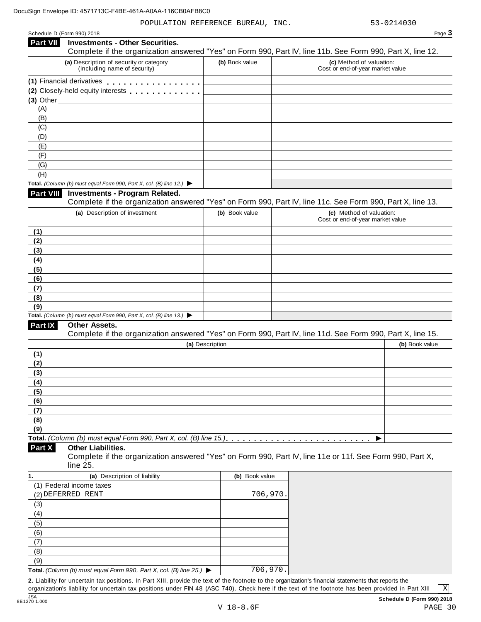POPULATION REFERENCE BUREAU, INC. 53-0214030

| ane |  |
|-----|--|

|                                                        | <b>Investments - Other Securities.</b>                                                   |                 | Page 3                                                                                                     |
|--------------------------------------------------------|------------------------------------------------------------------------------------------|-----------------|------------------------------------------------------------------------------------------------------------|
| <b>Part VII</b>                                        |                                                                                          |                 | Complete if the organization answered "Yes" on Form 990, Part IV, line 11b. See Form 990, Part X, line 12. |
|                                                        | (a) Description of security or category<br>(including name of security)                  | (b) Book value  | (c) Method of valuation:<br>Cost or end-of-year market value                                               |
|                                                        | (1) Financial derivatives                                                                |                 |                                                                                                            |
|                                                        | (2) Closely-held equity interests                                                        |                 |                                                                                                            |
|                                                        |                                                                                          |                 |                                                                                                            |
| (A)<br>(B)                                             |                                                                                          |                 |                                                                                                            |
| (C)                                                    |                                                                                          |                 |                                                                                                            |
| (D)                                                    |                                                                                          |                 |                                                                                                            |
| (E)                                                    |                                                                                          |                 |                                                                                                            |
| (F)                                                    |                                                                                          |                 |                                                                                                            |
| (G)                                                    |                                                                                          |                 |                                                                                                            |
| (H)                                                    |                                                                                          |                 |                                                                                                            |
|                                                        | Total. (Column (b) must equal Form 990, Part X, col. (B) line 12.) $\blacktriangleright$ |                 |                                                                                                            |
| Part VIII                                              | <b>Investments - Program Related.</b>                                                    |                 | Complete if the organization answered "Yes" on Form 990, Part IV, line 11c. See Form 990, Part X, line 13. |
|                                                        | (a) Description of investment                                                            | (b) Book value  | (c) Method of valuation:                                                                                   |
|                                                        |                                                                                          |                 | Cost or end-of-year market value                                                                           |
| (1)                                                    |                                                                                          |                 |                                                                                                            |
| (2)<br>(3)                                             |                                                                                          |                 |                                                                                                            |
| (4)                                                    |                                                                                          |                 |                                                                                                            |
| (5)                                                    |                                                                                          |                 |                                                                                                            |
| (6)                                                    |                                                                                          |                 |                                                                                                            |
| (7)                                                    |                                                                                          |                 |                                                                                                            |
| (8)                                                    |                                                                                          |                 |                                                                                                            |
| (9)                                                    |                                                                                          |                 |                                                                                                            |
|                                                        | Total. (Column (b) must equal Form 990, Part X, col. (B) line 13.) $\blacktriangleright$ |                 |                                                                                                            |
| Part IX                                                | Other Assets.                                                                            |                 |                                                                                                            |
|                                                        |                                                                                          |                 | Complete if the organization answered "Yes" on Form 990, Part IV, line 11d. See Form 990, Part X, line 15. |
|                                                        |                                                                                          | (a) Description | (b) Book value                                                                                             |
|                                                        |                                                                                          |                 |                                                                                                            |
| (2)                                                    |                                                                                          |                 |                                                                                                            |
| (3)                                                    |                                                                                          |                 |                                                                                                            |
|                                                        |                                                                                          |                 |                                                                                                            |
|                                                        |                                                                                          |                 |                                                                                                            |
|                                                        |                                                                                          |                 |                                                                                                            |
|                                                        |                                                                                          |                 |                                                                                                            |
|                                                        |                                                                                          |                 |                                                                                                            |
| (5)<br>(9)                                             | Total. (Column (b) must equal Form 990, Part X, col. (B) line 15.)                       |                 |                                                                                                            |
|                                                        | <b>Other Liabilities.</b><br>line 25.                                                    |                 | Complete if the organization answered "Yes" on Form 990, Part IV, line 11e or 11f. See Form 990, Part X,   |
|                                                        | (a) Description of liability                                                             | (b) Book value  |                                                                                                            |
| (1) Federal income taxes                               |                                                                                          |                 |                                                                                                            |
| (2) DEFERRED RENT                                      |                                                                                          | 706,970.        |                                                                                                            |
| (3)                                                    |                                                                                          |                 |                                                                                                            |
| (4)                                                    |                                                                                          |                 |                                                                                                            |
| (5)                                                    |                                                                                          |                 |                                                                                                            |
| (6)                                                    |                                                                                          |                 |                                                                                                            |
| (7)                                                    |                                                                                          |                 |                                                                                                            |
| (8)                                                    |                                                                                          |                 |                                                                                                            |
| (1)<br>(4)<br>(6)<br>(7)<br>(8)<br>Part X<br>1.<br>(9) | Total. (Column (b) must equal Form 990, Part X, col. (B) line 25.) $\blacktriangleright$ | 706,970.        |                                                                                                            |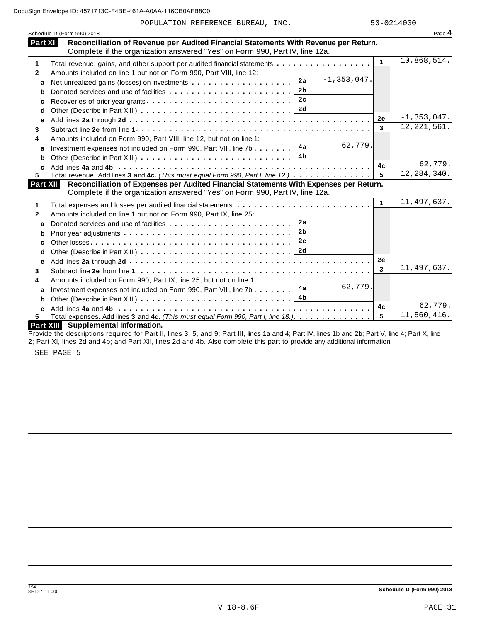POPULATION REFERENCE BUREAU, INC. 53-0214030

|              | Schedule D (Form 990) 2018                                                                                                                                         |              | Page 4          |
|--------------|--------------------------------------------------------------------------------------------------------------------------------------------------------------------|--------------|-----------------|
| Part XI      | Reconciliation of Revenue per Audited Financial Statements With Revenue per Return.<br>Complete if the organization answered "Yes" on Form 990, Part IV, line 12a. |              |                 |
| 1            | Total revenue, gains, and other support per audited financial statements                                                                                           | $\mathbf{1}$ | 10,868,514.     |
| $\mathbf{2}$ | Amounts included on line 1 but not on Form 990, Part VIII, line 12:                                                                                                |              |                 |
| a            | $-1, 353, 047.$<br>2a<br>Net unrealized gains (losses) on investments                                                                                              |              |                 |
| b            | 2 <sub>b</sub>                                                                                                                                                     |              |                 |
| c            |                                                                                                                                                                    |              |                 |
| d            |                                                                                                                                                                    |              |                 |
| e            |                                                                                                                                                                    | <b>2e</b>    | $-1, 353, 047.$ |
| 3            |                                                                                                                                                                    | 3            | 12, 221, 561.   |
| 4            | Amounts included on Form 990, Part VIII, line 12, but not on line 1:                                                                                               |              |                 |
| a            | 62,779.<br>Investment expenses not included on Form 990, Part VIII, line 7b $\boxed{4a}$                                                                           |              |                 |
| b            | 4b                                                                                                                                                                 |              |                 |
|              |                                                                                                                                                                    | 4с           | 62,779.         |
| 5.           | Total revenue. Add lines 3 and 4c. (This must equal Form 990, Part I, line 12.)                                                                                    | 5            | 12, 284, 340.   |
| Part XII     | Reconciliation of Expenses per Audited Financial Statements With Expenses per Return.                                                                              |              |                 |
|              | Complete if the organization answered "Yes" on Form 990, Part IV, line 12a.                                                                                        |              | 11,497,637.     |
| 1            |                                                                                                                                                                    | 1            |                 |
| $\mathbf{2}$ | Amounts included on line 1 but not on Form 990, Part IX, line 25:                                                                                                  |              |                 |
| a            | 2a                                                                                                                                                                 |              |                 |
| b            | 2 <sub>b</sub>                                                                                                                                                     |              |                 |
| c            | 2 <sub>c</sub>                                                                                                                                                     |              |                 |
| d            |                                                                                                                                                                    |              |                 |
| e            |                                                                                                                                                                    | <b>2e</b>    |                 |
| 3            |                                                                                                                                                                    | 3            | 11,497,637.     |
| 4            | Amounts included on Form 990, Part IX, line 25, but not on line 1:                                                                                                 |              |                 |
| a            | 62,779.<br>Investment expenses not included on Form 990, Part VIII, line 7b $\boxed{4a}$                                                                           |              |                 |
| b            |                                                                                                                                                                    |              |                 |
| c            |                                                                                                                                                                    | 4c           | 62,779.         |
| 5.           | Total expenses. Add lines 3 and 4c. (This must equal Form 990, Part I, line 18.).                                                                                  | 5            | 11,560,416.     |
|              | Part XIII Supplemental Information.                                                                                                                                |              |                 |
|              | Provide the descriptions required for Part II, lines 3, 5, and 9; Part III, lines 1a and 4; Part IV, lines 1b and 2b; Part V, line 4; Part X, line                 |              |                 |

2; Part XI, lines 2d and 4b; and Part XII, lines 2d and 4b. Also complete this part to provide any additional information.

SEE PAGE 5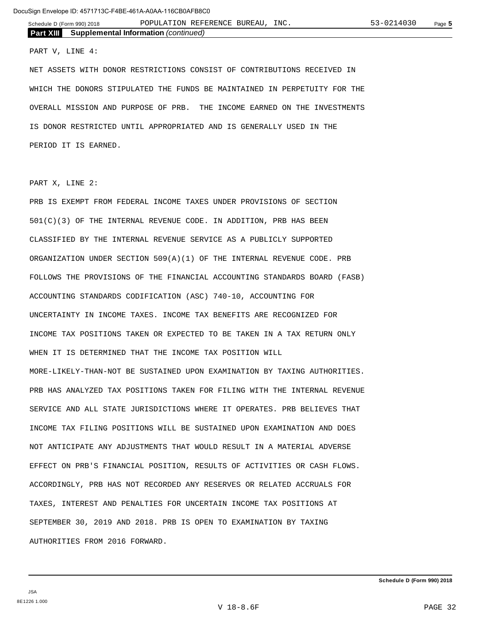**Part XIII Supplemental Information** *(continued)*

#### PART V, LINE 4:

NET ASSETS WITH DONOR RESTRICTIONS CONSIST OF CONTRIBUTIONS RECEIVED IN WHICH THE DONORS STIPULATED THE FUNDS BE MAINTAINED IN PERPETUITY FOR THE OVERALL MISSION AND PURPOSE OF PRB. THE INCOME EARNED ON THE INVESTMENTS IS DONOR RESTRICTED UNTIL APPROPRIATED AND IS GENERALLY USED IN THE PERIOD IT IS EARNED.

PART X, LINE 2:

PRB IS EXEMPT FROM FEDERAL INCOME TAXES UNDER PROVISIONS OF SECTION 501(C)(3) OF THE INTERNAL REVENUE CODE. IN ADDITION, PRB HAS BEEN CLASSIFIED BY THE INTERNAL REVENUE SERVICE AS A PUBLICLY SUPPORTED ORGANIZATION UNDER SECTION 509(A)(1) OF THE INTERNAL REVENUE CODE. PRB FOLLOWS THE PROVISIONS OF THE FINANCIAL ACCOUNTING STANDARDS BOARD (FASB) ACCOUNTING STANDARDS CODIFICATION (ASC) 740-10, ACCOUNTING FOR UNCERTAINTY IN INCOME TAXES. INCOME TAX BENEFITS ARE RECOGNIZED FOR INCOME TAX POSITIONS TAKEN OR EXPECTED TO BE TAKEN IN A TAX RETURN ONLY WHEN IT IS DETERMINED THAT THE INCOME TAX POSITION WILL MORE-LIKELY-THAN-NOT BE SUSTAINED UPON EXAMINATION BY TAXING AUTHORITIES. PRB HAS ANALYZED TAX POSITIONS TAKEN FOR FILING WITH THE INTERNAL REVENUE SERVICE AND ALL STATE JURISDICTIONS WHERE IT OPERATES. PRB BELIEVES THAT INCOME TAX FILING POSITIONS WILL BE SUSTAINED UPON EXAMINATION AND DOES NOT ANTICIPATE ANY ADJUSTMENTS THAT WOULD RESULT IN A MATERIAL ADVERSE EFFECT ON PRB'S FINANCIAL POSITION, RESULTS OF ACTIVITIES OR CASH FLOWS. ACCORDINGLY, PRB HAS NOT RECORDED ANY RESERVES OR RELATED ACCRUALS FOR TAXES, INTEREST AND PENALTIES FOR UNCERTAIN INCOME TAX POSITIONS AT SEPTEMBER 30, 2019 AND 2018. PRB IS OPEN TO EXAMINATION BY TAXING AUTHORITIES FROM 2016 FORWARD.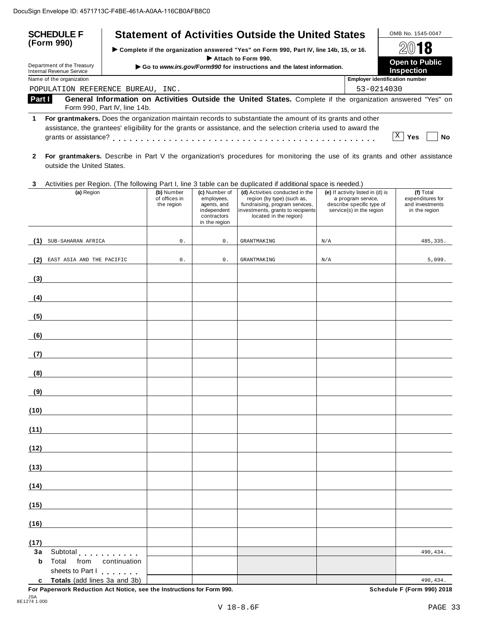| <b>SCHEDULE F</b><br>(Form 990)                        | <b>Statement of Activities Outside the United States</b>                                                                                                                                                                                                                                                                                                                                                                                                                                                                                                                                                                                                                                    | OMB No. 1545-0047                     |
|--------------------------------------------------------|---------------------------------------------------------------------------------------------------------------------------------------------------------------------------------------------------------------------------------------------------------------------------------------------------------------------------------------------------------------------------------------------------------------------------------------------------------------------------------------------------------------------------------------------------------------------------------------------------------------------------------------------------------------------------------------------|---------------------------------------|
|                                                        | Complete if the organization answered "Yes" on Form 990, Part IV, line 14b, 15, or 16.                                                                                                                                                                                                                                                                                                                                                                                                                                                                                                                                                                                                      | 2018                                  |
| Department of the Treasury<br>Internal Revenue Service | Attach to Form 990.<br><b>Open to Public</b><br>Go to www.irs.gov/Form990 for instructions and the latest information.<br><b>Inspection</b>                                                                                                                                                                                                                                                                                                                                                                                                                                                                                                                                                 |                                       |
| Name of the organization                               |                                                                                                                                                                                                                                                                                                                                                                                                                                                                                                                                                                                                                                                                                             | <b>Employer identification number</b> |
|                                                        | POPULATION REFERENCE BUREAU, INC.                                                                                                                                                                                                                                                                                                                                                                                                                                                                                                                                                                                                                                                           | $53 - 0214030$                        |
| Part I                                                 | General Information on Activities Outside the United States. Complete if the organization answered "Yes" on<br>Form 990, Part IV, line 14b.                                                                                                                                                                                                                                                                                                                                                                                                                                                                                                                                                 |                                       |
| grants or assistance?                                  | For grantmakers. Does the organization maintain records to substantiate the amount of its grants and other<br>assistance, the grantees' eligibility for the grants or assistance, and the selection criteria used to award the<br>$\mathcal{L}^{\mathcal{A}}(\mathcal{A}^{\mathcal{A}}(\mathcal{A}^{\mathcal{A}}(\mathcal{A}^{\mathcal{A}}(\mathcal{A}^{\mathcal{A}}(\mathcal{A}^{\mathcal{A}}(\mathcal{A}^{\mathcal{A}}(\mathcal{A}^{\mathcal{A}}(\mathcal{A}^{\mathcal{A}}(\mathcal{A}^{\mathcal{A}}(\mathcal{A}^{\mathcal{A}}(\mathcal{A}^{\mathcal{A}}(\mathcal{A}^{\mathcal{A}}(\mathcal{A}^{\mathcal{A}}(\mathcal{A}^{\mathcal{A}}(\mathcal{A}^{\mathcal{A}}(\mathcal{A}^{\mathcal{A$ | Yes<br>Nο                             |

- **2 For grantmakers.** Describe in Part V the organization's procedures for monitoring the use of its grants and other assistance outside the United States.
- **3** Activities per Region. (The following Part I, line 3 table can be duplicated ifadditional space is needed.)

|            | Protection por Troglom, (The Tellowing Fart I), line of table barrier adplicated if additional opace is hooded;<br>(a) Region                                                                                                 | (b) Number<br>of offices in<br>the region | (c) Number of<br>employees,<br>agents, and<br>independent<br>contractors<br>in the region | (d) Activities conducted in the<br>region (by type) (such as,<br>fundraising, program services,<br>investments, grants to recipients<br>located in the region) | (e) If activity listed in (d) is<br>a program service,<br>describe specific type of<br>service(s) in the region | (f) Total<br>expenditures for<br>and investments<br>in the region |
|------------|-------------------------------------------------------------------------------------------------------------------------------------------------------------------------------------------------------------------------------|-------------------------------------------|-------------------------------------------------------------------------------------------|----------------------------------------------------------------------------------------------------------------------------------------------------------------|-----------------------------------------------------------------------------------------------------------------|-------------------------------------------------------------------|
|            | (1) SUB-SAHARAN AFRICA                                                                                                                                                                                                        | $0$ .                                     | 0.                                                                                        | <b>GRANTMAKING</b>                                                                                                                                             | N/A                                                                                                             | 485, 335.                                                         |
| (2)        | EAST ASIA AND THE PACIFIC                                                                                                                                                                                                     | $0$ .                                     | $0$ .                                                                                     | <b>GRANTMAKING</b>                                                                                                                                             | $\rm N/A$                                                                                                       | 5,099.                                                            |
|            |                                                                                                                                                                                                                               |                                           |                                                                                           |                                                                                                                                                                |                                                                                                                 |                                                                   |
| (3)        |                                                                                                                                                                                                                               |                                           |                                                                                           |                                                                                                                                                                |                                                                                                                 |                                                                   |
| (4)        |                                                                                                                                                                                                                               |                                           |                                                                                           |                                                                                                                                                                |                                                                                                                 |                                                                   |
| (5)        |                                                                                                                                                                                                                               |                                           |                                                                                           |                                                                                                                                                                |                                                                                                                 |                                                                   |
| (6)        |                                                                                                                                                                                                                               |                                           |                                                                                           |                                                                                                                                                                |                                                                                                                 |                                                                   |
| (7)        |                                                                                                                                                                                                                               |                                           |                                                                                           |                                                                                                                                                                |                                                                                                                 |                                                                   |
| (8)        |                                                                                                                                                                                                                               |                                           |                                                                                           |                                                                                                                                                                |                                                                                                                 |                                                                   |
| (9)        |                                                                                                                                                                                                                               |                                           |                                                                                           |                                                                                                                                                                |                                                                                                                 |                                                                   |
|            |                                                                                                                                                                                                                               |                                           |                                                                                           |                                                                                                                                                                |                                                                                                                 |                                                                   |
| (10)       | <u> 1989 - Jan Stein Stein Stein Stein Stein Stein Stein Stein Stein Stein Stein Stein Stein Stein Stein Stein S</u>                                                                                                          |                                           |                                                                                           |                                                                                                                                                                |                                                                                                                 |                                                                   |
| (11)       |                                                                                                                                                                                                                               |                                           |                                                                                           |                                                                                                                                                                |                                                                                                                 |                                                                   |
| (12)       |                                                                                                                                                                                                                               |                                           |                                                                                           |                                                                                                                                                                |                                                                                                                 |                                                                   |
| (13)       |                                                                                                                                                                                                                               |                                           |                                                                                           |                                                                                                                                                                |                                                                                                                 |                                                                   |
| (14)       |                                                                                                                                                                                                                               |                                           |                                                                                           |                                                                                                                                                                |                                                                                                                 |                                                                   |
| (15)       |                                                                                                                                                                                                                               |                                           |                                                                                           |                                                                                                                                                                |                                                                                                                 |                                                                   |
| (16)       |                                                                                                                                                                                                                               |                                           |                                                                                           |                                                                                                                                                                |                                                                                                                 |                                                                   |
|            |                                                                                                                                                                                                                               |                                           |                                                                                           |                                                                                                                                                                |                                                                                                                 |                                                                   |
| (17)<br>3a | Subtotal extension and substitutions of the state of the state of the state of the state of the state of the state of the state of the state of the state of the state of the state of the state of the state of the state of |                                           |                                                                                           |                                                                                                                                                                |                                                                                                                 | 490,434.                                                          |
| b          | Total<br>from<br>continuation<br>sheets to Part I                                                                                                                                                                             |                                           |                                                                                           |                                                                                                                                                                |                                                                                                                 |                                                                   |
| c          | Totals (add lines 3a and 3b)                                                                                                                                                                                                  |                                           |                                                                                           |                                                                                                                                                                |                                                                                                                 | 490,434.                                                          |

**For Paperwork Reduction Act Notice, see the Instructions for Form 990. Schedule F (Form 990) 2018**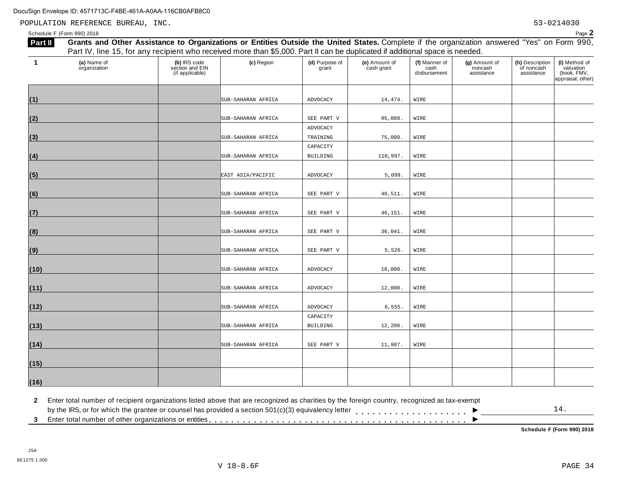POPULATION REFERENCE BUREAU, INC. 53-0214030

Schedule <sup>F</sup> (Form 990) <sup>2018</sup> Page **2**

|                | Part IV, line 15, for any recipient who received more than \$5,000. Part II can be duplicated if additional space is needed. |                                                    |                    |                         |                             |                                       |                                        |                                             |                                                                |
|----------------|------------------------------------------------------------------------------------------------------------------------------|----------------------------------------------------|--------------------|-------------------------|-----------------------------|---------------------------------------|----------------------------------------|---------------------------------------------|----------------------------------------------------------------|
| $\overline{1}$ | (a) Name of<br>organization                                                                                                  | (b) IRS code<br>section and EIN<br>(if applicable) | (c) Region         | (d) Purpose of<br>grant | (e) Amount of<br>cash grant | (f) Manner of<br>cash<br>disbursement | (g) Amount of<br>noncash<br>assistance | (h) Description<br>of noncash<br>assistance | (i) Method of<br>valuation<br>(book, FMV,<br>appraisal, other) |
| (1)            |                                                                                                                              |                                                    | SUB-SAHARAN AFRICA | ADVOCACY                | 14,474.                     | WIRE                                  |                                        |                                             |                                                                |
| (2)            |                                                                                                                              |                                                    | SUB-SAHARAN AFRICA | SEE PART V              | 95,888.                     | WIRE                                  |                                        |                                             |                                                                |
| (3)            |                                                                                                                              |                                                    | SUB-SAHARAN AFRICA | ADVOCACY<br>TRAINING    | 75,000.                     | WIRE                                  |                                        |                                             |                                                                |
| (4)            |                                                                                                                              |                                                    | SUB-SAHARAN AFRICA | CAPACITY<br>BUILDING    | 110,997.                    | WIRE                                  |                                        |                                             |                                                                |
| (5)            |                                                                                                                              |                                                    | EAST ASIA/PACIFIC  | ADVOCACY                | 5,099.                      | WIRE                                  |                                        |                                             |                                                                |
| (6)            |                                                                                                                              |                                                    | SUB-SAHARAN AFRICA | SEE PART V              | 40,511.                     | WIRE                                  |                                        |                                             |                                                                |
| (7)            |                                                                                                                              |                                                    | SUB-SAHARAN AFRICA | SEE PART V              | 46,151.                     | WIRE                                  |                                        |                                             |                                                                |
| (8)            |                                                                                                                              |                                                    | SUB-SAHARAN AFRICA | SEE PART V              | 36,041.                     | WIRE                                  |                                        |                                             |                                                                |
| (9)            |                                                                                                                              |                                                    | SUB-SAHARAN AFRICA | SEE PART V              | 5,526.                      | WIRE                                  |                                        |                                             |                                                                |
| (10)           |                                                                                                                              |                                                    | SUB-SAHARAN AFRICA | ADVOCACY                | 18,000.                     | WIRE                                  |                                        |                                             |                                                                |
| (11)           |                                                                                                                              |                                                    | SUB-SAHARAN AFRICA | ADVOCACY                | 12,000.                     | WIRE                                  |                                        |                                             |                                                                |
| (12)           |                                                                                                                              |                                                    | SUB-SAHARAN AFRICA | ADVOCACY                | 6,555.                      | WIRE                                  |                                        |                                             |                                                                |
| (13)           |                                                                                                                              |                                                    | SUB-SAHARAN AFRICA | CAPACITY<br>BUILDING    | 12,206.                     | WIRE                                  |                                        |                                             |                                                                |
| (14)           |                                                                                                                              |                                                    | SUB-SAHARAN AFRICA | SEE PART V              | 11,987.                     | WIRE                                  |                                        |                                             |                                                                |
| (15)           |                                                                                                                              |                                                    |                    |                         |                             |                                       |                                        |                                             |                                                                |
| (16)           |                                                                                                                              |                                                    |                    |                         |                             |                                       |                                        |                                             |                                                                |

**2** Enter total number of recipient organizations listed above that are recognized as charities by the foreign country, recognized as tax-exempt

 $\blacksquare$ <br>by the IRS, or for which the grantee or counsel has provided a section 501(c)(3) equivalency letter<br>3 Enter total number of other organizations or entities  $\overline{\phantom{a}}$ 14.

**Schedule F (Form 990) 2018**

Part II Grants and Other Assistance to Organizations or Entities Outside the United States. Complete if the organization answered "Yes" on Form 990,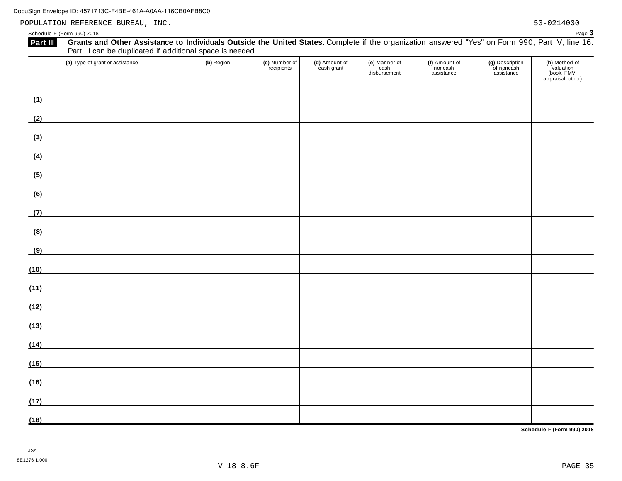POPULATION REFERENCE BUREAU, INC. 53-0214030

Schedule <sup>F</sup> (Form 990) <sup>2018</sup> Page **3**

| Grants and Other Assistance to Individuals Outside the United States. Complete if the organization answered "Yes" on Form 990, Part IV, line 16.<br>Part III<br>Part III can be duplicated if additional space is needed. |            |                             |                             |                                       |                                        |                                             |                                                                |
|---------------------------------------------------------------------------------------------------------------------------------------------------------------------------------------------------------------------------|------------|-----------------------------|-----------------------------|---------------------------------------|----------------------------------------|---------------------------------------------|----------------------------------------------------------------|
| (a) Type of grant or assistance                                                                                                                                                                                           | (b) Region | (c) Number of<br>recipients | (d) Amount of<br>cash grant | (e) Manner of<br>cash<br>disbursement | (f) Amount of<br>noncash<br>assistance | (g) Description<br>of noncash<br>assistance | (h) Method of<br>valuation<br>(book, FMV,<br>appraisal, other) |
| (1)                                                                                                                                                                                                                       |            |                             |                             |                                       |                                        |                                             |                                                                |
| (2)                                                                                                                                                                                                                       |            |                             |                             |                                       |                                        |                                             |                                                                |
| (3)<br><u> 1980 - Johann Barbara, martxa al</u>                                                                                                                                                                           |            |                             |                             |                                       |                                        |                                             |                                                                |
| (4)<br><u> 1989 - Johann Barn, mars ann an t-Aonaich an t-Aonaich an t-Aonaich an t-Aonaich an t-Aonaich an t-Aonaich an </u>                                                                                             |            |                             |                             |                                       |                                        |                                             |                                                                |
| (5)<br><u> 1980 - Andrea Station Barbara, amerikan per</u>                                                                                                                                                                |            |                             |                             |                                       |                                        |                                             |                                                                |
| (6)<br><u> 1980 - Jan Alexandria (h. 1980).</u>                                                                                                                                                                           |            |                             |                             |                                       |                                        |                                             |                                                                |
| (7)                                                                                                                                                                                                                       |            |                             |                             |                                       |                                        |                                             |                                                                |
| (8)<br><u> 1980 - Jan Stein Stein Stein Stein Stein Stein Stein Stein Stein Stein Stein Stein Stein Stein Stein Stein S</u>                                                                                               |            |                             |                             |                                       |                                        |                                             |                                                                |
| (9)                                                                                                                                                                                                                       |            |                             |                             |                                       |                                        |                                             |                                                                |
| (10)                                                                                                                                                                                                                      |            |                             |                             |                                       |                                        |                                             |                                                                |
| (11)                                                                                                                                                                                                                      |            |                             |                             |                                       |                                        |                                             |                                                                |
| (12)                                                                                                                                                                                                                      |            |                             |                             |                                       |                                        |                                             |                                                                |
| (13)                                                                                                                                                                                                                      |            |                             |                             |                                       |                                        |                                             |                                                                |
| (14)                                                                                                                                                                                                                      |            |                             |                             |                                       |                                        |                                             |                                                                |
| (15)                                                                                                                                                                                                                      |            |                             |                             |                                       |                                        |                                             |                                                                |
| (16)                                                                                                                                                                                                                      |            |                             |                             |                                       |                                        |                                             |                                                                |
| (17)                                                                                                                                                                                                                      |            |                             |                             |                                       |                                        |                                             |                                                                |
| (18)                                                                                                                                                                                                                      |            |                             |                             |                                       |                                        |                                             |                                                                |

**Schedule F (Form 990) 2018**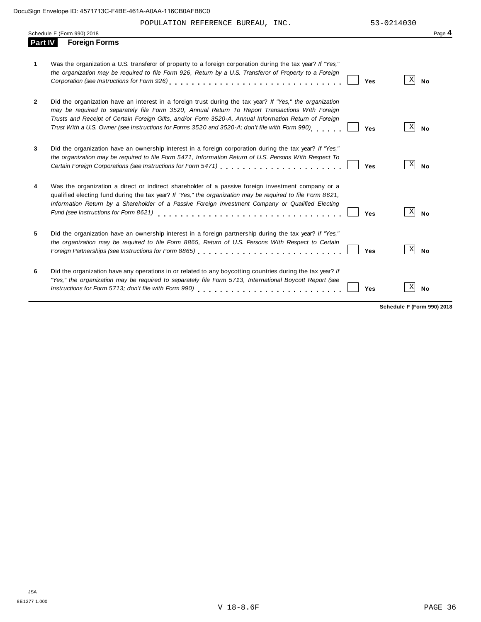|                | Schedule F (Form 990) 2018                                                                                                                                                                                                                                                                                                                                                                                                    | Page 4                       |
|----------------|-------------------------------------------------------------------------------------------------------------------------------------------------------------------------------------------------------------------------------------------------------------------------------------------------------------------------------------------------------------------------------------------------------------------------------|------------------------------|
| <b>Part IV</b> | <b>Foreign Forms</b>                                                                                                                                                                                                                                                                                                                                                                                                          |                              |
| 1              | Was the organization a U.S. transferor of property to a foreign corporation during the tax year? If "Yes,"<br>the organization may be required to file Form 926, Return by a U.S. Transferor of Property to a Foreign<br>Yes                                                                                                                                                                                                  | $\vert X \vert$<br><b>No</b> |
| $\mathbf{2}$   | Did the organization have an interest in a foreign trust during the tax year? If "Yes," the organization<br>may be required to separately file Form 3520, Annual Return To Report Transactions With Foreign<br>Trusts and Receipt of Certain Foreign Gifts, and/or Form 3520-A, Annual Information Return of Foreign<br>Trust With a U.S. Owner (see Instructions for Forms 3520 and 3520-A; don't file with Form 990)<br>Yes | X<br>No                      |
| 3              | Did the organization have an ownership interest in a foreign corporation during the tax year? If "Yes,"<br>the organization may be required to file Form 5471, Information Return of U.S. Persons With Respect To<br>Yes                                                                                                                                                                                                      | X<br><b>No</b>               |
| 4              | Was the organization a direct or indirect shareholder of a passive foreign investment company or a<br>qualified electing fund during the tax year? If "Yes," the organization may be required to file Form 8621,<br>Information Return by a Shareholder of a Passive Foreign Investment Company or Qualified Electing<br>Fund (see Instructions for Form 8621)<br>Yes                                                         | X<br><b>No</b>               |
| 5              | Did the organization have an ownership interest in a foreign partnership during the tax year? If "Yes,"<br>the organization may be required to file Form 8865, Return of U.S. Persons With Respect to Certain<br>Foreign Partnerships (see Instructions for Form 8865)<br>Yes                                                                                                                                                 | $\vert X \vert$<br><b>No</b> |
| 6              | Did the organization have any operations in or related to any boycotting countries during the tax year? If<br>"Yes," the organization may be required to separately file Form 5713, International Boycott Report (see<br>Instructions for Form 5713; don't file with Form 990)<br>Yes                                                                                                                                         | Χ<br><b>No</b>               |

**Schedule F (Form 990) 2018**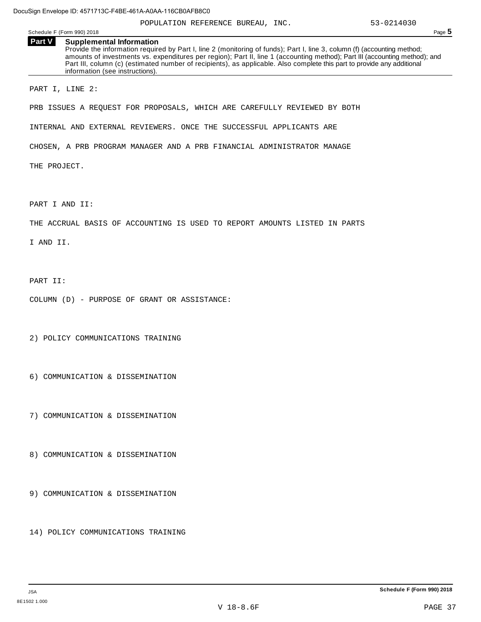|               | Schedule F (Form 990) 2018                                         | POPULATION REFERENCE BUREAU, INC.                                                                                                                                                                                                                                                                                                                                                  | 53-0214030<br>Page 5 |
|---------------|--------------------------------------------------------------------|------------------------------------------------------------------------------------------------------------------------------------------------------------------------------------------------------------------------------------------------------------------------------------------------------------------------------------------------------------------------------------|----------------------|
| <b>Part V</b> | <b>Supplemental Information</b><br>information (see instructions). | Provide the information required by Part I, line 2 (monitoring of funds); Part I, line 3, column (f) (accounting method;<br>amounts of investments vs. expenditures per region); Part II, line 1 (accounting method); Part III (accounting method); and<br>Part III, column (c) (estimated number of recipients), as applicable. Also complete this part to provide any additional |                      |
|               | PART I, LINE 2:                                                    |                                                                                                                                                                                                                                                                                                                                                                                    |                      |
|               |                                                                    | PRB ISSUES A REQUEST FOR PROPOSALS, WHICH ARE CAREFULLY REVIEWED BY BOTH                                                                                                                                                                                                                                                                                                           |                      |
|               |                                                                    | INTERNAL AND EXTERNAL REVIEWERS. ONCE THE SUCCESSFUL APPLICANTS ARE                                                                                                                                                                                                                                                                                                                |                      |
|               |                                                                    | CHOSEN, A PRB PROGRAM MANAGER AND A PRB FINANCIAL ADMINISTRATOR MANAGE                                                                                                                                                                                                                                                                                                             |                      |
| THE PROJECT.  |                                                                    |                                                                                                                                                                                                                                                                                                                                                                                    |                      |
|               | PART I AND II:                                                     |                                                                                                                                                                                                                                                                                                                                                                                    |                      |
|               |                                                                    | THE ACCRUAL BASIS OF ACCOUNTING IS USED TO REPORT AMOUNTS LISTED IN PARTS                                                                                                                                                                                                                                                                                                          |                      |
| I AND II.     |                                                                    |                                                                                                                                                                                                                                                                                                                                                                                    |                      |
| PART II:      |                                                                    |                                                                                                                                                                                                                                                                                                                                                                                    |                      |
|               |                                                                    | COLUMN (D) - PURPOSE OF GRANT OR ASSISTANCE:                                                                                                                                                                                                                                                                                                                                       |                      |
|               |                                                                    |                                                                                                                                                                                                                                                                                                                                                                                    |                      |
|               |                                                                    | 2) POLICY COMMUNICATIONS TRAINING                                                                                                                                                                                                                                                                                                                                                  |                      |
|               |                                                                    |                                                                                                                                                                                                                                                                                                                                                                                    |                      |
|               | 6) COMMUNICATION & DISSEMINATION                                   |                                                                                                                                                                                                                                                                                                                                                                                    |                      |
|               |                                                                    |                                                                                                                                                                                                                                                                                                                                                                                    |                      |
|               | 7) COMMUNICATION & DISSEMINATION                                   |                                                                                                                                                                                                                                                                                                                                                                                    |                      |
|               |                                                                    |                                                                                                                                                                                                                                                                                                                                                                                    |                      |
|               | 8) COMMUNICATION & DISSEMINATION                                   |                                                                                                                                                                                                                                                                                                                                                                                    |                      |
|               |                                                                    |                                                                                                                                                                                                                                                                                                                                                                                    |                      |
|               | 9) COMMUNICATION & DISSEMINATION                                   |                                                                                                                                                                                                                                                                                                                                                                                    |                      |
|               |                                                                    |                                                                                                                                                                                                                                                                                                                                                                                    |                      |
|               |                                                                    | 14) POLICY COMMUNICATIONS TRAINING                                                                                                                                                                                                                                                                                                                                                 |                      |

**Schedule F (Form 990) 2018**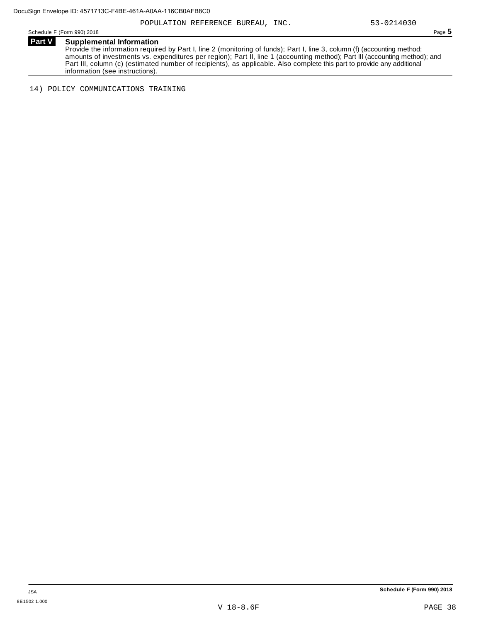Schedule <sup>F</sup> (Form 990) <sup>2018</sup> Page **5**

**Part V Supplemental Information** Provide the information required by Part I, line 2 (monitoring of funds); Part I, line 3, column (f) (accounting method; amounts of investments vs. expenditures per region); Part II, line 1 (accounting method); Part III (accounting method); and Part III, column (c) (estimated number of recipients), as applicable. Also complete this part to provide any additional information (see instructions).

14) POLICY COMMUNICATIONS TRAINING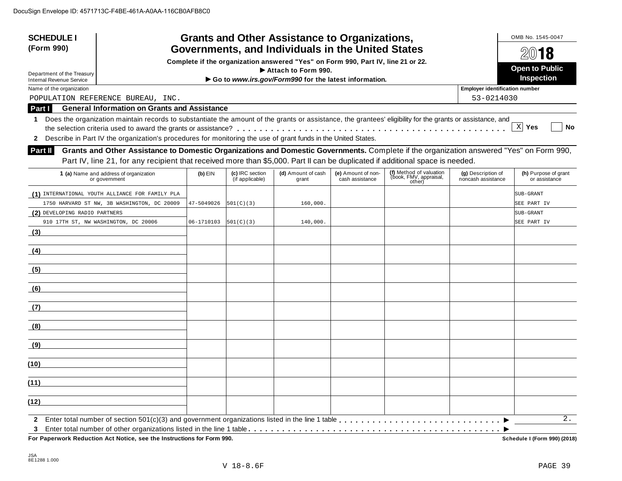| <b>Grants and Other Assistance to Organizations,</b><br><b>SCHEDULE I</b><br>Governments, and Individuals in the United States<br>(Form 990)<br>Complete if the organization answered "Yes" on Form 990, Part IV, line 21 or 22.<br>Department of the Treasury                                   |            | OMB No. 1545-0047<br>2018<br><b>Open to Public</b> |                                                       |                                       |                                                             |                                          |                                       |
|--------------------------------------------------------------------------------------------------------------------------------------------------------------------------------------------------------------------------------------------------------------------------------------------------|------------|----------------------------------------------------|-------------------------------------------------------|---------------------------------------|-------------------------------------------------------------|------------------------------------------|---------------------------------------|
| <b>Internal Revenue Service</b>                                                                                                                                                                                                                                                                  |            |                                                    | Go to www.irs.gov/Form990 for the latest information. |                                       |                                                             |                                          | Inspection                            |
| Name of the organization                                                                                                                                                                                                                                                                         |            |                                                    |                                                       |                                       |                                                             | <b>Employer identification number</b>    |                                       |
| POPULATION REFERENCE BUREAU, INC.                                                                                                                                                                                                                                                                |            |                                                    |                                                       |                                       |                                                             | 53-0214030                               |                                       |
| <b>General Information on Grants and Assistance</b><br>Part I                                                                                                                                                                                                                                    |            |                                                    |                                                       |                                       |                                                             |                                          |                                       |
| Does the organization maintain records to substantiate the amount of the grants or assistance, the grantees' eligibility for the grants or assistance, and<br>1<br>Describe in Part IV the organization's procedures for monitoring the use of grant funds in the United States.<br>$\mathbf{2}$ |            |                                                    |                                                       |                                       |                                                             |                                          | $X$ Yes<br>No                         |
| Grants and Other Assistance to Domestic Organizations and Domestic Governments. Complete if the organization answered "Yes" on Form 990,<br><b>Part II</b>                                                                                                                                       |            |                                                    |                                                       |                                       |                                                             |                                          |                                       |
| Part IV, line 21, for any recipient that received more than \$5,000. Part II can be duplicated if additional space is needed.                                                                                                                                                                    |            |                                                    |                                                       |                                       |                                                             |                                          |                                       |
| 1 (a) Name and address of organization<br>or government                                                                                                                                                                                                                                          | $(b)$ EIN  | (c) IRC section<br>(if applicable)                 | (d) Amount of cash<br>grant                           | (e) Amount of non-<br>cash assistance | (f) Method of valuation<br>(ḃook, FMV, appraisal,<br>other) | (g) Description of<br>noncash assistance | (h) Purpose of grant<br>or assistance |
| (1) INTERNATIONAL YOUTH ALLIANCE FOR FAMILY PLA                                                                                                                                                                                                                                                  |            |                                                    |                                                       |                                       |                                                             |                                          | SUB-GRANT                             |
| 1750 HARVARD ST NW, 3B WASHINGTON, DC 20009                                                                                                                                                                                                                                                      | 47-5049026 | 501(C)(3)                                          | 160,000.                                              |                                       |                                                             |                                          | SEE PART IV                           |
| (2) DEVELOPING RADIO PARTNERS                                                                                                                                                                                                                                                                    |            |                                                    |                                                       |                                       |                                                             |                                          | SUB-GRANT                             |
| 910 17TH ST, NW WASHINGTON, DC 20006                                                                                                                                                                                                                                                             | 06-1710103 | 501(C)(3)                                          | 140,000.                                              |                                       |                                                             |                                          | SEE PART IV                           |
| (3)                                                                                                                                                                                                                                                                                              |            |                                                    |                                                       |                                       |                                                             |                                          |                                       |
| (4)                                                                                                                                                                                                                                                                                              |            |                                                    |                                                       |                                       |                                                             |                                          |                                       |
| (5)                                                                                                                                                                                                                                                                                              |            |                                                    |                                                       |                                       |                                                             |                                          |                                       |
| (6)                                                                                                                                                                                                                                                                                              |            |                                                    |                                                       |                                       |                                                             |                                          |                                       |
| (7)                                                                                                                                                                                                                                                                                              |            |                                                    |                                                       |                                       |                                                             |                                          |                                       |
| (8)                                                                                                                                                                                                                                                                                              |            |                                                    |                                                       |                                       |                                                             |                                          |                                       |
| (9)                                                                                                                                                                                                                                                                                              |            |                                                    |                                                       |                                       |                                                             |                                          |                                       |
| (10)                                                                                                                                                                                                                                                                                             |            |                                                    |                                                       |                                       |                                                             |                                          |                                       |
| (11)                                                                                                                                                                                                                                                                                             |            |                                                    |                                                       |                                       |                                                             |                                          |                                       |
| (12)                                                                                                                                                                                                                                                                                             |            |                                                    |                                                       |                                       |                                                             |                                          |                                       |
| $\mathbf{2}$                                                                                                                                                                                                                                                                                     |            |                                                    |                                                       |                                       |                                                             |                                          | 2.                                    |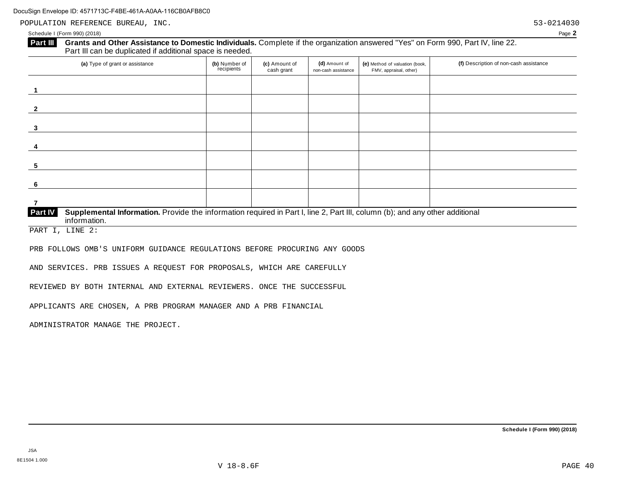POPULATION REFERENCE BUREAU, INC. 53-0214030

#### Schedule I (Form 990) (2018) Page **2**

# **Part III** Grants and Other Assistance to Domestic Individuals. Complete if the organization answered "Yes" on Form 990, Part IV, line 22.<br>Part III can be duplicated if additional space is needed.

| (a) Type of grant or assistance                                                                                                                         | (b) Number of<br>recipients | (c) Amount of<br>cash grant | (d) Amount of<br>non-cash assistance | (e) Method of valuation (book,<br>FMV, appraisal, other) | (f) Description of non-cash assistance |  |  |
|---------------------------------------------------------------------------------------------------------------------------------------------------------|-----------------------------|-----------------------------|--------------------------------------|----------------------------------------------------------|----------------------------------------|--|--|
|                                                                                                                                                         |                             |                             |                                      |                                                          |                                        |  |  |
| $\overline{2}$                                                                                                                                          |                             |                             |                                      |                                                          |                                        |  |  |
| $\mathbf{3}$                                                                                                                                            |                             |                             |                                      |                                                          |                                        |  |  |
| 4                                                                                                                                                       |                             |                             |                                      |                                                          |                                        |  |  |
| 5                                                                                                                                                       |                             |                             |                                      |                                                          |                                        |  |  |
| -6                                                                                                                                                      |                             |                             |                                      |                                                          |                                        |  |  |
|                                                                                                                                                         |                             |                             |                                      |                                                          |                                        |  |  |
| Part IV<br>Supplemental Information. Provide the information required in Part I, line 2, Part III, column (b); and any other additional<br>information. |                             |                             |                                      |                                                          |                                        |  |  |

PART I, LINE 2:

PRB FOLLOWS OMB'S UNIFORM GUIDANCE REGULATIONS BEFORE PROCURING ANY GOODS

AND SERVICES. PRB ISSUES A REQUEST FOR PROPOSALS, WHICH ARE CAREFULLY

REVIEWED BY BOTH INTERNAL AND EXTERNAL REVIEWERS. ONCE THE SUCCESSFUL

APPLICANTS ARE CHOSEN, A PRB PROGRAM MANAGER AND A PRB FINANCIAL

ADMINISTRATOR MANAGE THE PROJECT.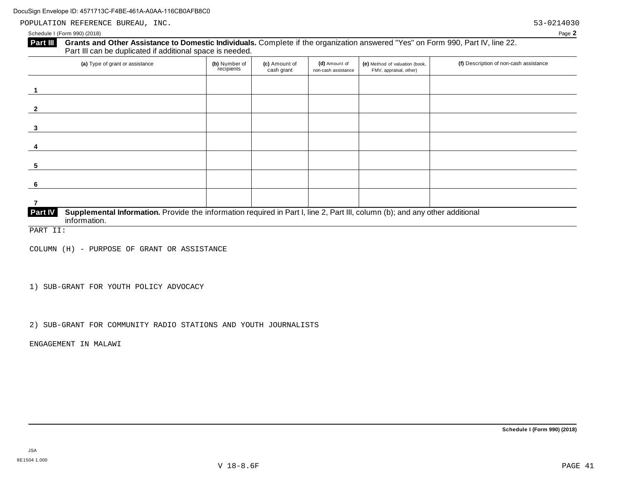POPULATION REFERENCE BUREAU, INC. Sometimes and the set of the set of the set of the set of the set of the set of the set of the set of the set of the set of the set of the set of the set of the set of the set of the set o

#### Schedule I (Form 990) (2018) Page **2**

# **Part III** Grants and Other Assistance to Domestic Individuals. Complete if the organization answered "Yes" on Form 990, Part IV, line 22. Part III can be duplicated if additional space is needed.

| (a) Type of grant or assistance                                                                                                                         | (b) Number of<br>recipients | (c) Amount of<br>cash grant | (d) Amount of<br>non-cash assistance | (e) Method of valuation (book,<br>FMV, appraisal, other) | (f) Description of non-cash assistance |
|---------------------------------------------------------------------------------------------------------------------------------------------------------|-----------------------------|-----------------------------|--------------------------------------|----------------------------------------------------------|----------------------------------------|
|                                                                                                                                                         |                             |                             |                                      |                                                          |                                        |
| $\overline{2}$                                                                                                                                          |                             |                             |                                      |                                                          |                                        |
| 3                                                                                                                                                       |                             |                             |                                      |                                                          |                                        |
| 4                                                                                                                                                       |                             |                             |                                      |                                                          |                                        |
| 5                                                                                                                                                       |                             |                             |                                      |                                                          |                                        |
| -6                                                                                                                                                      |                             |                             |                                      |                                                          |                                        |
|                                                                                                                                                         |                             |                             |                                      |                                                          |                                        |
| Part IV<br>Supplemental Information. Provide the information required in Part I, line 2, Part III, column (b); and any other additional<br>information. |                             |                             |                                      |                                                          |                                        |

PART II:

COLUMN (H) - PURPOSE OF GRANT OR ASSISTANCE

1) SUB-GRANT FOR YOUTH POLICY ADVOCACY

2) SUB-GRANT FOR COMMUNITY RADIO STATIONS AND YOUTH JOURNALISTS

ENGAGEMENT IN MALAWI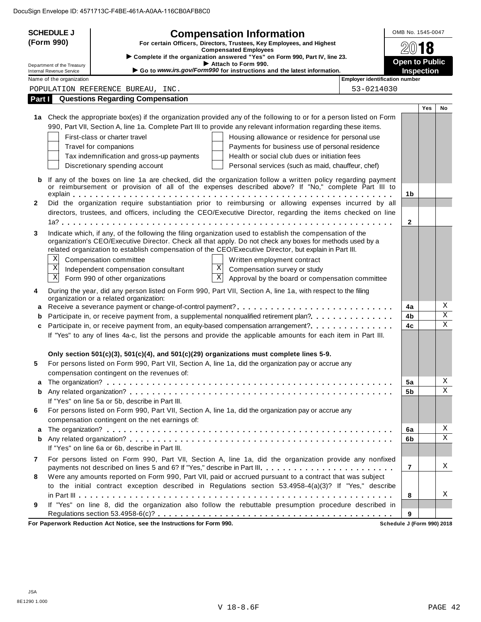|              | <b>SCHEDULE J</b><br><b>Compensation Information</b>   |                                                                                                                                                                                                                   |                                       | OMB No. 1545-0047                          |        |  |
|--------------|--------------------------------------------------------|-------------------------------------------------------------------------------------------------------------------------------------------------------------------------------------------------------------------|---------------------------------------|--------------------------------------------|--------|--|
|              | (Form 990)                                             | For certain Officers, Directors, Trustees, Key Employees, and Highest                                                                                                                                             |                                       |                                            |        |  |
|              |                                                        | <b>Compensated Employees</b><br>Complete if the organization answered "Yes" on Form 990, Part IV, line 23.                                                                                                        |                                       |                                            |        |  |
|              | Department of the Treasury<br>Internal Revenue Service | Attach to Form 990.<br>Go to www.irs.gov/Form990 for instructions and the latest information.                                                                                                                     |                                       | <b>Open to Public</b><br><b>Inspection</b> |        |  |
|              | Name of the organization                               |                                                                                                                                                                                                                   | <b>Employer identification number</b> |                                            |        |  |
|              |                                                        | POPULATION REFERENCE BUREAU, INC.                                                                                                                                                                                 | 53-0214030                            |                                            |        |  |
|              |                                                        | <b>Part I</b> Questions Regarding Compensation                                                                                                                                                                    |                                       |                                            |        |  |
|              |                                                        |                                                                                                                                                                                                                   |                                       | <b>Yes</b>                                 | No     |  |
|              |                                                        | 1a Check the appropriate box(es) if the organization provided any of the following to or for a person listed on Form                                                                                              |                                       |                                            |        |  |
|              |                                                        | 990, Part VII, Section A, line 1a. Complete Part III to provide any relevant information regarding these items.                                                                                                   |                                       |                                            |        |  |
|              |                                                        | First-class or charter travel<br>Housing allowance or residence for personal use                                                                                                                                  |                                       |                                            |        |  |
|              |                                                        | Payments for business use of personal residence<br>Travel for companions<br>Tax indemnification and gross-up payments<br>Health or social club dues or initiation fees                                            |                                       |                                            |        |  |
|              |                                                        | Discretionary spending account<br>Personal services (such as maid, chauffeur, chef)                                                                                                                               |                                       |                                            |        |  |
|              |                                                        |                                                                                                                                                                                                                   |                                       |                                            |        |  |
| b            |                                                        | If any of the boxes on line 1a are checked, did the organization follow a written policy regarding payment<br>or reimbursement or provision of all of the expenses described above? If "No," complete Part III to |                                       |                                            |        |  |
| $\mathbf{2}$ |                                                        | Did the organization require substantiation prior to reimbursing or allowing expenses incurred by all                                                                                                             | 1b                                    |                                            |        |  |
|              |                                                        | directors, trustees, and officers, including the CEO/Executive Director, regarding the items checked on line                                                                                                      |                                       |                                            |        |  |
|              |                                                        |                                                                                                                                                                                                                   | $\mathbf{2}$                          |                                            |        |  |
| 3            |                                                        | Indicate which, if any, of the following the filing organization used to establish the compensation of the                                                                                                        |                                       |                                            |        |  |
|              |                                                        | organization's CEO/Executive Director. Check all that apply. Do not check any boxes for methods used by a                                                                                                         |                                       |                                            |        |  |
|              |                                                        | related organization to establish compensation of the CEO/Executive Director, but explain in Part III.                                                                                                            |                                       |                                            |        |  |
|              | Χ                                                      | Compensation committee<br>Written employment contract                                                                                                                                                             |                                       |                                            |        |  |
|              | $\mathbf X$                                            | $\mathbf X$<br>Independent compensation consultant<br>Compensation survey or study                                                                                                                                |                                       |                                            |        |  |
|              | $\mathbf X$                                            | $\overline{\mathbf{x}}$<br>Form 990 of other organizations<br>Approval by the board or compensation committee                                                                                                     |                                       |                                            |        |  |
| 4            |                                                        | During the year, did any person listed on Form 990, Part VII, Section A, line 1a, with respect to the filing                                                                                                      |                                       |                                            |        |  |
|              |                                                        | organization or a related organization:                                                                                                                                                                           |                                       |                                            |        |  |
| а            |                                                        |                                                                                                                                                                                                                   | 4a                                    |                                            | Χ<br>Χ |  |
| b            |                                                        | Participate in, or receive payment from, a supplemental nonqualified retirement plan?                                                                                                                             | 4 <sub>b</sub>                        |                                            | X      |  |
| c            |                                                        | Participate in, or receive payment from, an equity-based compensation arrangement?<br>If "Yes" to any of lines 4a-c, list the persons and provide the applicable amounts for each item in Part III.               | 4c                                    |                                            |        |  |
|              |                                                        |                                                                                                                                                                                                                   |                                       |                                            |        |  |
|              |                                                        | Only section 501(c)(3), 501(c)(4), and 501(c)(29) organizations must complete lines 5-9.                                                                                                                          |                                       |                                            |        |  |
| 5            |                                                        | For persons listed on Form 990, Part VII, Section A, line 1a, did the organization pay or accrue any                                                                                                              |                                       |                                            |        |  |
|              |                                                        | compensation contingent on the revenues of:                                                                                                                                                                       |                                       |                                            |        |  |
| a            |                                                        |                                                                                                                                                                                                                   | 5a                                    |                                            | Χ      |  |
|              |                                                        |                                                                                                                                                                                                                   | 5 <sub>b</sub>                        |                                            | X      |  |
|              |                                                        | If "Yes" on line 5a or 5b, describe in Part III.                                                                                                                                                                  |                                       |                                            |        |  |
| 6            |                                                        | For persons listed on Form 990, Part VII, Section A, line 1a, did the organization pay or accrue any                                                                                                              |                                       |                                            |        |  |
|              |                                                        | compensation contingent on the net earnings of:                                                                                                                                                                   |                                       |                                            |        |  |
| a            |                                                        |                                                                                                                                                                                                                   | 6a                                    |                                            | Χ      |  |
|              |                                                        |                                                                                                                                                                                                                   | 6b                                    |                                            | X      |  |
|              |                                                        | If "Yes" on line 6a or 6b, describe in Part III.                                                                                                                                                                  |                                       |                                            |        |  |
| 7            |                                                        | For persons listed on Form 990, Part VII, Section A, line 1a, did the organization provide any nonfixed                                                                                                           | 7                                     |                                            | Χ      |  |
| 8            |                                                        | payments not described on lines 5 and 6? If "Yes," describe in Part III.<br>Were any amounts reported on Form 990, Part VII, paid or accrued pursuant to a contract that was subject                              |                                       |                                            |        |  |
|              |                                                        | to the initial contract exception described in Regulations section 53.4958-4(a)(3)? If "Yes," describe                                                                                                            |                                       |                                            |        |  |
|              |                                                        |                                                                                                                                                                                                                   | 8                                     |                                            | Χ      |  |
| 9            |                                                        | If "Yes" on line 8, did the organization also follow the rebuttable presumption procedure described in                                                                                                            |                                       |                                            |        |  |
|              |                                                        |                                                                                                                                                                                                                   | 9                                     |                                            |        |  |
|              |                                                        | For Paperwork Reduction Act Notice, see the Instructions for Form 990.                                                                                                                                            | Schedule J (Form 990) 2018            |                                            |        |  |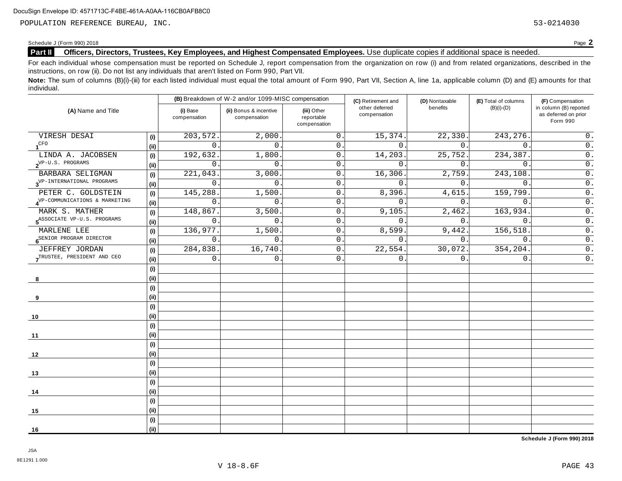POPULATION REFERENCE BUREAU, INC. 53-0214030

#### Schedule <sup>J</sup> (Form 990) <sup>2018</sup> Page **2**

# **Part II Officers, Directors, Trustees, Key Employees, and Highest Compensated Employees.** Use duplicate copies ifadditional space is needed.

For each individual whose compensation must be reported on Schedule J, report compensation from the organization on row (i) and from related organizations, described in the instructions, on row (ii). Do not list any individuals that aren't listed on Form 990, Part VII.

Note: The sum of columns (B)(i)-(iii) for each listed individual must equal the total amount of Form 990, Part VII, Section A, line 1a, applicable column (D) and (E) amounts for that individual.

|                                                |      |                          | (B) Breakdown of W-2 and/or 1099-MISC compensation |                                           | (C) Retirement and             | (D) Nontaxable           | (E) Total of columns | (F) Compensation                                           |  |
|------------------------------------------------|------|--------------------------|----------------------------------------------------|-------------------------------------------|--------------------------------|--------------------------|----------------------|------------------------------------------------------------|--|
| (A) Name and Title                             |      | (i) Base<br>compensation | (ii) Bonus & incentive<br>compensation             | (iii) Other<br>reportable<br>compensation | other deferred<br>compensation | benefits<br>$(B)(i)-(D)$ |                      | in column (B) reported<br>as deferred on prior<br>Form 990 |  |
| VIRESH DESAI                                   | (i)  | 203,572.                 | 2,000.                                             | $\mathsf 0$ .                             | 15,374.                        | 22,330.                  | 243, 276.            | 0.                                                         |  |
| 1 <sup>CFO</sup>                               | (i)  | $\Omega$                 | $\Omega$                                           | 0.                                        | $\Omega$ .                     | $\overline{0}$ .         | $\Omega$ .           | $\overline{0}$ .                                           |  |
| LINDA A. JACOBSEN                              | (i)  | 192,632                  | 1,800                                              | $\mathbf 0$ .                             | 14,203.                        | 25,752.                  | 234,387.             | $0$ .                                                      |  |
| $2^{\text{VP-U.S. PROGRAMS}}$                  | (i)  | $\mathbf 0$              | $\Omega$ .                                         | $\mathbf 0$ .                             | $\mathbf{0}$ .                 | 0.                       | $\Omega$ .           | $0$ .                                                      |  |
| BARBARA SELIGMAN                               | (i)  | 221,043                  | 3,000                                              | $0$ .                                     | 16,306.                        | 2,759.                   | 243,108              | $\overline{0}$ .                                           |  |
| $3^{\text{VP-INTERNATIONAL}\text{ PROGRAMS}}$  | (i)  | $\mathbf 0$              | $\mathbf{0}$ .                                     | $\overline{0}$ .                          | $\mathbf 0$ .                  | $0$ .                    | $\mathbf{0}$ .       | $\overline{0}$ .                                           |  |
| PETER C. GOLDSTEIN                             | (i)  | 145,288.                 | 1,500.                                             | 0.                                        | 8,396.                         | 4,615.                   | 159,799              | $\overline{0}$ .                                           |  |
| 4 <sup>VP-COMMUNICATIONS &amp; MARKETING</sup> | (i)  | $\mathbf 0$              | $\mathbf{0}$ .                                     | 0.                                        | $\mathbf 0$ .                  | $0$ .                    | $\overline{0}$ .     | $\overline{0}$ .                                           |  |
| MARK S. MATHER                                 | (i)  | 148,867.                 | 3,500                                              | $\mathbf 0$                               | 9,105.                         | 2,462.                   | 163,934.             | $\overline{\overline{\mathbf{0}}}$ .                       |  |
| 5 <sup>ASSOCIATE</sup> VP-U.S. PROGRAMS        | (i)  | $\mathsf{O}$             | 0                                                  | $\mathsf{O}$ .                            | $\mathsf{O}$ .                 | 0.                       | $\mathbf 0$          | $\overline{\overline{\mathbf{0}}}$ .                       |  |
| MARLENE LEE                                    | (i)  | 136,977.                 | 1,500.                                             | $\mathbf 0$                               | 8,599.                         | 9,442.                   | 156,518.             | $\overline{0}$ .                                           |  |
| 6 <sup>SENIOR</sup> PROGRAM DIRECTOR           | (i)  | $\Omega$                 | $\Omega$ .                                         | $0$ .                                     | $\mathbf 0$                    | $0$ .                    | $\mathbf{0}$ .       | $\overline{0}$ .                                           |  |
| JEFFREY JORDAN                                 | (i)  | 284,838.                 | 16,740                                             | 0.                                        | 22,554.                        | 30,072.                  | 354,204.             | $0$ .                                                      |  |
| TRUSTEE, PRESIDENT AND CEO                     | (ii) | $\mathbf 0$              | $\mathbf{0}$ .                                     | $0$ .                                     | $0$ .                          | 0.                       | $\mathbf{0}$ .       | $\overline{0}$ .                                           |  |
|                                                | (i)  |                          |                                                    |                                           |                                |                          |                      |                                                            |  |
| 8                                              | (i)  |                          |                                                    |                                           |                                |                          |                      |                                                            |  |
|                                                | (i)  |                          |                                                    |                                           |                                |                          |                      |                                                            |  |
| 9                                              | (i)  |                          |                                                    |                                           |                                |                          |                      |                                                            |  |
|                                                | (i)  |                          |                                                    |                                           |                                |                          |                      |                                                            |  |
| 10                                             | (i)  |                          |                                                    |                                           |                                |                          |                      |                                                            |  |
|                                                | (i)  |                          |                                                    |                                           |                                |                          |                      |                                                            |  |
| 11                                             | (i)  |                          |                                                    |                                           |                                |                          |                      |                                                            |  |
|                                                | (i)  |                          |                                                    |                                           |                                |                          |                      |                                                            |  |
| 12                                             | (i)  |                          |                                                    |                                           |                                |                          |                      |                                                            |  |
|                                                | (i)  |                          |                                                    |                                           |                                |                          |                      |                                                            |  |
| 13                                             | (ii) |                          |                                                    |                                           |                                |                          |                      |                                                            |  |
|                                                | (i)  |                          |                                                    |                                           |                                |                          |                      |                                                            |  |
| 14                                             | (i)  |                          |                                                    |                                           |                                |                          |                      |                                                            |  |
|                                                | (i)  |                          |                                                    |                                           |                                |                          |                      |                                                            |  |
| 15                                             | (i)  |                          |                                                    |                                           |                                |                          |                      |                                                            |  |
|                                                | (i)  |                          |                                                    |                                           |                                |                          |                      |                                                            |  |
| 16                                             | (i)  |                          |                                                    |                                           |                                |                          |                      |                                                            |  |

**Schedule J (Form 990) 2018**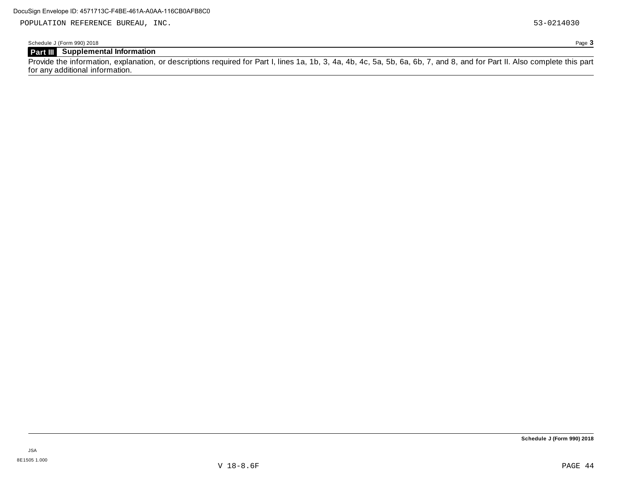POPULATION REFERENCE BUREAU, INC. 53-0214030

Schedule J (Form 990) 2018 Page **3**

# **Part III Supplemental Information**

Provide the information, explanation, or descriptions required for Part I, lines 1a, 1b, 3, 4a, 4b, 4c, 5a, 5b, 6a, 6b, 7, and 8, and for Part II. Also complete this part for any additional information.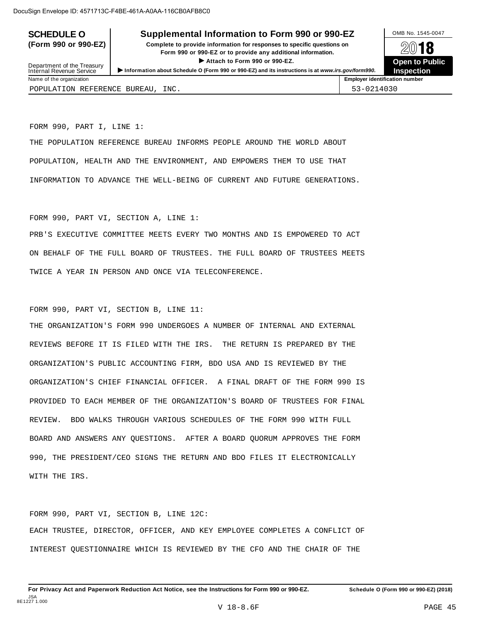# **SCHEDULE O** Supplemental Information to Form 990 or 990-EZ DAMB No. 1545-0047

**(Form 990 or 990-EZ) Complete to provide information for responses to specific questions on** plete to provide information for responses to specific questions on  $\mathbb{Z}^{0}$  **18 EV I O**<br>
■ Attach to Form 990 or 990-EZ. Depen to Public<br>
■ Public Public Public



| Department of the Treasury        | Attach to Form 990 or 990-EZ.<br>Information about Schedule O (Form 990 or 990-EZ) and its instructions is at www.irs.gov/form990. |                                       |  |  |  |
|-----------------------------------|------------------------------------------------------------------------------------------------------------------------------------|---------------------------------------|--|--|--|
| Internal Revenue Service          |                                                                                                                                    |                                       |  |  |  |
| Name of the organization          |                                                                                                                                    | <b>Employer identification number</b> |  |  |  |
| POPULATION REFERENCE BUREAU, INC. |                                                                                                                                    | 53-0214030                            |  |  |  |

FORM 990, PART I, LINE 1:

THE POPULATION REFERENCE BUREAU INFORMS PEOPLE AROUND THE WORLD ABOUT POPULATION, HEALTH AND THE ENVIRONMENT, AND EMPOWERS THEM TO USE THAT INFORMATION TO ADVANCE THE WELL-BEING OF CURRENT AND FUTURE GENERATIONS.

FORM 990, PART VI, SECTION A, LINE 1:

PRB'S EXECUTIVE COMMITTEE MEETS EVERY TWO MONTHS AND IS EMPOWERED TO ACT ON BEHALF OF THE FULL BOARD OF TRUSTEES. THE FULL BOARD OF TRUSTEES MEETS TWICE A YEAR IN PERSON AND ONCE VIA TELECONFERENCE.

FORM 990, PART VI, SECTION B, LINE 11:

THE ORGANIZATION'S FORM 990 UNDERGOES A NUMBER OF INTERNAL AND EXTERNAL REVIEWS BEFORE IT IS FILED WITH THE IRS. THE RETURN IS PREPARED BY THE ORGANIZATION'S PUBLIC ACCOUNTING FIRM, BDO USA AND IS REVIEWED BY THE ORGANIZATION'S CHIEF FINANCIAL OFFICER. A FINAL DRAFT OF THE FORM 990 IS PROVIDED TO EACH MEMBER OF THE ORGANIZATION'S BOARD OF TRUSTEES FOR FINAL REVIEW. BDO WALKS THROUGH VARIOUS SCHEDULES OF THE FORM 990 WITH FULL BOARD AND ANSWERS ANY QUESTIONS. AFTER A BOARD QUORUM APPROVES THE FORM 990, THE PRESIDENT/CEO SIGNS THE RETURN AND BDO FILES IT ELECTRONICALLY WITH THE IRS.

FORM 990, PART VI, SECTION B, LINE 12C: EACH TRUSTEE, DIRECTOR, OFFICER, AND KEY EMPLOYEE COMPLETES A CONFLICT OF INTEREST QUESTIONNAIRE WHICH IS REVIEWED BY THE CFO AND THE CHAIR OF THE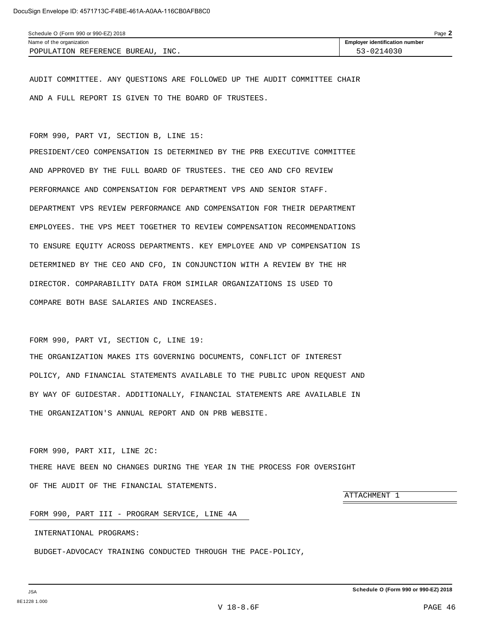AUDIT COMMITTEE. ANY QUESTIONS ARE FOLLOWED UP THE AUDIT COMMITTEE CHAIR AND A FULL REPORT IS GIVEN TO THE BOARD OF TRUSTEES.

FORM 990, PART VI, SECTION B, LINE 15:

PRESIDENT/CEO COMPENSATION IS DETERMINED BY THE PRB EXECUTIVE COMMITTEE AND APPROVED BY THE FULL BOARD OF TRUSTEES. THE CEO AND CFO REVIEW PERFORMANCE AND COMPENSATION FOR DEPARTMENT VPS AND SENIOR STAFF. DEPARTMENT VPS REVIEW PERFORMANCE AND COMPENSATION FOR THEIR DEPARTMENT EMPLOYEES. THE VPS MEET TOGETHER TO REVIEW COMPENSATION RECOMMENDATIONS TO ENSURE EQUITY ACROSS DEPARTMENTS. KEY EMPLOYEE AND VP COMPENSATION IS DETERMINED BY THE CEO AND CFO, IN CONJUNCTION WITH A REVIEW BY THE HR DIRECTOR. COMPARABILITY DATA FROM SIMILAR ORGANIZATIONS IS USED TO COMPARE BOTH BASE SALARIES AND INCREASES.

FORM 990, PART VI, SECTION C, LINE 19:

THE ORGANIZATION MAKES ITS GOVERNING DOCUMENTS, CONFLICT OF INTEREST POLICY, AND FINANCIAL STATEMENTS AVAILABLE TO THE PUBLIC UPON REQUEST AND BY WAY OF GUIDESTAR. ADDITIONALLY, FINANCIAL STATEMENTS ARE AVAILABLE IN THE ORGANIZATION'S ANNUAL REPORT AND ON PRB WEBSITE.

FORM 990, PART XII, LINE 2C: THERE HAVE BEEN NO CHANGES DURING THE YEAR IN THE PROCESS FOR OVERSIGHT OF THE AUDIT OF THE FINANCIAL STATEMENTS.

ATTACHMENT 1

# FORM 990, PART III - PROGRAM SERVICE, LINE 4A

INTERNATIONAL PROGRAMS:

BUDGET-ADVOCACY TRAINING CONDUCTED THROUGH THE PACE-POLICY,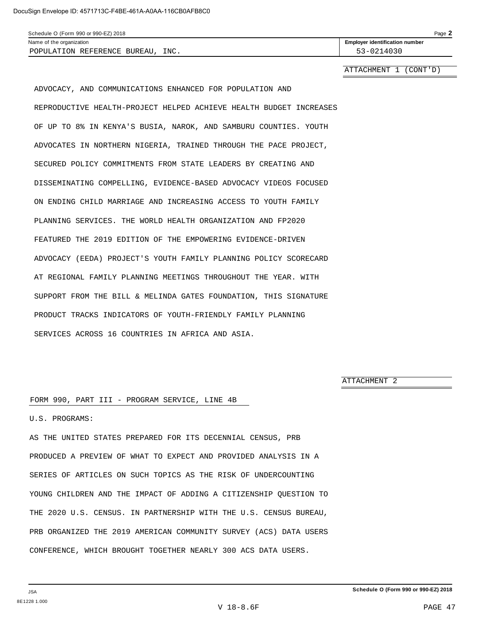| Schedule O (Form 990 or 990-EZ) 2018 |                                       |  |  |  |
|--------------------------------------|---------------------------------------|--|--|--|
| Name of the organization             | <b>Employer identification number</b> |  |  |  |
| INC.<br>POPULATION REFERENCE BUREAU  | $53 - 0214030$                        |  |  |  |

ATTACHMENT 1 (CONT'D)

ADVOCACY, AND COMMUNICATIONS ENHANCED FOR POPULATION AND REPRODUCTIVE HEALTH-PROJECT HELPED ACHIEVE HEALTH BUDGET INCREASES OF UP TO 8% IN KENYA'S BUSIA, NAROK, AND SAMBURU COUNTIES. YOUTH ADVOCATES IN NORTHERN NIGERIA, TRAINED THROUGH THE PACE PROJECT, SECURED POLICY COMMITMENTS FROM STATE LEADERS BY CREATING AND DISSEMINATING COMPELLING, EVIDENCE-BASED ADVOCACY VIDEOS FOCUSED ON ENDING CHILD MARRIAGE AND INCREASING ACCESS TO YOUTH FAMILY PLANNING SERVICES. THE WORLD HEALTH ORGANIZATION AND FP2020 FEATURED THE 2019 EDITION OF THE EMPOWERING EVIDENCE-DRIVEN ADVOCACY (EEDA) PROJECT'S YOUTH FAMILY PLANNING POLICY SCORECARD AT REGIONAL FAMILY PLANNING MEETINGS THROUGHOUT THE YEAR. WITH SUPPORT FROM THE BILL & MELINDA GATES FOUNDATION, THIS SIGNATURE PRODUCT TRACKS INDICATORS OF YOUTH-FRIENDLY FAMILY PLANNING SERVICES ACROSS 16 COUNTRIES IN AFRICA AND ASIA.

ATTACHMENT 2

#### FORM 990, PART III - PROGRAM SERVICE, LINE 4B

U.S. PROGRAMS:

AS THE UNITED STATES PREPARED FOR ITS DECENNIAL CENSUS, PRB PRODUCED A PREVIEW OF WHAT TO EXPECT AND PROVIDED ANALYSIS IN A SERIES OF ARTICLES ON SUCH TOPICS AS THE RISK OF UNDERCOUNTING YOUNG CHILDREN AND THE IMPACT OF ADDING A CITIZENSHIP QUESTION TO THE 2020 U.S. CENSUS. IN PARTNERSHIP WITH THE U.S. CENSUS BUREAU, PRB ORGANIZED THE 2019 AMERICAN COMMUNITY SURVEY (ACS) DATA USERS CONFERENCE, WHICH BROUGHT TOGETHER NEARLY 300 ACS DATA USERS.